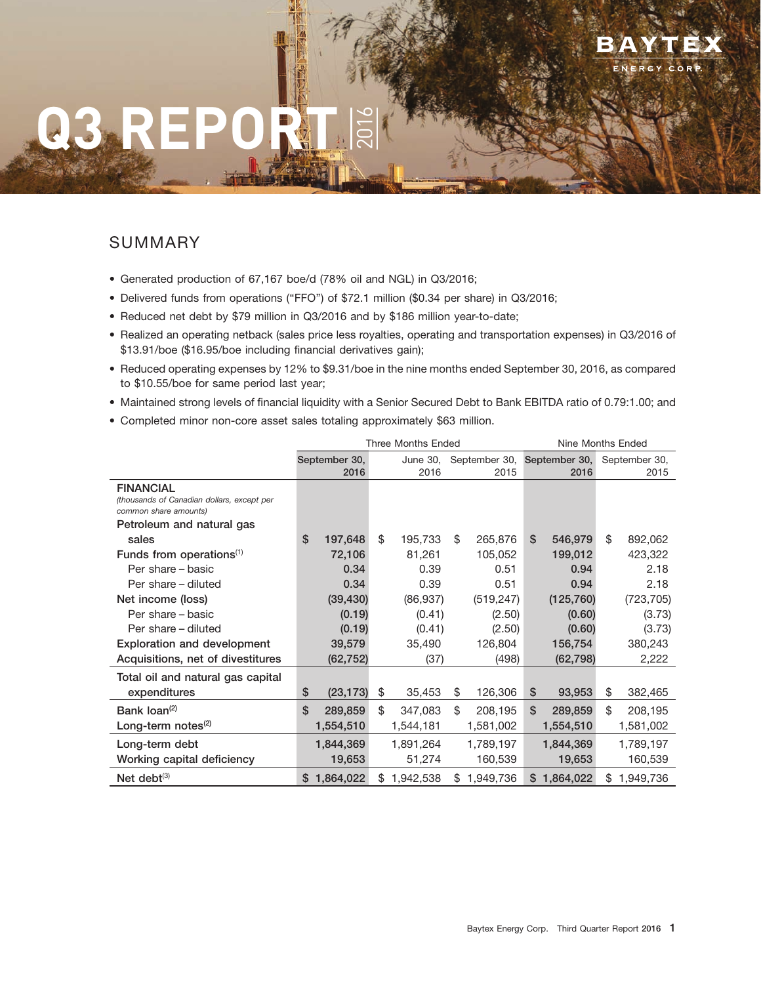# **Q3 REPORT**

# SUMMARY

- Generated production of 67,167 boe/d (78% oil and NGL) in Q3/2016;
- Delivered funds from operations ("FFO") of \$72.1 million (\$0.34 per share) in Q3/2016;

2016

- Reduced net debt by \$79 million in Q3/2016 and by \$186 million year-to-date;
- Realized an operating netback (sales price less royalties, operating and transportation expenses) in Q3/2016 of \$13.91/boe (\$16.95/boe including financial derivatives gain);
- Reduced operating expenses by 12% to \$9.31/boe in the nine months ended September 30, 2016, as compared to \$10.55/boe for same period last year;
- Maintained strong levels of financial liquidity with a Senior Secured Debt to Bank EBITDA ratio of 0.79:1.00; and
- Completed minor non-core asset sales totaling approximately \$63 million.

|                                                                     |                |               | <b>Three Months Ended</b> | Nine Months Ended |               |    |               |    |               |
|---------------------------------------------------------------------|----------------|---------------|---------------------------|-------------------|---------------|----|---------------|----|---------------|
|                                                                     |                | September 30, |                           | June 30,          | September 30, |    | September 30, |    | September 30, |
|                                                                     |                | 2016          |                           | 2016              | 2015          |    | 2016          |    | 2015          |
| <b>FINANCIAL</b>                                                    |                |               |                           |                   |               |    |               |    |               |
| (thousands of Canadian dollars, except per<br>common share amounts) |                |               |                           |                   |               |    |               |    |               |
| Petroleum and natural gas                                           |                |               |                           |                   |               |    |               |    |               |
| sales                                                               | \$             | 197,648       | \$                        | 195,733           | \$<br>265,876 | \$ | 546,979       | \$ | 892,062       |
| Funds from operations $(1)$                                         |                | 72,106        |                           | 81,261            | 105,052       |    | 199,012       |    | 423,322       |
| Per share - basic                                                   |                | 0.34          |                           | 0.39              | 0.51          |    | 0.94          |    | 2.18          |
| Per share - diluted                                                 |                | 0.34          |                           | 0.39              | 0.51          |    | 0.94          |    | 2.18          |
| Net income (loss)                                                   |                | (39, 430)     |                           | (86, 937)         | (519, 247)    |    | (125, 760)    |    | (723, 705)    |
| Per share - basic                                                   |                | (0.19)        |                           | (0.41)            | (2.50)        |    | (0.60)        |    | (3.73)        |
| Per share - diluted                                                 |                | (0.19)        |                           | (0.41)            | (2.50)        |    | (0.60)        |    | (3.73)        |
| <b>Exploration and development</b>                                  |                | 39,579        |                           | 35,490            | 126,804       |    | 156,754       |    | 380,243       |
| Acquisitions, net of divestitures                                   |                | (62, 752)     |                           | (37)              | (498)         |    | (62, 798)     |    | 2,222         |
| Total oil and natural gas capital                                   |                |               |                           |                   |               |    |               |    |               |
| expenditures                                                        | \$             | (23, 173)     | \$                        | 35,453            | \$<br>126,306 | \$ | 93,953        | \$ | 382,465       |
| Bank loan <sup>(2)</sup>                                            | $\mathfrak{L}$ | 289,859       | \$                        | 347,083           | \$<br>208,195 | \$ | 289,859       | \$ | 208,195       |
| Long-term notes $(2)$                                               |                | 1,554,510     |                           | 1,544,181         | 1,581,002     |    | 1,554,510     |    | 1,581,002     |
| Long-term debt                                                      |                | 1,844,369     |                           | 1,891,264         | 1,789,197     |    | 1,844,369     |    | 1,789,197     |
| Working capital deficiency                                          |                | 19,653        |                           | 51,274            | 160,539       |    | 19,653        |    | 160,539       |
| Net debt $(3)$                                                      |                | \$1,864,022   |                           | \$1,942,538       | \$1,949,736   |    | \$1,864,022   |    | \$1,949,736   |

3NOV2016105917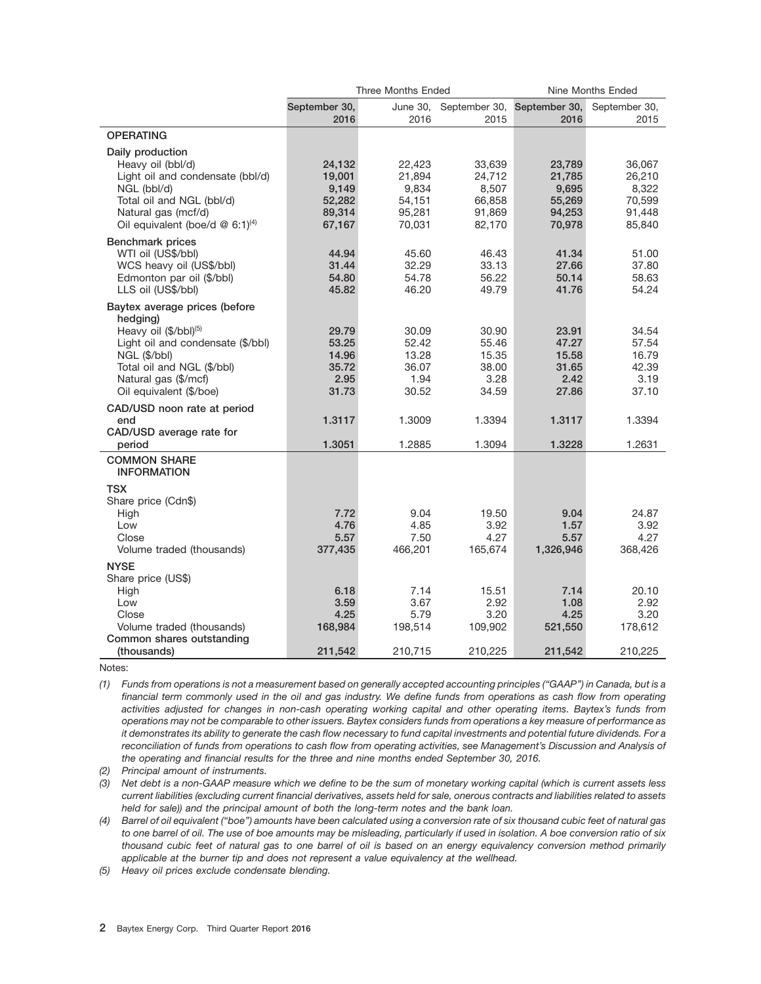|                                                        |                | Three Months Ended |                |                | Nine Months Ended |  |  |
|--------------------------------------------------------|----------------|--------------------|----------------|----------------|-------------------|--|--|
|                                                        | September 30,  | June 30,           | September 30,  | September 30,  | September 30,     |  |  |
|                                                        | 2016           | 2016               | 2015           | 2016           | 2015              |  |  |
| <b>OPERATING</b>                                       |                |                    |                |                |                   |  |  |
| Daily production                                       |                |                    |                |                |                   |  |  |
| Heavy oil (bbl/d)                                      | 24,132         | 22,423             | 33,639         | 23,789         | 36,067            |  |  |
| Light oil and condensate (bbl/d)                       | 19,001         | 21,894             | 24,712         | 21,785         | 26,210            |  |  |
| NGL (bbl/d)                                            | 9,149          | 9,834              | 8,507          | 9,695          | 8,322             |  |  |
| Total oil and NGL (bbl/d)                              | 52,282         | 54,151             | 66,858         | 55,269         | 70,599            |  |  |
| Natural gas (mcf/d)                                    | 89,314         | 95,281             | 91,869         | 94,253         | 91,448            |  |  |
| Oil equivalent (boe/d @ 6:1) <sup>(4)</sup>            | 67,167         | 70,031             | 82,170         | 70,978         | 85,840            |  |  |
| Benchmark prices                                       |                |                    |                |                |                   |  |  |
| WTI oil (US\$/bbl)                                     | 44.94          | 45.60              | 46.43          | 41.34          | 51.00             |  |  |
| WCS heavy oil (US\$/bbl)                               | 31.44          | 32.29              | 33.13          | 27.66          | 37.80             |  |  |
| Edmonton par oil (\$/bbl)                              | 54.80          | 54.78              | 56.22          | 50.14          | 58.63             |  |  |
| LLS oil (US\$/bbl)                                     | 45.82          | 46.20              | 49.79          | 41.76          | 54.24             |  |  |
| Baytex average prices (before                          |                |                    |                |                |                   |  |  |
| hedging)                                               |                |                    |                |                |                   |  |  |
| Heavy oil (\$/bbl) <sup>(5)</sup>                      | 29.79          | 30.09              | 30.90          | 23.91<br>47.27 | 34.54             |  |  |
| Light oil and condensate (\$/bbl)<br>NGL (\$/bbl)      | 53.25<br>14.96 | 52.42<br>13.28     | 55.46<br>15.35 | 15.58          | 57.54<br>16.79    |  |  |
| Total oil and NGL (\$/bbl)                             | 35.72          | 36.07              | 38.00          | 31.65          | 42.39             |  |  |
| Natural gas (\$/mcf)                                   | 2.95           | 1.94               | 3.28           | 2.42           | 3.19              |  |  |
| Oil equivalent (\$/boe)                                | 31.73          | 30.52              | 34.59          | 27.86          | 37.10             |  |  |
| CAD/USD noon rate at period                            |                |                    |                |                |                   |  |  |
| end                                                    | 1.3117         | 1.3009             | 1.3394         | 1.3117         | 1.3394            |  |  |
| CAD/USD average rate for                               |                |                    |                |                |                   |  |  |
| period                                                 | 1.3051         | 1.2885             | 1.3094         | 1.3228         | 1.2631            |  |  |
| <b>COMMON SHARE</b>                                    |                |                    |                |                |                   |  |  |
| <b>INFORMATION</b>                                     |                |                    |                |                |                   |  |  |
| <b>TSX</b>                                             |                |                    |                |                |                   |  |  |
| Share price (Cdn\$)                                    |                |                    |                |                |                   |  |  |
| High                                                   | 7.72           | 9.04               | 19.50          | 9.04           | 24.87             |  |  |
| Low                                                    | 4.76           | 4.85               | 3.92           | 1.57           | 3.92              |  |  |
| Close                                                  | 5.57           | 7.50               | 4.27           | 5.57           | 4.27              |  |  |
| Volume traded (thousands)                              | 377,435        | 466,201            | 165,674        | 1,326,946      | 368,426           |  |  |
| <b>NYSE</b>                                            |                |                    |                |                |                   |  |  |
| Share price (US\$)                                     |                |                    |                |                |                   |  |  |
| High                                                   | 6.18           | 7.14               | 15.51          | 7.14           | 20.10             |  |  |
| Low                                                    | 3.59           | 3.67               | 2.92           | 1.08           | 2.92              |  |  |
| Close                                                  | 4.25           | 5.79               | 3.20           | 4.25           | 3.20              |  |  |
| Volume traded (thousands)<br>Common shares outstanding | 168,984        | 198,514            | 109,902        | 521,550        | 178,612           |  |  |
| (thousands)                                            | 211,542        | 210,715            | 210,225        | 211,542        | 210,225           |  |  |
|                                                        |                |                    |                |                |                   |  |  |

Notes:

*(1) Funds from operations is not a measurement based on generally accepted accounting principles (''GAAP'') in Canada, but is a financial term commonly used in the oil and gas industry. We define funds from operations as cash flow from operating activities adjusted for changes in non-cash operating working capital and other operating items. Baytex's funds from operations may not be comparable to other issuers. Baytex considers funds from operations a key measure of performance as it demonstrates its ability to generate the cash flow necessary to fund capital investments and potential future dividends. For a reconciliation of funds from operations to cash flow from operating activities, see Management's Discussion and Analysis of the operating and financial results for the three and nine months ended September 30, 2016.*

*(2) Principal amount of instruments.*

*(3) Net debt is a non-GAAP measure which we define to be the sum of monetary working capital (which is current assets less current liabilities (excluding current financial derivatives, assets held for sale, onerous contracts and liabilities related to assets held for sale)) and the principal amount of both the long-term notes and the bank loan.*

*(4) Barrel of oil equivalent (''boe'') amounts have been calculated using a conversion rate of six thousand cubic feet of natural gas to one barrel of oil. The use of boe amounts may be misleading, particularly if used in isolation. A boe conversion ratio of six thousand cubic feet of natural gas to one barrel of oil is based on an energy equivalency conversion method primarily applicable at the burner tip and does not represent a value equivalency at the wellhead.*

*(5) Heavy oil prices exclude condensate blending.*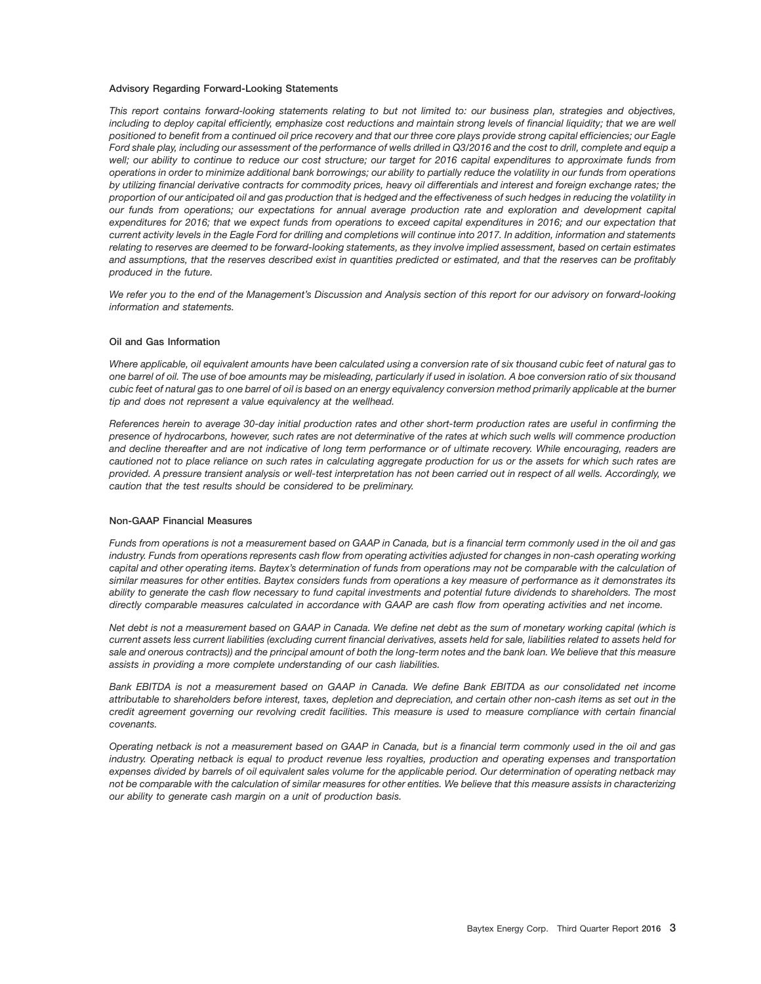#### **Advisory Regarding Forward-Looking Statements**

*This report contains forward-looking statements relating to but not limited to: our business plan, strategies and objectives, including to deploy capital efficiently, emphasize cost reductions and maintain strong levels of financial liquidity; that we are well positioned to benefit from a continued oil price recovery and that our three core plays provide strong capital efficiencies; our Eagle Ford shale play, including our assessment of the performance of wells drilled in Q3/2016 and the cost to drill, complete and equip a well; our ability to continue to reduce our cost structure; our target for 2016 capital expenditures to approximate funds from operations in order to minimize additional bank borrowings; our ability to partially reduce the volatility in our funds from operations by utilizing financial derivative contracts for commodity prices, heavy oil differentials and interest and foreign exchange rates; the proportion of our anticipated oil and gas production that is hedged and the effectiveness of such hedges in reducing the volatility in our funds from operations; our expectations for annual average production rate and exploration and development capital expenditures for 2016; that we expect funds from operations to exceed capital expenditures in 2016; and our expectation that current activity levels in the Eagle Ford for drilling and completions will continue into 2017. In addition, information and statements relating to reserves are deemed to be forward-looking statements, as they involve implied assessment, based on certain estimates and assumptions, that the reserves described exist in quantities predicted or estimated, and that the reserves can be profitably produced in the future.*

*We refer you to the end of the Management's Discussion and Analysis section of this report for our advisory on forward-looking information and statements.*

#### **Oil and Gas Information**

*Where applicable, oil equivalent amounts have been calculated using a conversion rate of six thousand cubic feet of natural gas to one barrel of oil. The use of boe amounts may be misleading, particularly if used in isolation. A boe conversion ratio of six thousand cubic feet of natural gas to one barrel of oil is based on an energy equivalency conversion method primarily applicable at the burner tip and does not represent a value equivalency at the wellhead.*

*References herein to average 30-day initial production rates and other short-term production rates are useful in confirming the presence of hydrocarbons, however, such rates are not determinative of the rates at which such wells will commence production and decline thereafter and are not indicative of long term performance or of ultimate recovery. While encouraging, readers are cautioned not to place reliance on such rates in calculating aggregate production for us or the assets for which such rates are provided. A pressure transient analysis or well-test interpretation has not been carried out in respect of all wells. Accordingly, we caution that the test results should be considered to be preliminary.*

#### **Non-GAAP Financial Measures**

*Funds from operations is not a measurement based on GAAP in Canada, but is a financial term commonly used in the oil and gas industry. Funds from operations represents cash flow from operating activities adjusted for changes in non-cash operating working capital and other operating items. Baytex's determination of funds from operations may not be comparable with the calculation of similar measures for other entities. Baytex considers funds from operations a key measure of performance as it demonstrates its ability to generate the cash flow necessary to fund capital investments and potential future dividends to shareholders. The most directly comparable measures calculated in accordance with GAAP are cash flow from operating activities and net income.*

*Net debt is not a measurement based on GAAP in Canada. We define net debt as the sum of monetary working capital (which is current assets less current liabilities (excluding current financial derivatives, assets held for sale, liabilities related to assets held for sale and onerous contracts)) and the principal amount of both the long-term notes and the bank loan. We believe that this measure assists in providing a more complete understanding of our cash liabilities.*

*Bank EBITDA is not a measurement based on GAAP in Canada. We define Bank EBITDA as our consolidated net income attributable to shareholders before interest, taxes, depletion and depreciation, and certain other non-cash items as set out in the credit agreement governing our revolving credit facilities. This measure is used to measure compliance with certain financial covenants.*

*Operating netback is not a measurement based on GAAP in Canada, but is a financial term commonly used in the oil and gas industry. Operating netback is equal to product revenue less royalties, production and operating expenses and transportation expenses divided by barrels of oil equivalent sales volume for the applicable period. Our determination of operating netback may not be comparable with the calculation of similar measures for other entities. We believe that this measure assists in characterizing our ability to generate cash margin on a unit of production basis.*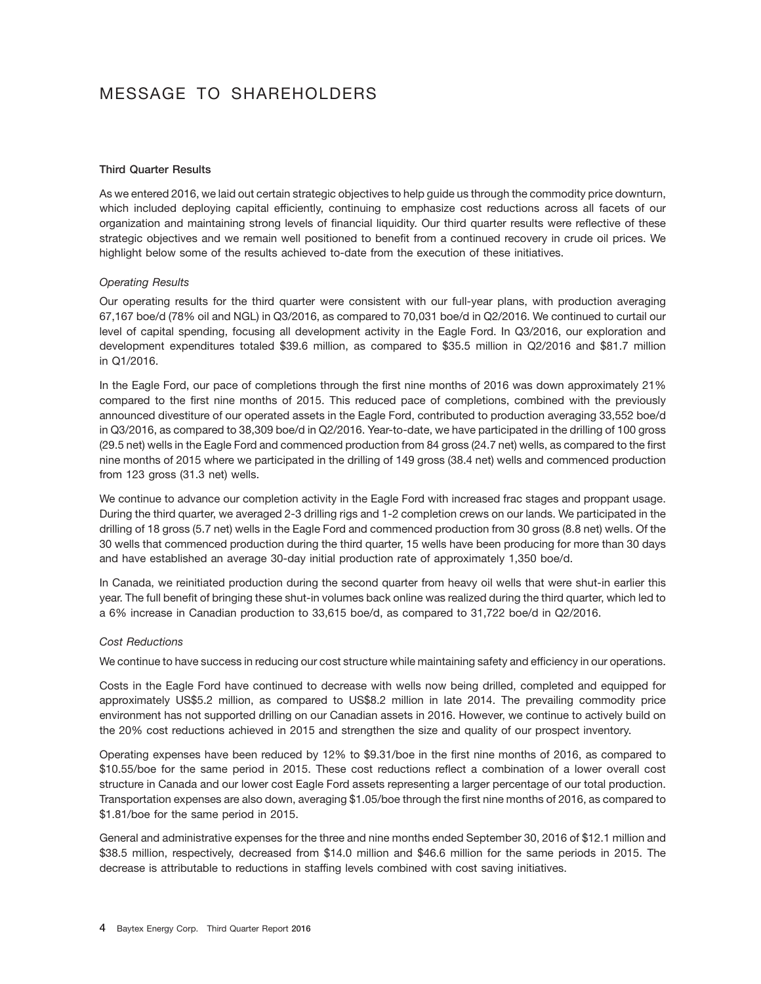# MESSAGE TO SHAREHOLDERS

#### **Third Quarter Results**

As we entered 2016, we laid out certain strategic objectives to help guide us through the commodity price downturn, which included deploying capital efficiently, continuing to emphasize cost reductions across all facets of our organization and maintaining strong levels of financial liquidity. Our third quarter results were reflective of these strategic objectives and we remain well positioned to benefit from a continued recovery in crude oil prices. We highlight below some of the results achieved to-date from the execution of these initiatives.

#### *Operating Results*

Our operating results for the third quarter were consistent with our full-year plans, with production averaging 67,167 boe/d (78% oil and NGL) in Q3/2016, as compared to 70,031 boe/d in Q2/2016. We continued to curtail our level of capital spending, focusing all development activity in the Eagle Ford. In Q3/2016, our exploration and development expenditures totaled \$39.6 million, as compared to \$35.5 million in Q2/2016 and \$81.7 million in Q1/2016.

In the Eagle Ford, our pace of completions through the first nine months of 2016 was down approximately 21% compared to the first nine months of 2015. This reduced pace of completions, combined with the previously announced divestiture of our operated assets in the Eagle Ford, contributed to production averaging 33,552 boe/d in Q3/2016, as compared to 38,309 boe/d in Q2/2016. Year-to-date, we have participated in the drilling of 100 gross (29.5 net) wells in the Eagle Ford and commenced production from 84 gross (24.7 net) wells, as compared to the first nine months of 2015 where we participated in the drilling of 149 gross (38.4 net) wells and commenced production from 123 gross (31.3 net) wells.

We continue to advance our completion activity in the Eagle Ford with increased frac stages and proppant usage. During the third quarter, we averaged 2-3 drilling rigs and 1-2 completion crews on our lands. We participated in the drilling of 18 gross (5.7 net) wells in the Eagle Ford and commenced production from 30 gross (8.8 net) wells. Of the 30 wells that commenced production during the third quarter, 15 wells have been producing for more than 30 days and have established an average 30-day initial production rate of approximately 1,350 boe/d.

In Canada, we reinitiated production during the second quarter from heavy oil wells that were shut-in earlier this year. The full benefit of bringing these shut-in volumes back online was realized during the third quarter, which led to a 6% increase in Canadian production to 33,615 boe/d, as compared to 31,722 boe/d in Q2/2016.

#### *Cost Reductions*

We continue to have success in reducing our cost structure while maintaining safety and efficiency in our operations.

Costs in the Eagle Ford have continued to decrease with wells now being drilled, completed and equipped for approximately US\$5.2 million, as compared to US\$8.2 million in late 2014. The prevailing commodity price environment has not supported drilling on our Canadian assets in 2016. However, we continue to actively build on the 20% cost reductions achieved in 2015 and strengthen the size and quality of our prospect inventory.

Operating expenses have been reduced by 12% to \$9.31/boe in the first nine months of 2016, as compared to \$10.55/boe for the same period in 2015. These cost reductions reflect a combination of a lower overall cost structure in Canada and our lower cost Eagle Ford assets representing a larger percentage of our total production. Transportation expenses are also down, averaging \$1.05/boe through the first nine months of 2016, as compared to \$1.81/boe for the same period in 2015.

General and administrative expenses for the three and nine months ended September 30, 2016 of \$12.1 million and \$38.5 million, respectively, decreased from \$14.0 million and \$46.6 million for the same periods in 2015. The decrease is attributable to reductions in staffing levels combined with cost saving initiatives.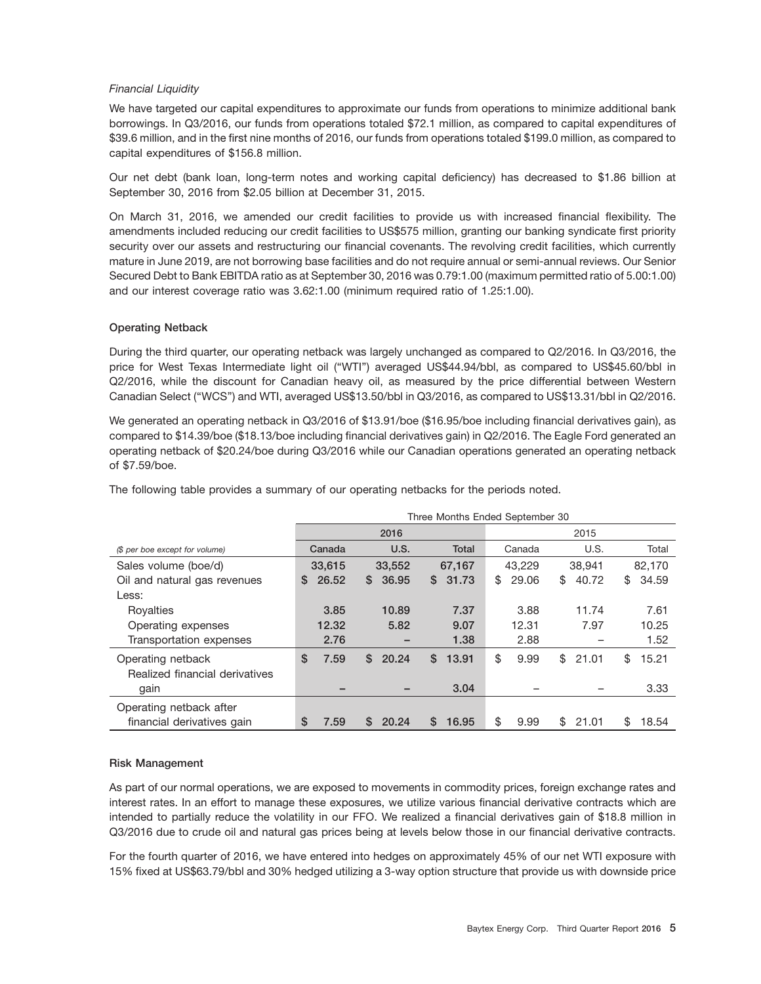#### *Financial Liquidity*

We have targeted our capital expenditures to approximate our funds from operations to minimize additional bank borrowings. In Q3/2016, our funds from operations totaled \$72.1 million, as compared to capital expenditures of \$39.6 million, and in the first nine months of 2016, our funds from operations totaled \$199.0 million, as compared to capital expenditures of \$156.8 million.

Our net debt (bank loan, long-term notes and working capital deficiency) has decreased to \$1.86 billion at September 30, 2016 from \$2.05 billion at December 31, 2015.

On March 31, 2016, we amended our credit facilities to provide us with increased financial flexibility. The amendments included reducing our credit facilities to US\$575 million, granting our banking syndicate first priority security over our assets and restructuring our financial covenants. The revolving credit facilities, which currently mature in June 2019, are not borrowing base facilities and do not require annual or semi-annual reviews. Our Senior Secured Debt to Bank EBITDA ratio as at September 30, 2016 was 0.79:1.00 (maximum permitted ratio of 5.00:1.00) and our interest coverage ratio was 3.62:1.00 (minimum required ratio of 1.25:1.00).

#### **Operating Netback**

During the third quarter, our operating netback was largely unchanged as compared to Q2/2016. In Q3/2016, the price for West Texas Intermediate light oil (''WTI'') averaged US\$44.94/bbl, as compared to US\$45.60/bbl in Q2/2016, while the discount for Canadian heavy oil, as measured by the price differential between Western Canadian Select (''WCS'') and WTI, averaged US\$13.50/bbl in Q3/2016, as compared to US\$13.31/bbl in Q2/2016.

We generated an operating netback in Q3/2016 of \$13.91/boe (\$16.95/boe including financial derivatives gain), as compared to \$14.39/boe (\$18.13/boe including financial derivatives gain) in Q2/2016. The Eagle Ford generated an operating netback of \$20.24/boe during Q3/2016 while our Canadian operations generated an operating netback of \$7.59/boe.

|                                |    | Three Months Ended September 30 |    |        |    |        |      |        |    |        |    |        |
|--------------------------------|----|---------------------------------|----|--------|----|--------|------|--------|----|--------|----|--------|
|                                |    |                                 |    | 2016   |    |        | 2015 |        |    |        |    |        |
| (\$ per boe except for volume) |    | Canada                          |    | U.S.   |    | Total  |      | Canada |    | U.S.   |    | Total  |
| Sales volume (boe/d)           |    | 33,615                          |    | 33,552 |    | 67,167 |      | 43.229 |    | 38.941 |    | 82.170 |
| Oil and natural gas revenues   | S. | 26.52                           | S. | 36.95  | \$ | 31.73  | \$   | 29.06  | \$ | 40.72  | \$ | 34.59  |
| Less:                          |    |                                 |    |        |    |        |      |        |    |        |    |        |
| Royalties                      |    | 3.85                            |    | 10.89  |    | 7.37   |      | 3.88   |    | 11.74  |    | 7.61   |
| Operating expenses             |    | 12.32                           |    | 5.82   |    | 9.07   |      | 12.31  |    | 7.97   |    | 10.25  |
| Transportation expenses        |    | 2.76                            |    |        |    | 1.38   |      | 2.88   |    |        |    | 1.52   |
| Operating netback              | \$ | 7.59                            | S  | 20.24  | S  | 13.91  | \$   | 9.99   | \$ | 21.01  | \$ | 15.21  |
| Realized financial derivatives |    |                                 |    |        |    |        |      |        |    |        |    |        |
| gain                           |    |                                 |    |        |    | 3.04   |      |        |    |        |    | 3.33   |
| Operating netback after        |    |                                 |    |        |    |        |      |        |    |        |    |        |
| financial derivatives gain     | S  | 7.59                            | S  | 20.24  | \$ | 16.95  | \$   | 9.99   | \$ | 21.01  | \$ | 18.54  |

The following table provides a summary of our operating netbacks for the periods noted.

#### **Risk Management**

As part of our normal operations, we are exposed to movements in commodity prices, foreign exchange rates and interest rates. In an effort to manage these exposures, we utilize various financial derivative contracts which are intended to partially reduce the volatility in our FFO. We realized a financial derivatives gain of \$18.8 million in Q3/2016 due to crude oil and natural gas prices being at levels below those in our financial derivative contracts.

For the fourth quarter of 2016, we have entered into hedges on approximately 45% of our net WTI exposure with 15% fixed at US\$63.79/bbl and 30% hedged utilizing a 3-way option structure that provide us with downside price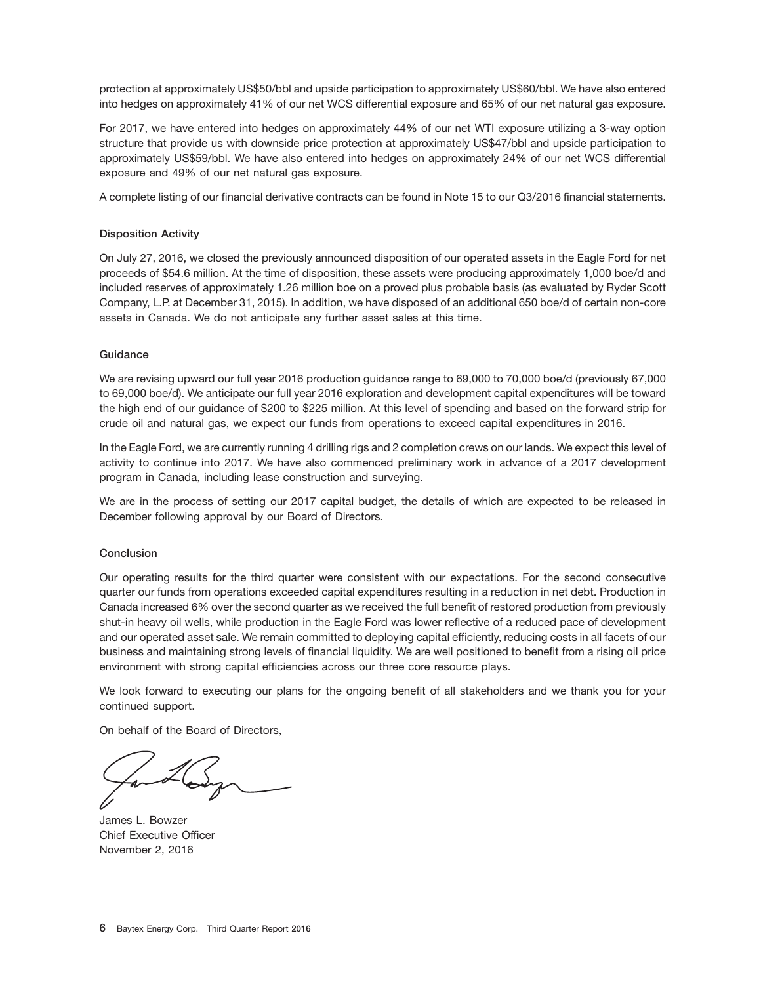protection at approximately US\$50/bbl and upside participation to approximately US\$60/bbl. We have also entered into hedges on approximately 41% of our net WCS differential exposure and 65% of our net natural gas exposure.

For 2017, we have entered into hedges on approximately 44% of our net WTI exposure utilizing a 3-way option structure that provide us with downside price protection at approximately US\$47/bbl and upside participation to approximately US\$59/bbl. We have also entered into hedges on approximately 24% of our net WCS differential exposure and 49% of our net natural gas exposure.

A complete listing of our financial derivative contracts can be found in Note 15 to our Q3/2016 financial statements.

#### **Disposition Activity**

On July 27, 2016, we closed the previously announced disposition of our operated assets in the Eagle Ford for net proceeds of \$54.6 million. At the time of disposition, these assets were producing approximately 1,000 boe/d and included reserves of approximately 1.26 million boe on a proved plus probable basis (as evaluated by Ryder Scott Company, L.P. at December 31, 2015). In addition, we have disposed of an additional 650 boe/d of certain non-core assets in Canada. We do not anticipate any further asset sales at this time.

#### **Guidance**

We are revising upward our full year 2016 production guidance range to 69,000 to 70,000 boe/d (previously 67,000 to 69,000 boe/d). We anticipate our full year 2016 exploration and development capital expenditures will be toward the high end of our guidance of \$200 to \$225 million. At this level of spending and based on the forward strip for crude oil and natural gas, we expect our funds from operations to exceed capital expenditures in 2016.

In the Eagle Ford, we are currently running 4 drilling rigs and 2 completion crews on our lands. We expect this level of activity to continue into 2017. We have also commenced preliminary work in advance of a 2017 development program in Canada, including lease construction and surveying.

We are in the process of setting our 2017 capital budget, the details of which are expected to be released in December following approval by our Board of Directors.

#### **Conclusion**

Our operating results for the third quarter were consistent with our expectations. For the second consecutive quarter our funds from operations exceeded capital expenditures resulting in a reduction in net debt. Production in Canada increased 6% over the second quarter as we received the full benefit of restored production from previously shut-in heavy oil wells, while production in the Eagle Ford was lower reflective of a reduced pace of development and our operated asset sale. We remain committed to deploying capital efficiently, reducing costs in all facets of our business and maintaining strong levels of financial liquidity. We are well positioned to benefit from a rising oil price environment with strong capital efficiencies across our three core resource plays.

We look forward to executing our plans for the ongoing benefit of all stakeholders and we thank you for your continued support.

On behalf of the Board of Directors,

James L. Bowzer Chief Executive Officer November 2, 2016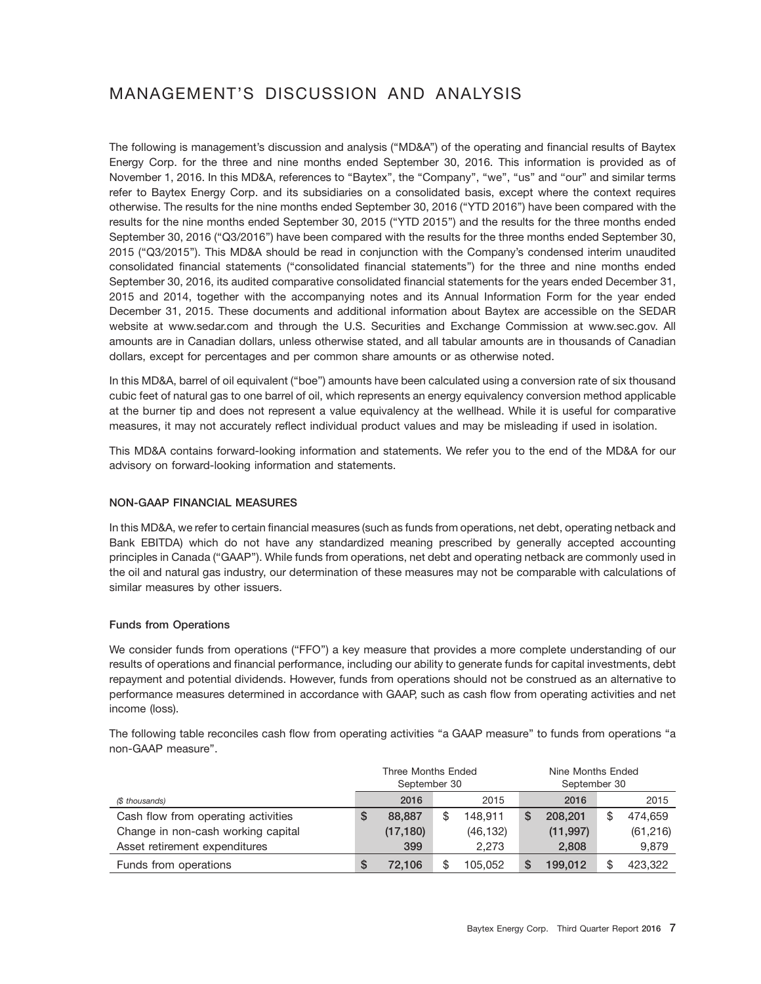# MANAGEMENT'S DISCUSSION AND ANALYSIS

The following is management's discussion and analysis (''MD&A'') of the operating and financial results of Baytex Energy Corp. for the three and nine months ended September 30, 2016. This information is provided as of November 1, 2016. In this MD&A, references to "Baytex", the "Company", "we", "us" and "our" and similar terms refer to Baytex Energy Corp. and its subsidiaries on a consolidated basis, except where the context requires otherwise. The results for the nine months ended September 30, 2016 (''YTD 2016'') have been compared with the results for the nine months ended September 30, 2015 (''YTD 2015'') and the results for the three months ended September 30, 2016 (''Q3/2016'') have been compared with the results for the three months ended September 30, 2015 (''Q3/2015''). This MD&A should be read in conjunction with the Company's condensed interim unaudited consolidated financial statements (''consolidated financial statements'') for the three and nine months ended September 30, 2016, its audited comparative consolidated financial statements for the years ended December 31, 2015 and 2014, together with the accompanying notes and its Annual Information Form for the year ended December 31, 2015. These documents and additional information about Baytex are accessible on the SEDAR website at www.sedar.com and through the U.S. Securities and Exchange Commission at www.sec.gov. All amounts are in Canadian dollars, unless otherwise stated, and all tabular amounts are in thousands of Canadian dollars, except for percentages and per common share amounts or as otherwise noted.

In this MD&A, barrel of oil equivalent (''boe'') amounts have been calculated using a conversion rate of six thousand cubic feet of natural gas to one barrel of oil, which represents an energy equivalency conversion method applicable at the burner tip and does not represent a value equivalency at the wellhead. While it is useful for comparative measures, it may not accurately reflect individual product values and may be misleading if used in isolation.

This MD&A contains forward-looking information and statements. We refer you to the end of the MD&A for our advisory on forward-looking information and statements.

#### **NON-GAAP FINANCIAL MEASURES**

In this MD&A, we refer to certain financial measures (such as funds from operations, net debt, operating netback and Bank EBITDA) which do not have any standardized meaning prescribed by generally accepted accounting principles in Canada (''GAAP''). While funds from operations, net debt and operating netback are commonly used in the oil and natural gas industry, our determination of these measures may not be comparable with calculations of similar measures by other issuers.

#### **Funds from Operations**

We consider funds from operations ("FFO") a key measure that provides a more complete understanding of our results of operations and financial performance, including our ability to generate funds for capital investments, debt repayment and potential dividends. However, funds from operations should not be construed as an alternative to performance measures determined in accordance with GAAP, such as cash flow from operating activities and net income (loss).

The following table reconciles cash flow from operating activities "a GAAP measure" to funds from operations "a non-GAAP measure''.

|                                     |   | Three Months Ended |               | Nine Months Ended |           |    |           |
|-------------------------------------|---|--------------------|---------------|-------------------|-----------|----|-----------|
|                                     |   | September 30       |               | September 30      |           |    |           |
| (\$ thousands)                      |   | 2016               | 2015          |                   | 2016      |    | 2015      |
| Cash flow from operating activities | S | 88,887             | \$<br>148.911 | S                 | 208.201   | \$ | 474.659   |
| Change in non-cash working capital  |   | (17, 180)          | (46, 132)     |                   | (11, 997) |    | (61, 216) |
| Asset retirement expenditures       |   | 399                | 2,273         |                   | 2,808     |    | 9,879     |
| Funds from operations               | S | 72.106             | \$<br>105,052 |                   | 199.012   | \$ | 423.322   |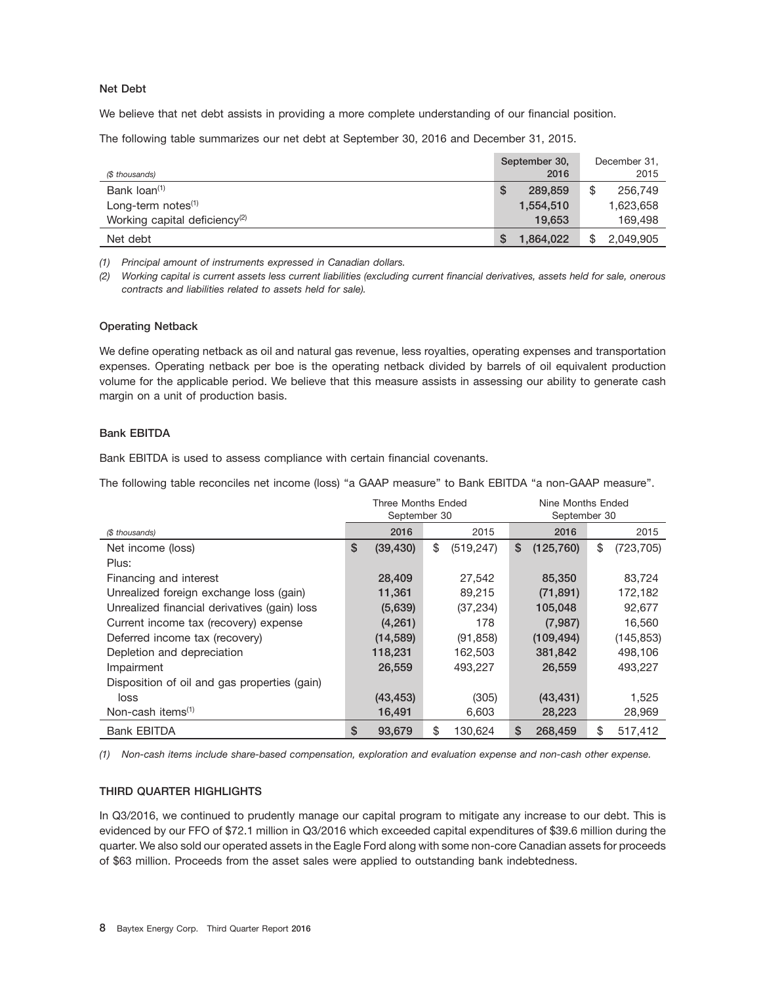#### **Net Debt**

We believe that net debt assists in providing a more complete understanding of our financial position.

The following table summarizes our net debt at September 30, 2016 and December 31, 2015.

| (\$ thousands)                            | September 30,<br>2016 | December 31,<br>2015 |
|-------------------------------------------|-----------------------|----------------------|
| Bank $\text{Ioan}^{(1)}$                  | S<br>289,859          | 256,749              |
| Long-term notes $(1)$                     | 1,554,510             | 1,623,658            |
| Working capital deficiency <sup>(2)</sup> | 19,653                | 169.498              |
| Net debt                                  | 1,864,022<br>S        | 2,049,905<br>\$.     |

*(1) Principal amount of instruments expressed in Canadian dollars.*

*(2) Working capital is current assets less current liabilities (excluding current financial derivatives, assets held for sale, onerous contracts and liabilities related to assets held for sale).*

#### **Operating Netback**

We define operating netback as oil and natural gas revenue, less royalties, operating expenses and transportation expenses. Operating netback per boe is the operating netback divided by barrels of oil equivalent production volume for the applicable period. We believe that this measure assists in assessing our ability to generate cash margin on a unit of production basis.

#### **Bank EBITDA**

Bank EBITDA is used to assess compliance with certain financial covenants.

The following table reconciles net income (loss) "a GAAP measure" to Bank EBITDA "a non-GAAP measure".

|                                              | Three Months Ended<br>September 30 |           |    |            |    | Nine Months Ended<br>September 30 |      |            |  |
|----------------------------------------------|------------------------------------|-----------|----|------------|----|-----------------------------------|------|------------|--|
| (\$ thousands)                               | 2016<br>2015                       |           |    |            |    | 2016                              | 2015 |            |  |
| Net income (loss)                            | \$                                 | (39, 430) | \$ | (519, 247) | \$ | (125, 760)                        | \$   | (723, 705) |  |
| Plus:                                        |                                    |           |    |            |    |                                   |      |            |  |
| Financing and interest                       |                                    | 28,409    |    | 27,542     |    | 85,350                            |      | 83,724     |  |
| Unrealized foreign exchange loss (gain)      |                                    | 11,361    |    | 89,215     |    | (71, 891)                         |      | 172,182    |  |
| Unrealized financial derivatives (gain) loss |                                    | (5,639)   |    | (37, 234)  |    | 105,048                           |      | 92,677     |  |
| Current income tax (recovery) expense        |                                    | (4,261)   |    | 178        |    | (7,987)                           |      | 16,560     |  |
| Deferred income tax (recovery)               |                                    | (14, 589) |    | (91, 858)  |    | (109, 494)                        |      | (145, 853) |  |
| Depletion and depreciation                   |                                    | 118,231   |    | 162,503    |    | 381,842                           |      | 498,106    |  |
| Impairment                                   |                                    | 26,559    |    | 493,227    |    | 26,559                            |      | 493,227    |  |
| Disposition of oil and gas properties (gain) |                                    |           |    |            |    |                                   |      |            |  |
| loss                                         |                                    | (43, 453) |    | (305)      |    | (43, 431)                         |      | 1,525      |  |
| Non-cash items <sup>(1)</sup>                |                                    | 16,491    |    | 6,603      |    | 28,223                            |      | 28,969     |  |
| <b>Bank EBITDA</b>                           | \$                                 | 93,679    | \$ | 130,624    | \$ | 268,459                           | \$   | 517,412    |  |

*(1) Non-cash items include share-based compensation, exploration and evaluation expense and non-cash other expense.*

#### **THIRD QUARTER HIGHLIGHTS**

In Q3/2016, we continued to prudently manage our capital program to mitigate any increase to our debt. This is evidenced by our FFO of \$72.1 million in Q3/2016 which exceeded capital expenditures of \$39.6 million during the quarter. We also sold our operated assets in the Eagle Ford along with some non-core Canadian assets for proceeds of \$63 million. Proceeds from the asset sales were applied to outstanding bank indebtedness.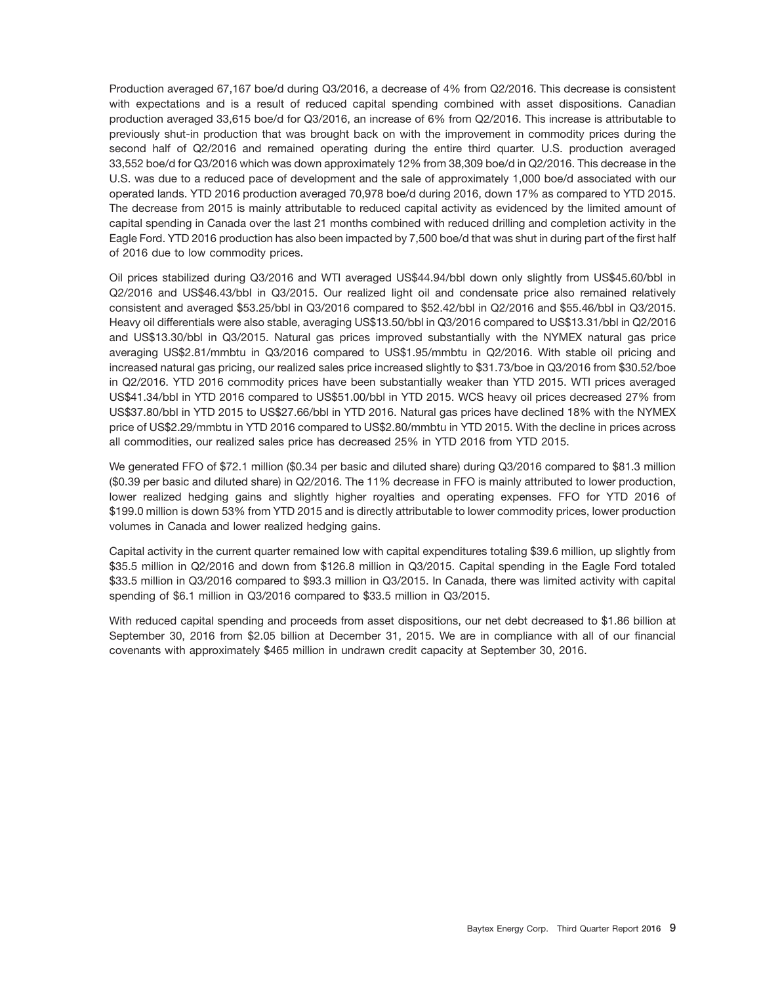Production averaged 67,167 boe/d during Q3/2016, a decrease of 4% from Q2/2016. This decrease is consistent with expectations and is a result of reduced capital spending combined with asset dispositions. Canadian production averaged 33,615 boe/d for Q3/2016, an increase of 6% from Q2/2016. This increase is attributable to previously shut-in production that was brought back on with the improvement in commodity prices during the second half of Q2/2016 and remained operating during the entire third quarter. U.S. production averaged 33,552 boe/d for Q3/2016 which was down approximately 12% from 38,309 boe/d in Q2/2016. This decrease in the U.S. was due to a reduced pace of development and the sale of approximately 1,000 boe/d associated with our operated lands. YTD 2016 production averaged 70,978 boe/d during 2016, down 17% as compared to YTD 2015. The decrease from 2015 is mainly attributable to reduced capital activity as evidenced by the limited amount of capital spending in Canada over the last 21 months combined with reduced drilling and completion activity in the Eagle Ford. YTD 2016 production has also been impacted by 7,500 boe/d that was shut in during part of the first half of 2016 due to low commodity prices.

Oil prices stabilized during Q3/2016 and WTI averaged US\$44.94/bbl down only slightly from US\$45.60/bbl in Q2/2016 and US\$46.43/bbl in Q3/2015. Our realized light oil and condensate price also remained relatively consistent and averaged \$53.25/bbl in Q3/2016 compared to \$52.42/bbl in Q2/2016 and \$55.46/bbl in Q3/2015. Heavy oil differentials were also stable, averaging US\$13.50/bbl in Q3/2016 compared to US\$13.31/bbl in Q2/2016 and US\$13.30/bbl in Q3/2015. Natural gas prices improved substantially with the NYMEX natural gas price averaging US\$2.81/mmbtu in Q3/2016 compared to US\$1.95/mmbtu in Q2/2016. With stable oil pricing and increased natural gas pricing, our realized sales price increased slightly to \$31.73/boe in Q3/2016 from \$30.52/boe in Q2/2016. YTD 2016 commodity prices have been substantially weaker than YTD 2015. WTI prices averaged US\$41.34/bbl in YTD 2016 compared to US\$51.00/bbl in YTD 2015. WCS heavy oil prices decreased 27% from US\$37.80/bbl in YTD 2015 to US\$27.66/bbl in YTD 2016. Natural gas prices have declined 18% with the NYMEX price of US\$2.29/mmbtu in YTD 2016 compared to US\$2.80/mmbtu in YTD 2015. With the decline in prices across all commodities, our realized sales price has decreased 25% in YTD 2016 from YTD 2015.

We generated FFO of \$72.1 million (\$0.34 per basic and diluted share) during Q3/2016 compared to \$81.3 million (\$0.39 per basic and diluted share) in Q2/2016. The 11% decrease in FFO is mainly attributed to lower production, lower realized hedging gains and slightly higher royalties and operating expenses. FFO for YTD 2016 of \$199.0 million is down 53% from YTD 2015 and is directly attributable to lower commodity prices, lower production volumes in Canada and lower realized hedging gains.

Capital activity in the current quarter remained low with capital expenditures totaling \$39.6 million, up slightly from \$35.5 million in Q2/2016 and down from \$126.8 million in Q3/2015. Capital spending in the Eagle Ford totaled \$33.5 million in Q3/2016 compared to \$93.3 million in Q3/2015. In Canada, there was limited activity with capital spending of \$6.1 million in Q3/2016 compared to \$33.5 million in Q3/2015.

With reduced capital spending and proceeds from asset dispositions, our net debt decreased to \$1.86 billion at September 30, 2016 from \$2.05 billion at December 31, 2015. We are in compliance with all of our financial covenants with approximately \$465 million in undrawn credit capacity at September 30, 2016.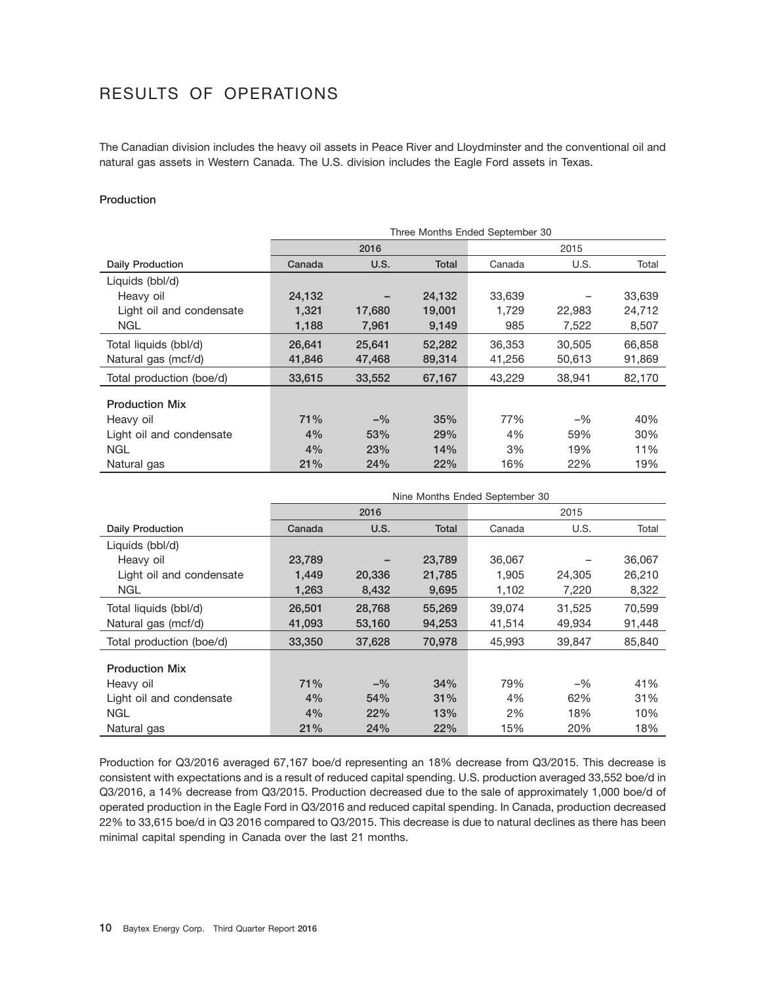# RESULTS OF OPERATIONS

The Canadian division includes the heavy oil assets in Peace River and Lloydminster and the conventional oil and natural gas assets in Western Canada. The U.S. division includes the Eagle Ford assets in Texas.

#### **Production**

|                          | Three Months Ended September 30 |                 |              |        |        |        |  |  |  |  |
|--------------------------|---------------------------------|-----------------|--------------|--------|--------|--------|--|--|--|--|
|                          |                                 | 2016            |              |        | 2015   |        |  |  |  |  |
| <b>Daily Production</b>  | Canada                          | U.S.            | <b>Total</b> | Canada | U.S.   | Total  |  |  |  |  |
| Liquids (bbl/d)          |                                 |                 |              |        |        |        |  |  |  |  |
| Heavy oil                | 24,132                          |                 | 24,132       | 33,639 |        | 33,639 |  |  |  |  |
| Light oil and condensate | 1,321                           | 17.680          | 19,001       | 1.729  | 22,983 | 24,712 |  |  |  |  |
| <b>NGL</b>               | 1,188                           | 7,961           | 9,149        | 985    | 7,522  | 8,507  |  |  |  |  |
| Total liquids (bbl/d)    | 26,641                          | 25.641          | 52,282       | 36,353 | 30.505 | 66,858 |  |  |  |  |
| Natural gas (mcf/d)      | 41,846                          | 47,468          | 89,314       | 41,256 | 50,613 | 91,869 |  |  |  |  |
| Total production (boe/d) | 33,615                          | 33,552          | 67,167       | 43,229 | 38,941 | 82,170 |  |  |  |  |
| <b>Production Mix</b>    |                                 |                 |              |        |        |        |  |  |  |  |
| Heavy oil                | 71%                             | $- \frac{9}{6}$ | 35%          | 77%    | $-$ %  | 40%    |  |  |  |  |
| Light oil and condensate | 4%                              | 53%             | 29%          | 4%     | 59%    | 30%    |  |  |  |  |
| <b>NGL</b>               | 4%                              | 23%             | 14%          | 3%     | 19%    | 11%    |  |  |  |  |
| Natural gas              | 21%                             | 24%             | 22%          | 16%    | 22%    | 19%    |  |  |  |  |

|                          |        | Nine Months Ended September 30 |              |        |        |        |  |  |  |  |  |
|--------------------------|--------|--------------------------------|--------------|--------|--------|--------|--|--|--|--|--|
|                          |        | 2016                           |              |        | 2015   |        |  |  |  |  |  |
| <b>Daily Production</b>  | Canada | U.S.                           | <b>Total</b> | Canada | U.S.   | Total  |  |  |  |  |  |
| Liquids (bbl/d)          |        |                                |              |        |        |        |  |  |  |  |  |
| Heavy oil                | 23,789 |                                | 23,789       | 36,067 |        | 36,067 |  |  |  |  |  |
| Light oil and condensate | 1,449  | 20,336                         | 21,785       | 1,905  | 24,305 | 26,210 |  |  |  |  |  |
| <b>NGL</b>               | 1,263  | 8,432                          | 9,695        | 1,102  | 7,220  | 8,322  |  |  |  |  |  |
| Total liquids (bbl/d)    | 26,501 | 28,768                         | 55,269       | 39,074 | 31,525 | 70,599 |  |  |  |  |  |
| Natural gas (mcf/d)      | 41,093 | 53,160                         | 94,253       | 41,514 | 49,934 | 91,448 |  |  |  |  |  |
| Total production (boe/d) | 33,350 | 37,628                         | 70,978       | 45,993 | 39,847 | 85,840 |  |  |  |  |  |
| <b>Production Mix</b>    |        |                                |              |        |        |        |  |  |  |  |  |
|                          |        |                                |              | 79%    |        |        |  |  |  |  |  |
| Heavy oil                | 71%    | $-$ %                          | 34%          |        | $-$ %  | 41%    |  |  |  |  |  |
| Light oil and condensate | 4%     | 54%                            | 31%          | 4%     | 62%    | 31%    |  |  |  |  |  |
| <b>NGL</b>               | 4%     | 22%                            | 13%          | 2%     | 18%    | 10%    |  |  |  |  |  |
| Natural gas              | 21%    | 24%                            | 22%          | 15%    | 20%    | 18%    |  |  |  |  |  |

Production for Q3/2016 averaged 67,167 boe/d representing an 18% decrease from Q3/2015. This decrease is consistent with expectations and is a result of reduced capital spending. U.S. production averaged 33,552 boe/d in Q3/2016, a 14% decrease from Q3/2015. Production decreased due to the sale of approximately 1,000 boe/d of operated production in the Eagle Ford in Q3/2016 and reduced capital spending. In Canada, production decreased 22% to 33,615 boe/d in Q3 2016 compared to Q3/2015. This decrease is due to natural declines as there has been minimal capital spending in Canada over the last 21 months.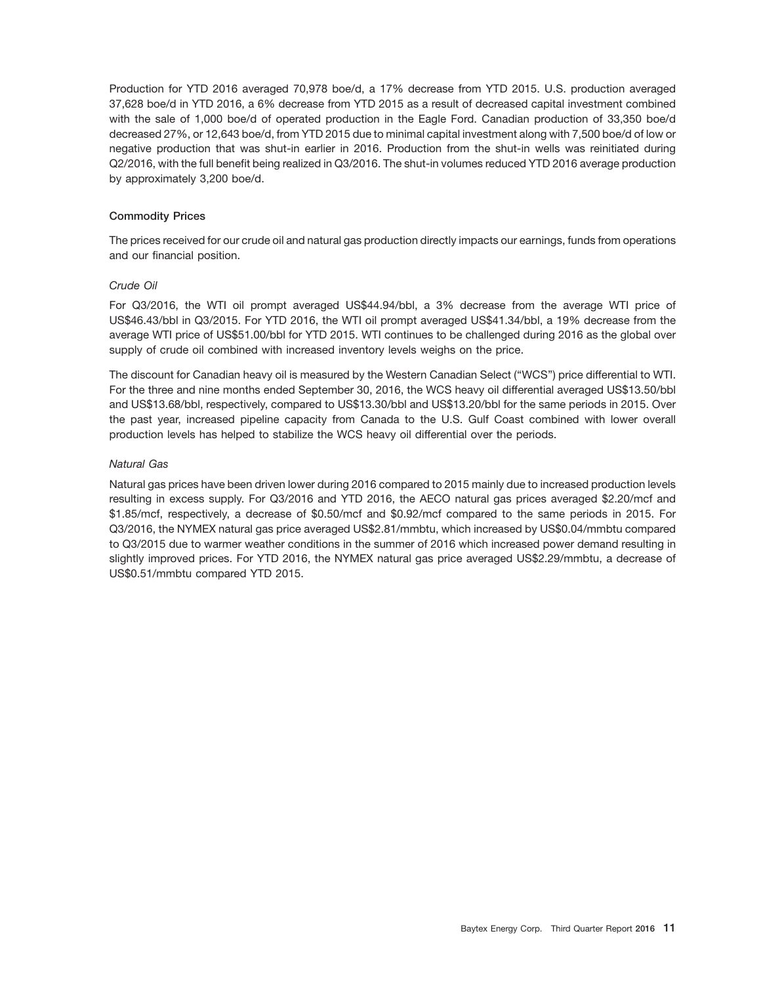Production for YTD 2016 averaged 70,978 boe/d, a 17% decrease from YTD 2015. U.S. production averaged 37,628 boe/d in YTD 2016, a 6% decrease from YTD 2015 as a result of decreased capital investment combined with the sale of 1,000 boe/d of operated production in the Eagle Ford. Canadian production of 33,350 boe/d decreased 27%, or 12,643 boe/d, from YTD 2015 due to minimal capital investment along with 7,500 boe/d of low or negative production that was shut-in earlier in 2016. Production from the shut-in wells was reinitiated during Q2/2016, with the full benefit being realized in Q3/2016. The shut-in volumes reduced YTD 2016 average production by approximately 3,200 boe/d.

#### **Commodity Prices**

The prices received for our crude oil and natural gas production directly impacts our earnings, funds from operations and our financial position.

#### *Crude Oil*

For Q3/2016, the WTI oil prompt averaged US\$44.94/bbl, a 3% decrease from the average WTI price of US\$46.43/bbl in Q3/2015. For YTD 2016, the WTI oil prompt averaged US\$41.34/bbl, a 19% decrease from the average WTI price of US\$51.00/bbl for YTD 2015. WTI continues to be challenged during 2016 as the global over supply of crude oil combined with increased inventory levels weighs on the price.

The discount for Canadian heavy oil is measured by the Western Canadian Select (''WCS'') price differential to WTI. For the three and nine months ended September 30, 2016, the WCS heavy oil differential averaged US\$13.50/bbl and US\$13.68/bbl, respectively, compared to US\$13.30/bbl and US\$13.20/bbl for the same periods in 2015. Over the past year, increased pipeline capacity from Canada to the U.S. Gulf Coast combined with lower overall production levels has helped to stabilize the WCS heavy oil differential over the periods.

#### *Natural Gas*

Natural gas prices have been driven lower during 2016 compared to 2015 mainly due to increased production levels resulting in excess supply. For Q3/2016 and YTD 2016, the AECO natural gas prices averaged \$2.20/mcf and \$1.85/mcf, respectively, a decrease of \$0.50/mcf and \$0.92/mcf compared to the same periods in 2015. For Q3/2016, the NYMEX natural gas price averaged US\$2.81/mmbtu, which increased by US\$0.04/mmbtu compared to Q3/2015 due to warmer weather conditions in the summer of 2016 which increased power demand resulting in slightly improved prices. For YTD 2016, the NYMEX natural gas price averaged US\$2.29/mmbtu, a decrease of US\$0.51/mmbtu compared YTD 2015.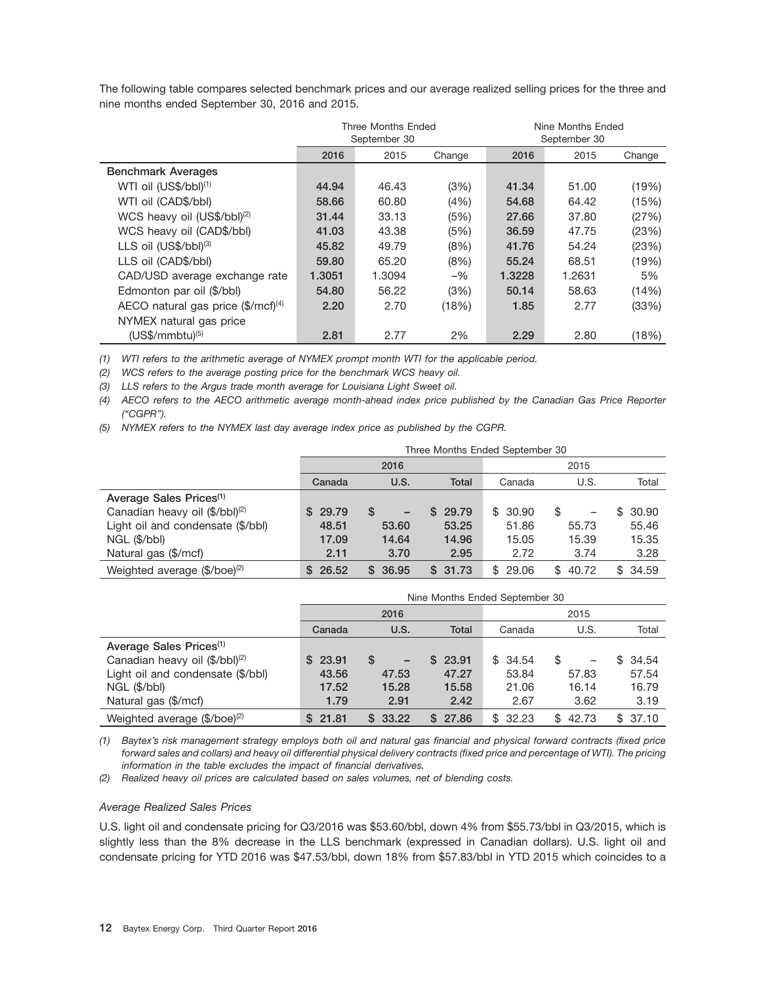|                                                |        | Three Months Ended<br>September 30 |        | Nine Months Ended<br>September 30 |        |        |  |
|------------------------------------------------|--------|------------------------------------|--------|-----------------------------------|--------|--------|--|
|                                                | 2016   | 2015                               | Change | 2016                              | 2015   | Change |  |
| <b>Benchmark Averages</b>                      |        |                                    |        |                                   |        |        |  |
| WTI oil (US\$/bbl) <sup>(1)</sup>              | 44.94  | 46.43                              | (3%)   | 41.34                             | 51.00  | (19%)  |  |
| WTI oil (CAD\$/bbl)                            | 58.66  | 60.80                              | (4% )  | 54.68                             | 64.42  | (15%)  |  |
| WCS heavy oil (US\$/bbl) <sup>(2)</sup>        | 31.44  | 33.13                              | (5%)   | 27.66                             | 37.80  | (27%)  |  |
| WCS heavy oil (CAD\$/bbl)                      | 41.03  | 43.38                              | (5%)   | 36.59                             | 47.75  | (23%)  |  |
| LLS oil (US\$/bbl) <sup>(3)</sup>              | 45.82  | 49.79                              | (8%)   | 41.76                             | 54.24  | (23%)  |  |
| LLS oil (CAD\$/bbl)                            | 59.80  | 65.20                              | (8%)   | 55.24                             | 68.51  | (19%)  |  |
| CAD/USD average exchange rate                  | 1.3051 | 1.3094                             | $-$ %  | 1.3228                            | 1.2631 | 5%     |  |
| Edmonton par oil (\$/bbl)                      | 54.80  | 56.22                              | (3%)   | 50.14                             | 58.63  | (14%)  |  |
| AECO natural gas price $(\frac{5}{mcf})^{(4)}$ | 2.20   | 2.70                               | (18%)  | 1.85                              | 2.77   | (33%)  |  |
| NYMEX natural gas price                        |        |                                    |        |                                   |        |        |  |
| $(USS/mm$ btu $)^{(5)}$                        | 2.81   | 2.77                               | 2%     | 2.29                              | 2.80   | (18%)  |  |

The following table compares selected benchmark prices and our average realized selling prices for the three and nine months ended September 30, 2016 and 2015.

*(1) WTI refers to the arithmetic average of NYMEX prompt month WTI for the applicable period.*

*(2) WCS refers to the average posting price for the benchmark WCS heavy oil.*

*(3) LLS refers to the Argus trade month average for Louisiana Light Sweet oil.*

*(4) AECO refers to the AECO arithmetic average month-ahead index price published by the Canadian Gas Price Reporter (''CGPR'').*

*(5) NYMEX refers to the NYMEX last day average index price as published by the CGPR.*

|                                            |             | Three Months Ended September 30 |              |              |             |              |  |  |  |  |
|--------------------------------------------|-------------|---------------------------------|--------------|--------------|-------------|--------------|--|--|--|--|
|                                            |             | 2016                            |              | 2015         |             |              |  |  |  |  |
|                                            | Canada      | U.S.                            | Total        | Canada       | U.S.        | Total        |  |  |  |  |
| Average Sales Prices <sup>(1)</sup>        |             |                                 |              |              |             |              |  |  |  |  |
| Canadian heavy oil (\$/bbl) <sup>(2)</sup> | \$29.79     | S<br>$\overline{\phantom{0}}$   | 29.79<br>SS. | \$30.90      | \$<br>-     | 30.90<br>\$. |  |  |  |  |
| Light oil and condensate (\$/bbl)          | 48.51       | 53.60                           | 53.25        | 51.86        | 55.73       | 55.46        |  |  |  |  |
| NGL (\$/bbl)                               | 17.09       | 14.64                           | 14.96        | 15.05        | 15.39       | 15.35        |  |  |  |  |
| Natural gas (\$/mcf)                       | 2.11        | 3.70                            | 2.95         | 2.72         | 3.74        | 3.28         |  |  |  |  |
| Weighted average $(\frac{6}{\log^2})$      | 26.52<br>S. | \$36.95                         | \$31.73      | 29.06<br>\$. | 40.72<br>\$ | 34.59<br>£.  |  |  |  |  |

|                                                | Nine Months Ended September 30 |                                 |              |         |                                |          |  |  |  |
|------------------------------------------------|--------------------------------|---------------------------------|--------------|---------|--------------------------------|----------|--|--|--|
|                                                |                                | 2016                            |              | 2015    |                                |          |  |  |  |
|                                                | Canada                         | U.S.                            | <b>Total</b> | Canada  | U.S.                           | Total    |  |  |  |
| Average Sales Prices <sup>(1)</sup>            |                                |                                 |              |         |                                |          |  |  |  |
| Canadian heavy oil (\$/bbl) <sup>(2)</sup>     | \$23.91                        | \$.<br>$\overline{\phantom{0}}$ | \$23.91      | \$34.54 | \$<br>$\overline{\phantom{0}}$ | \$ 34.54 |  |  |  |
| Light oil and condensate (\$/bbl)              | 43.56                          | 47.53                           | 47.27        | 53.84   | 57.83                          | 57.54    |  |  |  |
| NGL (\$/bbl)                                   | 17.52                          | 15.28                           | 15.58        | 21.06   | 16.14                          | 16.79    |  |  |  |
| Natural gas (\$/mcf)                           | 1.79                           | 2.91                            | 2.42         | 2.67    | 3.62                           | 3.19     |  |  |  |
| Weighted average $(\frac{4}{5})$ boe $)^{(2)}$ | S.<br>21.81                    | \$33.22                         | \$27.86      | \$32.23 | 42.73<br>\$.                   | \$37.10  |  |  |  |

*(1) Baytex's risk management strategy employs both oil and natural gas financial and physical forward contracts (fixed price forward sales and collars) and heavy oil differential physical delivery contracts (fixed price and percentage of WTI). The pricing information in the table excludes the impact of financial derivatives.*

*(2) Realized heavy oil prices are calculated based on sales volumes, net of blending costs.*

## *Average Realized Sales Prices*

U.S. light oil and condensate pricing for Q3/2016 was \$53.60/bbl, down 4% from \$55.73/bbl in Q3/2015, which is slightly less than the 8% decrease in the LLS benchmark (expressed in Canadian dollars). U.S. light oil and condensate pricing for YTD 2016 was \$47.53/bbl, down 18% from \$57.83/bbl in YTD 2015 which coincides to a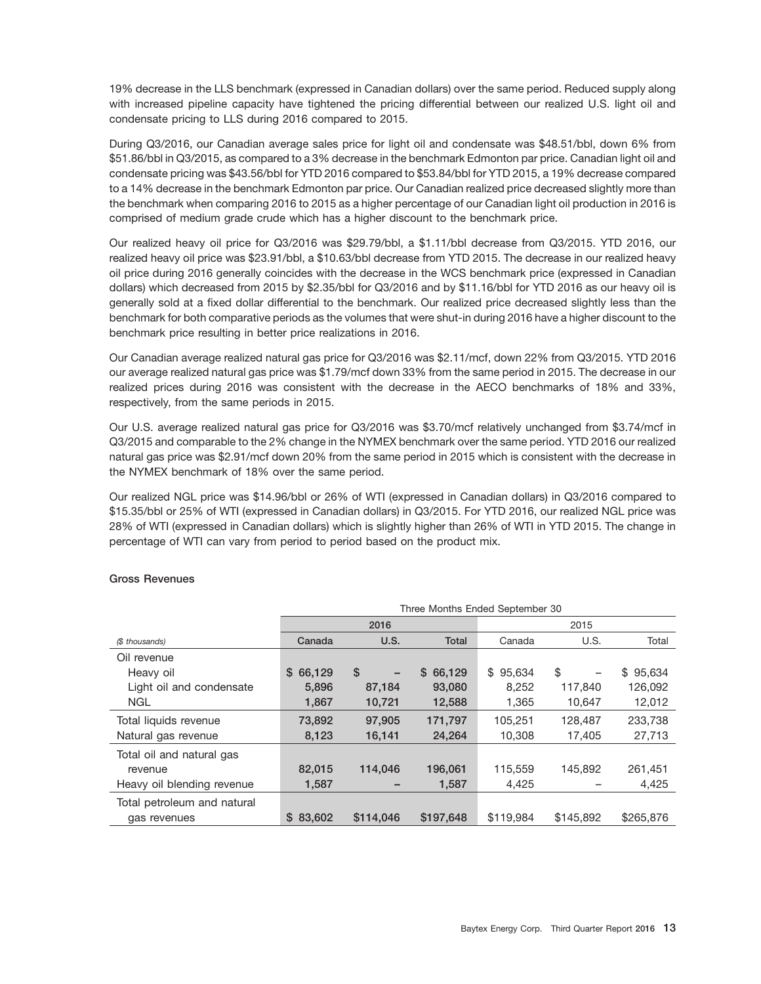19% decrease in the LLS benchmark (expressed in Canadian dollars) over the same period. Reduced supply along with increased pipeline capacity have tightened the pricing differential between our realized U.S. light oil and condensate pricing to LLS during 2016 compared to 2015.

During Q3/2016, our Canadian average sales price for light oil and condensate was \$48.51/bbl, down 6% from \$51.86/bbl in Q3/2015, as compared to a 3% decrease in the benchmark Edmonton par price. Canadian light oil and condensate pricing was \$43.56/bbl for YTD 2016 compared to \$53.84/bbl for YTD 2015, a 19% decrease compared to a 14% decrease in the benchmark Edmonton par price. Our Canadian realized price decreased slightly more than the benchmark when comparing 2016 to 2015 as a higher percentage of our Canadian light oil production in 2016 is comprised of medium grade crude which has a higher discount to the benchmark price.

Our realized heavy oil price for Q3/2016 was \$29.79/bbl, a \$1.11/bbl decrease from Q3/2015. YTD 2016, our realized heavy oil price was \$23.91/bbl, a \$10.63/bbl decrease from YTD 2015. The decrease in our realized heavy oil price during 2016 generally coincides with the decrease in the WCS benchmark price (expressed in Canadian dollars) which decreased from 2015 by \$2.35/bbl for Q3/2016 and by \$11.16/bbl for YTD 2016 as our heavy oil is generally sold at a fixed dollar differential to the benchmark. Our realized price decreased slightly less than the benchmark for both comparative periods as the volumes that were shut-in during 2016 have a higher discount to the benchmark price resulting in better price realizations in 2016.

Our Canadian average realized natural gas price for Q3/2016 was \$2.11/mcf, down 22% from Q3/2015. YTD 2016 our average realized natural gas price was \$1.79/mcf down 33% from the same period in 2015. The decrease in our realized prices during 2016 was consistent with the decrease in the AECO benchmarks of 18% and 33%, respectively, from the same periods in 2015.

Our U.S. average realized natural gas price for Q3/2016 was \$3.70/mcf relatively unchanged from \$3.74/mcf in Q3/2015 and comparable to the 2% change in the NYMEX benchmark over the same period. YTD 2016 our realized natural gas price was \$2.91/mcf down 20% from the same period in 2015 which is consistent with the decrease in the NYMEX benchmark of 18% over the same period.

Our realized NGL price was \$14.96/bbl or 26% of WTI (expressed in Canadian dollars) in Q3/2016 compared to \$15.35/bbl or 25% of WTI (expressed in Canadian dollars) in Q3/2015. For YTD 2016, our realized NGL price was 28% of WTI (expressed in Canadian dollars) which is slightly higher than 26% of WTI in YTD 2015. The change in percentage of WTI can vary from period to period based on the product mix.

|                             | Three Months Ended September 30 |           |           |           |           |           |  |  |  |  |  |
|-----------------------------|---------------------------------|-----------|-----------|-----------|-----------|-----------|--|--|--|--|--|
|                             |                                 | 2016      |           | 2015      |           |           |  |  |  |  |  |
| (\$ thousands)              | Canada                          | U.S.      | Total     | Canada    | U.S.      | Total     |  |  |  |  |  |
| Oil revenue                 |                                 |           |           |           |           |           |  |  |  |  |  |
| Heavy oil                   | \$66,129                        | \$<br>-   | \$66,129  | \$95.634  | \$        | \$95,634  |  |  |  |  |  |
| Light oil and condensate    | 5,896                           | 87,184    | 93,080    | 8,252     | 117,840   | 126,092   |  |  |  |  |  |
| <b>NGL</b>                  | 1,867                           | 10,721    | 12,588    | 1,365     | 10,647    | 12,012    |  |  |  |  |  |
| Total liquids revenue       | 73,892                          | 97,905    | 171,797   | 105,251   | 128,487   | 233,738   |  |  |  |  |  |
| Natural gas revenue         | 8,123                           | 16,141    | 24,264    | 10.308    | 17,405    | 27,713    |  |  |  |  |  |
| Total oil and natural gas   |                                 |           |           |           |           |           |  |  |  |  |  |
| revenue                     | 82,015                          | 114.046   | 196,061   | 115,559   | 145.892   | 261,451   |  |  |  |  |  |
| Heavy oil blending revenue  | 1,587                           |           | 1,587     | 4,425     |           | 4,425     |  |  |  |  |  |
| Total petroleum and natural |                                 |           |           |           |           |           |  |  |  |  |  |
| gas revenues                | \$83,602                        | \$114,046 | \$197,648 | \$119,984 | \$145,892 | \$265,876 |  |  |  |  |  |

#### **Gross Revenues**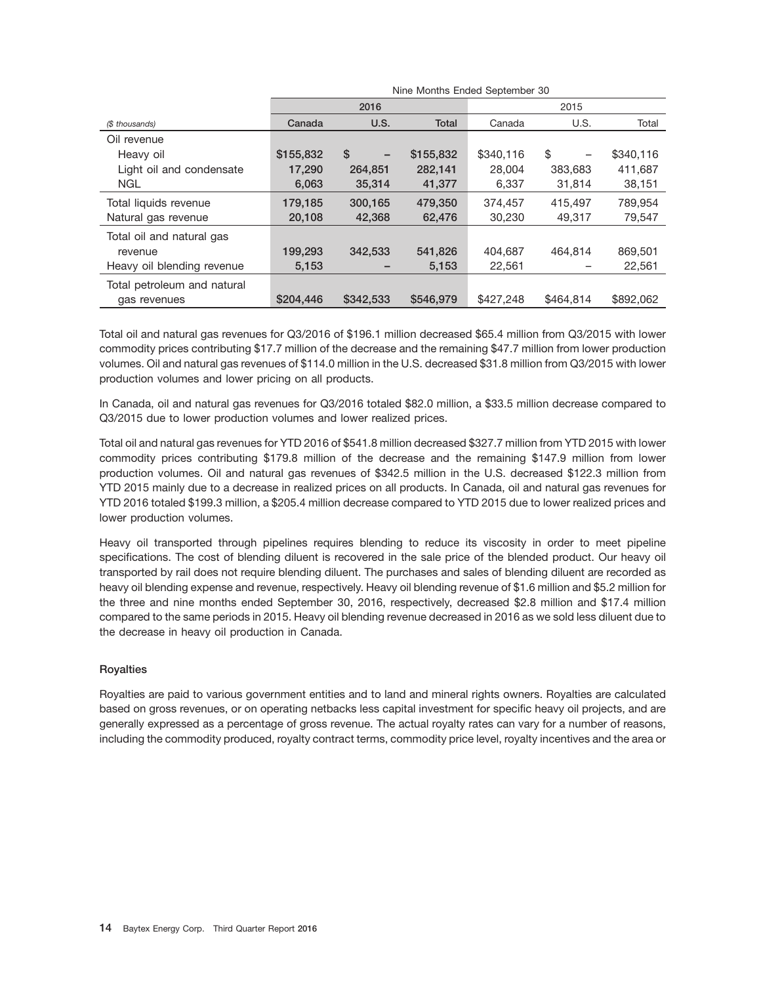|                             |           | Nine Months Ended September 30 |           |           |                                |           |  |  |  |  |
|-----------------------------|-----------|--------------------------------|-----------|-----------|--------------------------------|-----------|--|--|--|--|
|                             |           | 2016                           |           |           | 2015                           |           |  |  |  |  |
| (\$ thousands)              | Canada    | U.S.                           | Total     | Canada    | U.S.                           | Total     |  |  |  |  |
| Oil revenue                 |           |                                |           |           |                                |           |  |  |  |  |
| Heavy oil                   | \$155,832 | \$<br>-                        | \$155,832 | \$340,116 | \$<br>$\overline{\phantom{0}}$ | \$340,116 |  |  |  |  |
| Light oil and condensate    | 17,290    | 264,851                        | 282,141   | 28,004    | 383,683                        | 411,687   |  |  |  |  |
| <b>NGL</b>                  | 6,063     | 35,314                         | 41,377    | 6,337     | 31,814                         | 38,151    |  |  |  |  |
| Total liquids revenue       | 179,185   | 300,165                        | 479.350   | 374.457   | 415.497                        | 789,954   |  |  |  |  |
| Natural gas revenue         | 20.108    | 42.368                         | 62.476    | 30,230    | 49.317                         | 79.547    |  |  |  |  |
| Total oil and natural gas   |           |                                |           |           |                                |           |  |  |  |  |
| revenue                     | 199,293   | 342.533                        | 541.826   | 404.687   | 464.814                        | 869,501   |  |  |  |  |
| Heavy oil blending revenue  | 5,153     |                                | 5,153     | 22,561    |                                | 22,561    |  |  |  |  |
| Total petroleum and natural |           |                                |           |           |                                |           |  |  |  |  |
| gas revenues                | \$204,446 | \$342,533                      | \$546,979 | \$427,248 | \$464,814                      | \$892,062 |  |  |  |  |

Nine Months Ended September 30

Total oil and natural gas revenues for Q3/2016 of \$196.1 million decreased \$65.4 million from Q3/2015 with lower commodity prices contributing \$17.7 million of the decrease and the remaining \$47.7 million from lower production volumes. Oil and natural gas revenues of \$114.0 million in the U.S. decreased \$31.8 million from Q3/2015 with lower production volumes and lower pricing on all products.

In Canada, oil and natural gas revenues for Q3/2016 totaled \$82.0 million, a \$33.5 million decrease compared to Q3/2015 due to lower production volumes and lower realized prices.

Total oil and natural gas revenues for YTD 2016 of \$541.8 million decreased \$327.7 million from YTD 2015 with lower commodity prices contributing \$179.8 million of the decrease and the remaining \$147.9 million from lower production volumes. Oil and natural gas revenues of \$342.5 million in the U.S. decreased \$122.3 million from YTD 2015 mainly due to a decrease in realized prices on all products. In Canada, oil and natural gas revenues for YTD 2016 totaled \$199.3 million, a \$205.4 million decrease compared to YTD 2015 due to lower realized prices and lower production volumes.

Heavy oil transported through pipelines requires blending to reduce its viscosity in order to meet pipeline specifications. The cost of blending diluent is recovered in the sale price of the blended product. Our heavy oil transported by rail does not require blending diluent. The purchases and sales of blending diluent are recorded as heavy oil blending expense and revenue, respectively. Heavy oil blending revenue of \$1.6 million and \$5.2 million for the three and nine months ended September 30, 2016, respectively, decreased \$2.8 million and \$17.4 million compared to the same periods in 2015. Heavy oil blending revenue decreased in 2016 as we sold less diluent due to the decrease in heavy oil production in Canada.

#### **Royalties**

Royalties are paid to various government entities and to land and mineral rights owners. Royalties are calculated based on gross revenues, or on operating netbacks less capital investment for specific heavy oil projects, and are generally expressed as a percentage of gross revenue. The actual royalty rates can vary for a number of reasons, including the commodity produced, royalty contract terms, commodity price level, royalty incentives and the area or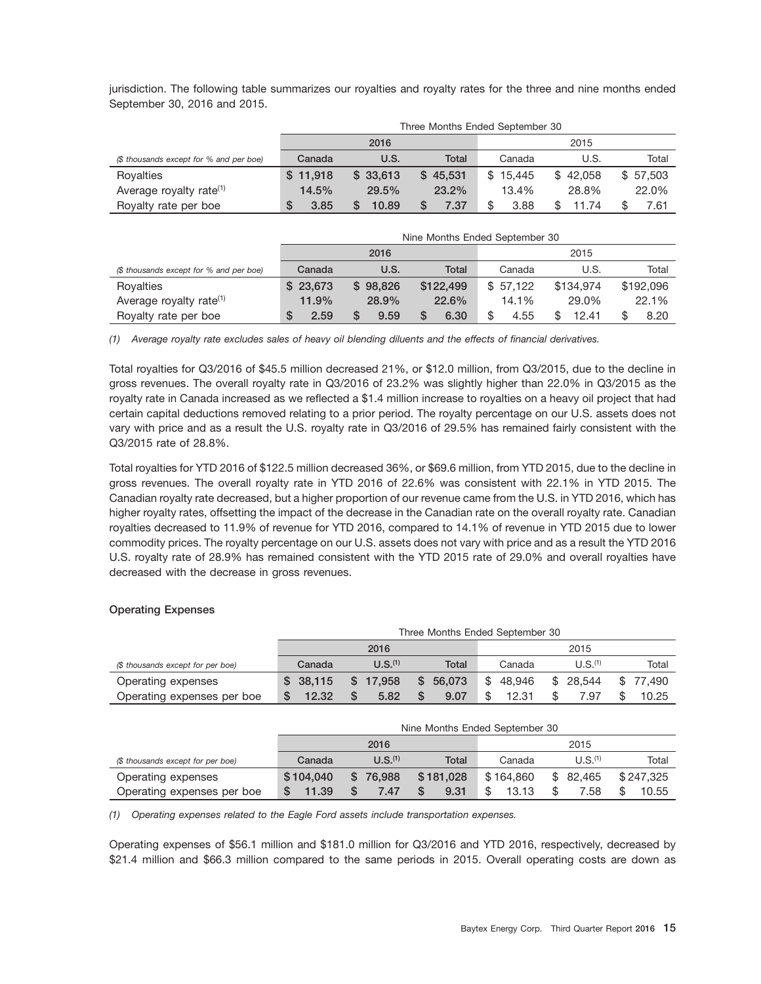jurisdiction. The following table summarizes our royalties and royalty rates for the three and nine months ended September 30, 2016 and 2015.

|                                         | Three Months Ended September 30 |          |          |            |          |          |  |  |  |  |
|-----------------------------------------|---------------------------------|----------|----------|------------|----------|----------|--|--|--|--|
|                                         |                                 | 2016     |          |            | 2015     |          |  |  |  |  |
| (\$ thousands except for % and per boe) | Canada                          | U.S.     | Total    | Canada     | U.S.     | Total    |  |  |  |  |
| Royalties                               | \$11,918                        | \$33.613 | \$45.531 | \$15.445   | \$42.058 | \$57.503 |  |  |  |  |
| Average royalty rate <sup>(1)</sup>     | 14.5%                           | 29.5%    | 23.2%    | 13.4%      | 28.8%    | 22.0%    |  |  |  |  |
| Royalty rate per boe                    | 3.85                            | 10.89    | 7.37     | 3.88<br>\$ | 11.74    | 7.61     |  |  |  |  |

|                                         | Nine Months Ended September 30 |              |           |            |           |           |  |  |  |  |
|-----------------------------------------|--------------------------------|--------------|-----------|------------|-----------|-----------|--|--|--|--|
|                                         |                                | 2016<br>2015 |           |            |           |           |  |  |  |  |
| (\$ thousands except for % and per boe) | Canada                         | U.S.         | Total     | Canada     | U.S.      | Total     |  |  |  |  |
| Royalties                               | \$23.673                       | \$98.826     | \$122,499 | \$57.122   | \$134,974 | \$192,096 |  |  |  |  |
| Average royalty rate <sup>(1)</sup>     | 11.9%                          | 28.9%        | 22.6%     | 14.1%      | 29.0%     | 22.1%     |  |  |  |  |
| Royalty rate per boe                    | 2.59                           | 9.59<br>S    | 6.30      | \$<br>4.55 | 12.41     | 8.20      |  |  |  |  |

*(1) Average royalty rate excludes sales of heavy oil blending diluents and the effects of financial derivatives.*

Total royalties for Q3/2016 of \$45.5 million decreased 21%, or \$12.0 million, from Q3/2015, due to the decline in gross revenues. The overall royalty rate in Q3/2016 of 23.2% was slightly higher than 22.0% in Q3/2015 as the royalty rate in Canada increased as we reflected a \$1.4 million increase to royalties on a heavy oil project that had certain capital deductions removed relating to a prior period. The royalty percentage on our U.S. assets does not vary with price and as a result the U.S. royalty rate in Q3/2016 of 29.5% has remained fairly consistent with the Q3/2015 rate of 28.8%.

Total royalties for YTD 2016 of \$122.5 million decreased 36%, or \$69.6 million, from YTD 2015, due to the decline in gross revenues. The overall royalty rate in YTD 2016 of 22.6% was consistent with 22.1% in YTD 2015. The Canadian royalty rate decreased, but a higher proportion of our revenue came from the U.S. in YTD 2016, which has higher royalty rates, offsetting the impact of the decrease in the Canadian rate on the overall royalty rate. Canadian royalties decreased to 11.9% of revenue for YTD 2016, compared to 14.1% of revenue in YTD 2015 due to lower commodity prices. The royalty percentage on our U.S. assets does not vary with price and as a result the YTD 2016 U.S. royalty rate of 28.9% has remained consistent with the YTD 2015 rate of 29.0% and overall royalties have decreased with the decrease in gross revenues.

#### **Operating Expenses**

|                                   | Three Months Ended September 30 |                                        |              |          |                     |           |  |  |  |  |  |
|-----------------------------------|---------------------------------|----------------------------------------|--------------|----------|---------------------|-----------|--|--|--|--|--|
|                                   |                                 | 2016<br>2015                           |              |          |                     |           |  |  |  |  |  |
| (\$ thousands except for per boe) | Canada                          | U.S. <sup>(1)</sup>                    | Total        | Canada   | U.S. <sup>(1)</sup> | Total     |  |  |  |  |  |
| Operating expenses                | \$38.115                        | \$17.958                               | 56,073<br>S. | \$48.946 | \$ 28.544           | \$ 77.490 |  |  |  |  |  |
| Operating expenses per boe        | 12.32                           | 5.82<br>9.07<br>12.31<br>7.97<br>10.25 |              |          |                     |           |  |  |  |  |  |

|                                   | Nine Months Ended September 30 |                     |           |           |                     |           |  |  |  |  |
|-----------------------------------|--------------------------------|---------------------|-----------|-----------|---------------------|-----------|--|--|--|--|
|                                   |                                | 2016<br>2015        |           |           |                     |           |  |  |  |  |
| (\$ thousands except for per boe) | Canada                         | U.S. <sup>(1)</sup> | Total     | Canada    | U.S. <sup>(1)</sup> | Total     |  |  |  |  |
| Operating expenses                | \$104,040                      | \$76,988            | \$181,028 | \$164,860 | \$ 82,465           | \$247.325 |  |  |  |  |
| Operating expenses per boe        | 11.39                          | 7.47                | 9.31      | 13.13     | 7.58                | 10.55     |  |  |  |  |

*(1) Operating expenses related to the Eagle Ford assets include transportation expenses.*

Operating expenses of \$56.1 million and \$181.0 million for Q3/2016 and YTD 2016, respectively, decreased by \$21.4 million and \$66.3 million compared to the same periods in 2015. Overall operating costs are down as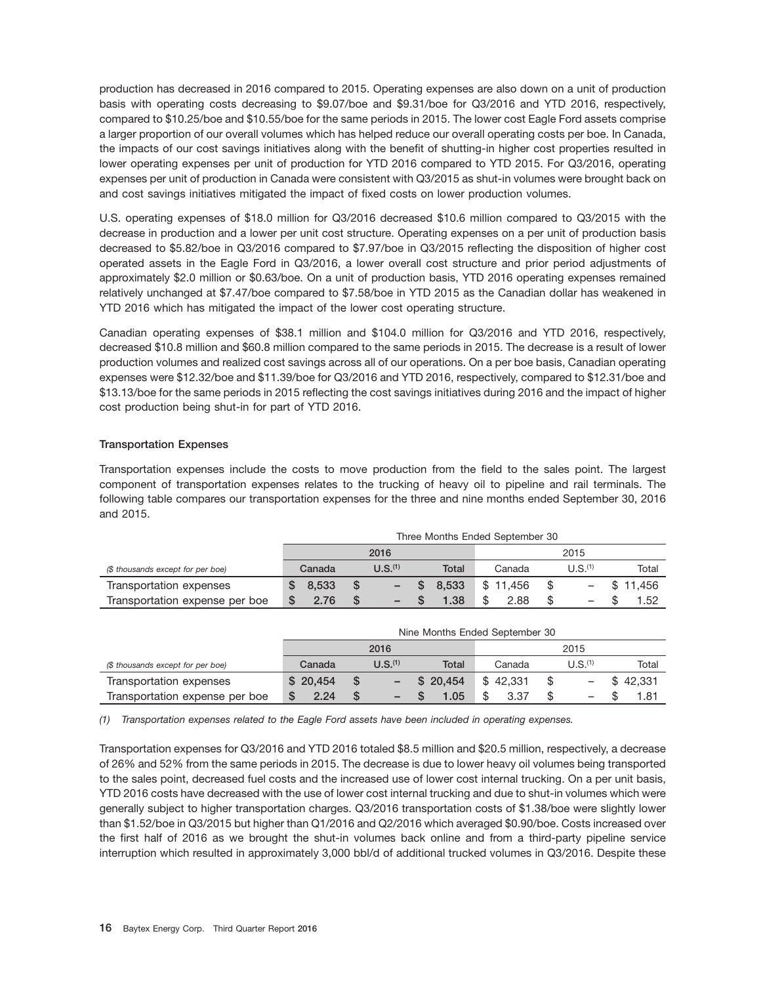production has decreased in 2016 compared to 2015. Operating expenses are also down on a unit of production basis with operating costs decreasing to \$9.07/boe and \$9.31/boe for Q3/2016 and YTD 2016, respectively, compared to \$10.25/boe and \$10.55/boe for the same periods in 2015. The lower cost Eagle Ford assets comprise a larger proportion of our overall volumes which has helped reduce our overall operating costs per boe. In Canada, the impacts of our cost savings initiatives along with the benefit of shutting-in higher cost properties resulted in lower operating expenses per unit of production for YTD 2016 compared to YTD 2015. For Q3/2016, operating expenses per unit of production in Canada were consistent with Q3/2015 as shut-in volumes were brought back on and cost savings initiatives mitigated the impact of fixed costs on lower production volumes.

U.S. operating expenses of \$18.0 million for Q3/2016 decreased \$10.6 million compared to Q3/2015 with the decrease in production and a lower per unit cost structure. Operating expenses on a per unit of production basis decreased to \$5.82/boe in Q3/2016 compared to \$7.97/boe in Q3/2015 reflecting the disposition of higher cost operated assets in the Eagle Ford in Q3/2016, a lower overall cost structure and prior period adjustments of approximately \$2.0 million or \$0.63/boe. On a unit of production basis, YTD 2016 operating expenses remained relatively unchanged at \$7.47/boe compared to \$7.58/boe in YTD 2015 as the Canadian dollar has weakened in YTD 2016 which has mitigated the impact of the lower cost operating structure.

Canadian operating expenses of \$38.1 million and \$104.0 million for Q3/2016 and YTD 2016, respectively, decreased \$10.8 million and \$60.8 million compared to the same periods in 2015. The decrease is a result of lower production volumes and realized cost savings across all of our operations. On a per boe basis, Canadian operating expenses were \$12.32/boe and \$11.39/boe for Q3/2016 and YTD 2016, respectively, compared to \$12.31/boe and \$13.13/boe for the same periods in 2015 reflecting the cost savings initiatives during 2016 and the impact of higher cost production being shut-in for part of YTD 2016.

#### **Transportation Expenses**

Transportation expenses include the costs to move production from the field to the sales point. The largest component of transportation expenses relates to the trucking of heavy oil to pipeline and rail terminals. The following table compares our transportation expenses for the three and nine months ended September 30, 2016 and 2015.

|                                   | Three Months Ended September 30        |      |   |      |       |          |  |                     |  |          |
|-----------------------------------|----------------------------------------|------|---|------|-------|----------|--|---------------------|--|----------|
|                                   |                                        | 2016 |   | 2015 |       |          |  |                     |  |          |
| (\$ thousands except for per boe) | U.S. <sup>(1)</sup><br>Total<br>Canada |      |   |      |       | Canada   |  | U.S. <sup>(1)</sup> |  | Total    |
| Transportation expenses           | 8.533                                  |      |   | S.   | 8.533 | \$11.456 |  |                     |  | \$11.456 |
| Transportation expense per boe    | 2.76                                   |      | - |      | 1.38  | 2.88     |  |                     |  | 1.52     |

|                                   |          | Nine Months Ended September 30 |           |          |                          |          |  |  |  |  |
|-----------------------------------|----------|--------------------------------|-----------|----------|--------------------------|----------|--|--|--|--|
|                                   |          | 2016<br>2015                   |           |          |                          |          |  |  |  |  |
| (\$ thousands except for per boe) | Canada   | U.S. <sup>(1)</sup>            | Total     | Canada   | U.S. <sup>(1)</sup>      | Total    |  |  |  |  |
| Transportation expenses           | \$20.454 |                                | \$ 20,454 | \$42.331 |                          | \$42,331 |  |  |  |  |
| Transportation expense per boe    | 2.24     |                                | 1.05      | 3.37     | $\overline{\phantom{0}}$ | 1.81     |  |  |  |  |

*(1) Transportation expenses related to the Eagle Ford assets have been included in operating expenses.*

Transportation expenses for Q3/2016 and YTD 2016 totaled \$8.5 million and \$20.5 million, respectively, a decrease of 26% and 52% from the same periods in 2015. The decrease is due to lower heavy oil volumes being transported to the sales point, decreased fuel costs and the increased use of lower cost internal trucking. On a per unit basis, YTD 2016 costs have decreased with the use of lower cost internal trucking and due to shut-in volumes which were generally subject to higher transportation charges. Q3/2016 transportation costs of \$1.38/boe were slightly lower than \$1.52/boe in Q3/2015 but higher than Q1/2016 and Q2/2016 which averaged \$0.90/boe. Costs increased over the first half of 2016 as we brought the shut-in volumes back online and from a third-party pipeline service interruption which resulted in approximately 3,000 bbl/d of additional trucked volumes in Q3/2016. Despite these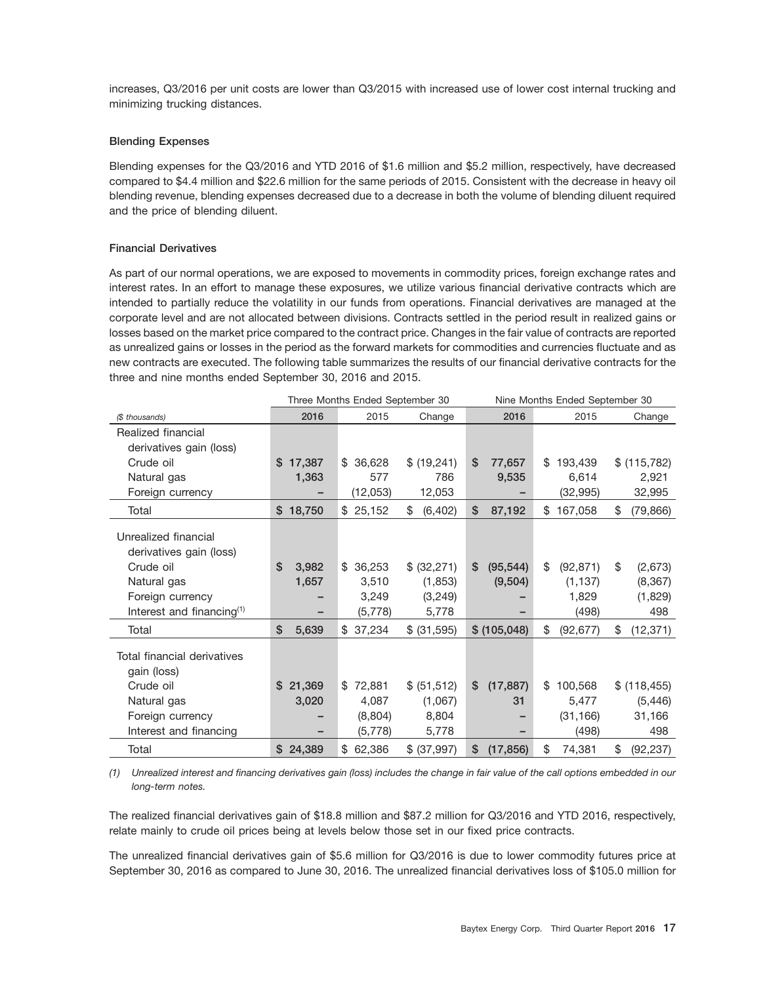increases, Q3/2016 per unit costs are lower than Q3/2015 with increased use of lower cost internal trucking and minimizing trucking distances.

#### **Blending Expenses**

Blending expenses for the Q3/2016 and YTD 2016 of \$1.6 million and \$5.2 million, respectively, have decreased compared to \$4.4 million and \$22.6 million for the same periods of 2015. Consistent with the decrease in heavy oil blending revenue, blending expenses decreased due to a decrease in both the volume of blending diluent required and the price of blending diluent.

#### **Financial Derivatives**

As part of our normal operations, we are exposed to movements in commodity prices, foreign exchange rates and interest rates. In an effort to manage these exposures, we utilize various financial derivative contracts which are intended to partially reduce the volatility in our funds from operations. Financial derivatives are managed at the corporate level and are not allocated between divisions. Contracts settled in the period result in realized gains or losses based on the market price compared to the contract price. Changes in the fair value of contracts are reported as unrealized gains or losses in the period as the forward markets for commodities and currencies fluctuate and as new contracts are executed. The following table summarizes the results of our financial derivative contracts for the three and nine months ended September 30, 2016 and 2015.

|                                       |              | Three Months Ended September 30 |                | Nine Months Ended September 30 |                 |                 |  |
|---------------------------------------|--------------|---------------------------------|----------------|--------------------------------|-----------------|-----------------|--|
| (\$ thousands)                        | 2016         | 2015                            | Change         | 2016                           | 2015            | Change          |  |
| Realized financial                    |              |                                 |                |                                |                 |                 |  |
| derivatives gain (loss)               |              |                                 |                |                                |                 |                 |  |
| Crude oil                             | 17,387<br>S. | \$36,628                        | \$ (19,241)    | \$<br>77,657                   | \$<br>193,439   | \$ (115, 782)   |  |
| Natural gas                           | 1,363        | 577                             | 786            | 9,535                          | 6.614           | 2,921           |  |
| Foreign currency                      |              | (12,053)                        | 12,053         |                                | (32, 995)       | 32,995          |  |
| Total                                 | \$18,750     | \$25,152                        | (6, 402)<br>\$ | \$<br>87,192                   | 167,058<br>\$   | \$<br>(79, 866) |  |
| Unrealized financial                  |              |                                 |                |                                |                 |                 |  |
| derivatives gain (loss)               |              |                                 |                |                                |                 |                 |  |
| Crude oil                             | \$<br>3,982  | 36,253<br>\$                    |                | \$                             | \$              | \$              |  |
|                                       |              |                                 | \$ (32,271)    | (95, 544)                      | (92, 871)       | (2,673)         |  |
| Natural gas                           | 1,657        | 3,510                           | (1, 853)       | (9, 504)                       | (1, 137)        | (8, 367)        |  |
| Foreign currency                      |              | 3,249                           | (3, 249)       |                                | 1,829           | (1,829)         |  |
| Interest and financing <sup>(1)</sup> |              | (5,778)                         | 5,778          |                                | (498)           | 498             |  |
| Total                                 | \$<br>5,639  | 37,234<br>\$                    | \$ (31,595)    | \$(105,048)                    | \$<br>(92, 677) | \$<br>(12, 371) |  |
| Total financial derivatives           |              |                                 |                |                                |                 |                 |  |
| gain (loss)                           |              |                                 |                |                                |                 |                 |  |
| Crude oil                             | 21,369<br>\$ | 72,881<br>\$                    | \$ (51, 512)   | (17, 887)<br>\$                | \$<br>100,568   | \$ (118, 455)   |  |
| Natural gas                           | 3,020        | 4,087                           | (1,067)        | 31                             | 5,477           | (5, 446)        |  |
|                                       |              |                                 |                |                                |                 |                 |  |
| Foreign currency                      |              | (8,804)                         | 8,804          |                                | (31, 166)       | 31,166          |  |
| Interest and financing                |              | (5, 778)                        | 5,778          |                                | (498)           | 498             |  |
| Total                                 | \$<br>24,389 | 62,386<br>\$                    | \$ (37,997)    | \$<br>(17, 856)                | \$<br>74,381    | \$<br>(92, 237) |  |

*(1) Unrealized interest and financing derivatives gain (loss) includes the change in fair value of the call options embedded in our long-term notes.*

The realized financial derivatives gain of \$18.8 million and \$87.2 million for Q3/2016 and YTD 2016, respectively, relate mainly to crude oil prices being at levels below those set in our fixed price contracts.

The unrealized financial derivatives gain of \$5.6 million for Q3/2016 is due to lower commodity futures price at September 30, 2016 as compared to June 30, 2016. The unrealized financial derivatives loss of \$105.0 million for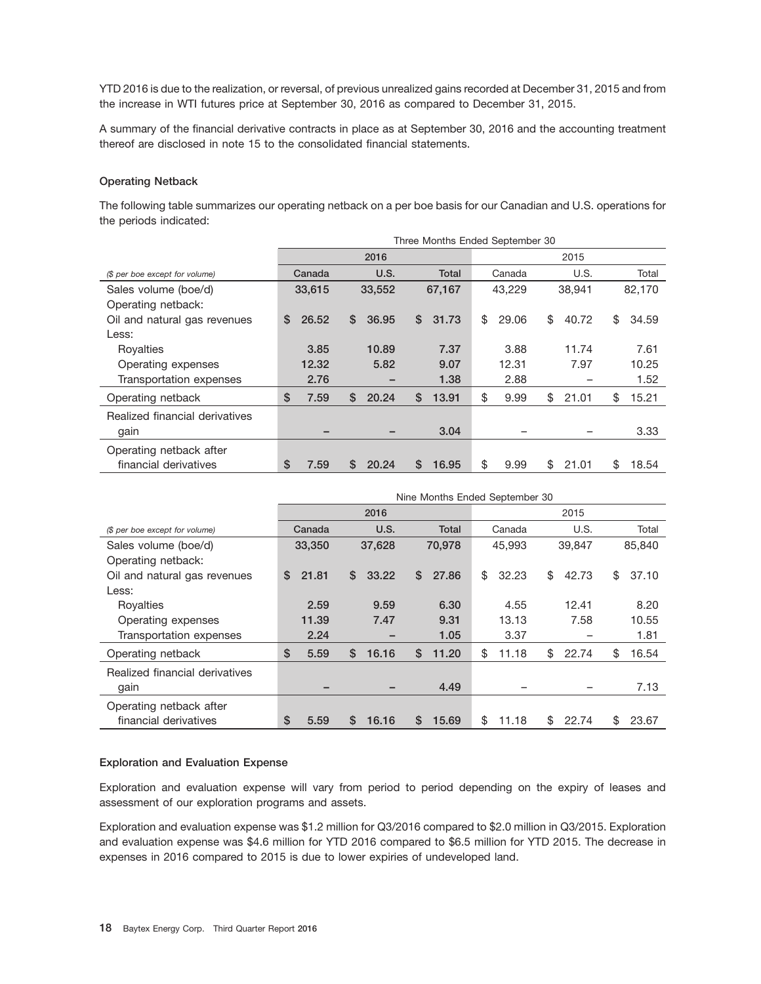YTD 2016 is due to the realization, or reversal, of previous unrealized gains recorded at December 31, 2015 and from the increase in WTI futures price at September 30, 2016 as compared to December 31, 2015.

A summary of the financial derivative contracts in place as at September 30, 2016 and the accounting treatment thereof are disclosed in note 15 to the consolidated financial statements.

#### **Operating Netback**

The following table summarizes our operating netback on a per boe basis for our Canadian and U.S. operations for the periods indicated:

|                                |            | Three Months Ended September 30 |              |             |             |             |  |  |  |  |
|--------------------------------|------------|---------------------------------|--------------|-------------|-------------|-------------|--|--|--|--|
|                                |            | 2016                            |              |             |             |             |  |  |  |  |
| (\$ per boe except for volume) | Canada     | U.S.                            | <b>Total</b> | Canada      | U.S.        | Total       |  |  |  |  |
| Sales volume (boe/d)           | 33,615     | 33,552                          | 67,167       | 43,229      | 38,941      | 82,170      |  |  |  |  |
| Operating netback:             |            |                                 |              |             |             |             |  |  |  |  |
| Oil and natural gas revenues   | 26.52<br>S | 36.95<br>\$                     | 31.73<br>S.  | \$<br>29.06 | \$<br>40.72 | \$<br>34.59 |  |  |  |  |
| Less:                          |            |                                 |              |             |             |             |  |  |  |  |
| Royalties                      | 3.85       | 10.89                           | 7.37         | 3.88        | 11.74       | 7.61        |  |  |  |  |
| Operating expenses             | 12.32      | 5.82                            | 9.07         | 12.31       | 7.97        | 10.25       |  |  |  |  |
| Transportation expenses        | 2.76       | $\overline{\phantom{0}}$        | 1.38         | 2.88        | -           | 1.52        |  |  |  |  |
| Operating netback              | \$<br>7.59 | 20.24<br>S                      | 13.91<br>\$  | \$<br>9.99  | \$<br>21.01 | \$<br>15.21 |  |  |  |  |
| Realized financial derivatives |            |                                 |              |             |             |             |  |  |  |  |
| gain                           |            |                                 | 3.04         |             |             | 3.33        |  |  |  |  |
| Operating netback after        |            |                                 |              |             |             |             |  |  |  |  |
| financial derivatives          | S<br>7.59  | \$<br>20.24                     | \$<br>16.95  | \$<br>9.99  | \$<br>21.01 | \$<br>18.54 |  |  |  |  |

|                                |             | Nine Months Ended September 30 |             |             |             |             |  |  |  |
|--------------------------------|-------------|--------------------------------|-------------|-------------|-------------|-------------|--|--|--|
|                                |             | 2016                           |             |             | 2015        |             |  |  |  |
| (\$ per boe except for volume) | Canada      | U.S.                           | Total       | Canada      | U.S.        | Total       |  |  |  |
| Sales volume (boe/d)           | 33,350      | 37,628                         | 70,978      | 45,993      | 39,847      | 85,840      |  |  |  |
| Operating netback:             |             |                                |             |             |             |             |  |  |  |
| Oil and natural gas revenues   | \$<br>21.81 | \$<br>33.22                    | \$<br>27.86 | \$<br>32.23 | \$<br>42.73 | \$<br>37.10 |  |  |  |
| Less:                          |             |                                |             |             |             |             |  |  |  |
| Royalties                      | 2.59        | 9.59                           | 6.30        | 4.55        | 12.41       | 8.20        |  |  |  |
| Operating expenses             | 11.39       | 7.47                           | 9.31        | 13.13       | 7.58        | 10.55       |  |  |  |
| Transportation expenses        | 2.24        | -                              | 1.05        | 3.37        |             | 1.81        |  |  |  |
| Operating netback              | \$<br>5.59  | \$<br>16.16                    | \$<br>11.20 | \$<br>11.18 | \$<br>22.74 | \$<br>16.54 |  |  |  |
| Realized financial derivatives |             |                                |             |             |             |             |  |  |  |
| gain                           |             | -                              | 4.49        |             |             | 7.13        |  |  |  |
| Operating netback after        |             |                                |             |             |             |             |  |  |  |
| financial derivatives          | \$<br>5.59  | S<br>16.16                     | 15.69<br>S  | \$<br>11.18 | \$<br>22.74 | \$<br>23.67 |  |  |  |

#### **Exploration and Evaluation Expense**

Exploration and evaluation expense will vary from period to period depending on the expiry of leases and assessment of our exploration programs and assets.

Exploration and evaluation expense was \$1.2 million for Q3/2016 compared to \$2.0 million in Q3/2015. Exploration and evaluation expense was \$4.6 million for YTD 2016 compared to \$6.5 million for YTD 2015. The decrease in expenses in 2016 compared to 2015 is due to lower expiries of undeveloped land.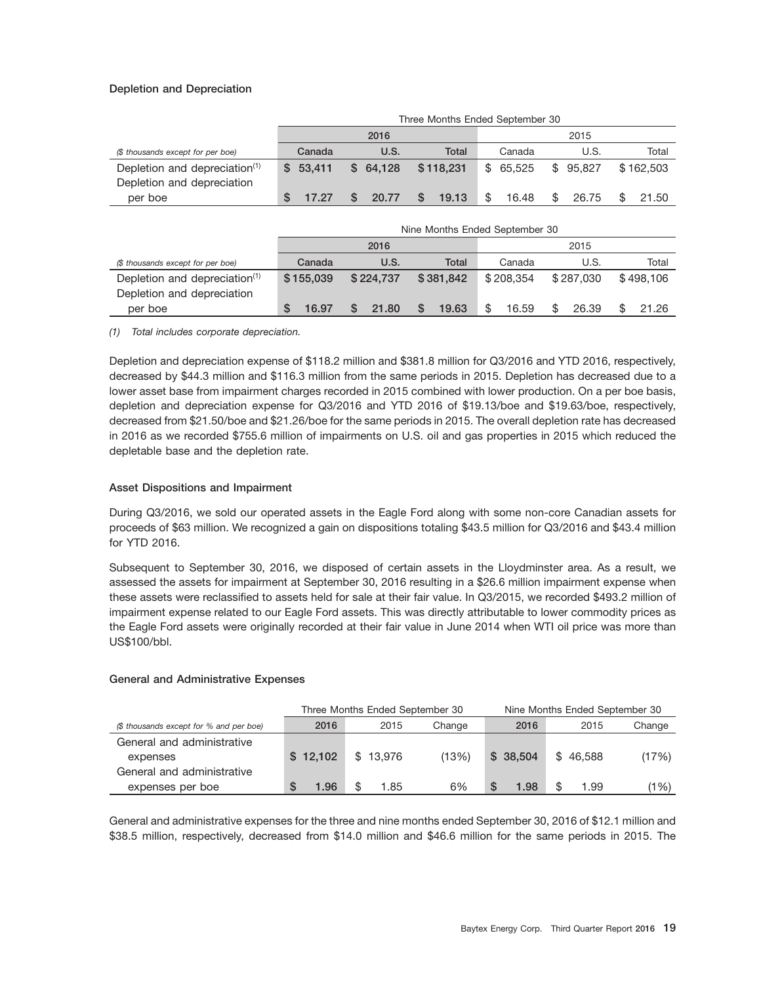#### **Depletion and Depreciation**

|                                           |          | Three Months Ended September 30           |          |    |           |  |    |          |    |          |       |           |
|-------------------------------------------|----------|-------------------------------------------|----------|----|-----------|--|----|----------|----|----------|-------|-----------|
|                                           |          | 2016<br>2015                              |          |    |           |  |    |          |    |          |       |           |
| (\$ thousands except for per boe)         |          | U.S.<br>Total<br>U.S.<br>Canada<br>Canada |          |    |           |  |    |          |    |          | Total |           |
| Depletion and depreciation <sup>(1)</sup> | \$53,411 |                                           | \$64.128 |    | \$118.231 |  |    | \$65.525 |    | \$95.827 |       | \$162,503 |
| Depletion and depreciation                |          |                                           |          |    |           |  |    |          |    |          |       |           |
| per boe                                   | 17.27    |                                           | 20.77    | S. | 19.13     |  | \$ | 16.48    | \$ | 26.75    |       | 21.50     |

|                                           | Nine Months Ended September 30 |           |           |           |           |           |  |  |  |  |  |
|-------------------------------------------|--------------------------------|-----------|-----------|-----------|-----------|-----------|--|--|--|--|--|
|                                           |                                | 2016      | 2015      |           |           |           |  |  |  |  |  |
| (\$ thousands except for per boe)         | Canada                         | U.S.      | Total     | Canada    | U.S.      | Total     |  |  |  |  |  |
| Depletion and depreciation <sup>(1)</sup> | \$155,039                      | \$224,737 | \$381.842 | \$208.354 | \$287,030 | \$498.106 |  |  |  |  |  |
| Depletion and depreciation                |                                |           |           |           |           |           |  |  |  |  |  |
| per boe                                   | 16.97                          | 21.80     | 19.63     | 16.59     | 26.39     | 21.26     |  |  |  |  |  |

*(1) Total includes corporate depreciation.*

Depletion and depreciation expense of \$118.2 million and \$381.8 million for Q3/2016 and YTD 2016, respectively, decreased by \$44.3 million and \$116.3 million from the same periods in 2015. Depletion has decreased due to a lower asset base from impairment charges recorded in 2015 combined with lower production. On a per boe basis, depletion and depreciation expense for Q3/2016 and YTD 2016 of \$19.13/boe and \$19.63/boe, respectively, decreased from \$21.50/boe and \$21.26/boe for the same periods in 2015. The overall depletion rate has decreased in 2016 as we recorded \$755.6 million of impairments on U.S. oil and gas properties in 2015 which reduced the depletable base and the depletion rate.

#### **Asset Dispositions and Impairment**

During Q3/2016, we sold our operated assets in the Eagle Ford along with some non-core Canadian assets for proceeds of \$63 million. We recognized a gain on dispositions totaling \$43.5 million for Q3/2016 and \$43.4 million for YTD 2016.

Subsequent to September 30, 2016, we disposed of certain assets in the Lloydminster area. As a result, we assessed the assets for impairment at September 30, 2016 resulting in a \$26.6 million impairment expense when these assets were reclassified to assets held for sale at their fair value. In Q3/2015, we recorded \$493.2 million of impairment expense related to our Eagle Ford assets. This was directly attributable to lower commodity prices as the Eagle Ford assets were originally recorded at their fair value in June 2014 when WTI oil price was more than US\$100/bbl.

#### **General and Administrative Expenses**

|                                         |          | Three Months Ended September 30 |        | Nine Months Ended September 30 |          |        |  |  |
|-----------------------------------------|----------|---------------------------------|--------|--------------------------------|----------|--------|--|--|
| (\$ thousands except for % and per boe) | 2016     | 2015                            | Change | 2016                           | 2015     | Change |  |  |
| General and administrative              |          |                                 |        |                                |          |        |  |  |
| expenses                                | \$12.102 | \$13.976                        | (13%)  | \$38,504                       | \$46.588 | (17%)  |  |  |
| General and administrative              |          |                                 |        |                                |          |        |  |  |
| expenses per boe                        | 1.96     | 1.85                            | 6%     | S<br>1.98                      | 1.99     | (1%)   |  |  |

General and administrative expenses for the three and nine months ended September 30, 2016 of \$12.1 million and \$38.5 million, respectively, decreased from \$14.0 million and \$46.6 million for the same periods in 2015. The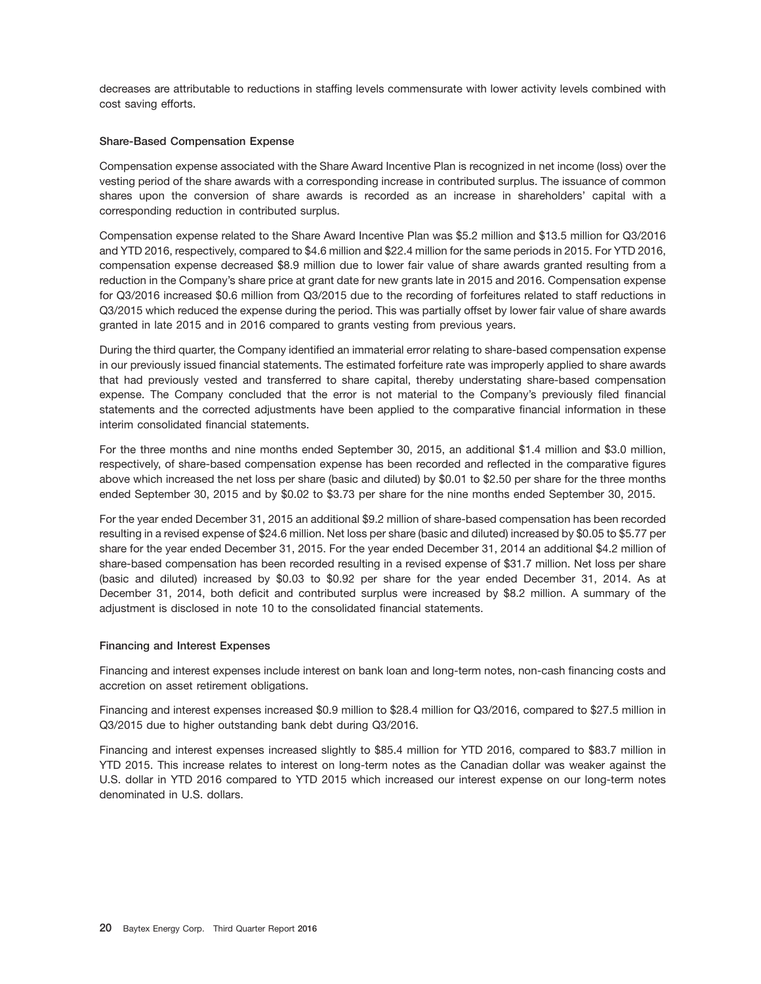decreases are attributable to reductions in staffing levels commensurate with lower activity levels combined with cost saving efforts.

#### **Share-Based Compensation Expense**

Compensation expense associated with the Share Award Incentive Plan is recognized in net income (loss) over the vesting period of the share awards with a corresponding increase in contributed surplus. The issuance of common shares upon the conversion of share awards is recorded as an increase in shareholders' capital with a corresponding reduction in contributed surplus.

Compensation expense related to the Share Award Incentive Plan was \$5.2 million and \$13.5 million for Q3/2016 and YTD 2016, respectively, compared to \$4.6 million and \$22.4 million for the same periods in 2015. For YTD 2016, compensation expense decreased \$8.9 million due to lower fair value of share awards granted resulting from a reduction in the Company's share price at grant date for new grants late in 2015 and 2016. Compensation expense for Q3/2016 increased \$0.6 million from Q3/2015 due to the recording of forfeitures related to staff reductions in Q3/2015 which reduced the expense during the period. This was partially offset by lower fair value of share awards granted in late 2015 and in 2016 compared to grants vesting from previous years.

During the third quarter, the Company identified an immaterial error relating to share-based compensation expense in our previously issued financial statements. The estimated forfeiture rate was improperly applied to share awards that had previously vested and transferred to share capital, thereby understating share-based compensation expense. The Company concluded that the error is not material to the Company's previously filed financial statements and the corrected adjustments have been applied to the comparative financial information in these interim consolidated financial statements.

For the three months and nine months ended September 30, 2015, an additional \$1.4 million and \$3.0 million, respectively, of share-based compensation expense has been recorded and reflected in the comparative figures above which increased the net loss per share (basic and diluted) by \$0.01 to \$2.50 per share for the three months ended September 30, 2015 and by \$0.02 to \$3.73 per share for the nine months ended September 30, 2015.

For the year ended December 31, 2015 an additional \$9.2 million of share-based compensation has been recorded resulting in a revised expense of \$24.6 million. Net loss per share (basic and diluted) increased by \$0.05 to \$5.77 per share for the year ended December 31, 2015. For the year ended December 31, 2014 an additional \$4.2 million of share-based compensation has been recorded resulting in a revised expense of \$31.7 million. Net loss per share (basic and diluted) increased by \$0.03 to \$0.92 per share for the year ended December 31, 2014. As at December 31, 2014, both deficit and contributed surplus were increased by \$8.2 million. A summary of the adjustment is disclosed in note 10 to the consolidated financial statements.

#### **Financing and Interest Expenses**

Financing and interest expenses include interest on bank loan and long-term notes, non-cash financing costs and accretion on asset retirement obligations.

Financing and interest expenses increased \$0.9 million to \$28.4 million for Q3/2016, compared to \$27.5 million in Q3/2015 due to higher outstanding bank debt during Q3/2016.

Financing and interest expenses increased slightly to \$85.4 million for YTD 2016, compared to \$83.7 million in YTD 2015. This increase relates to interest on long-term notes as the Canadian dollar was weaker against the U.S. dollar in YTD 2016 compared to YTD 2015 which increased our interest expense on our long-term notes denominated in U.S. dollars.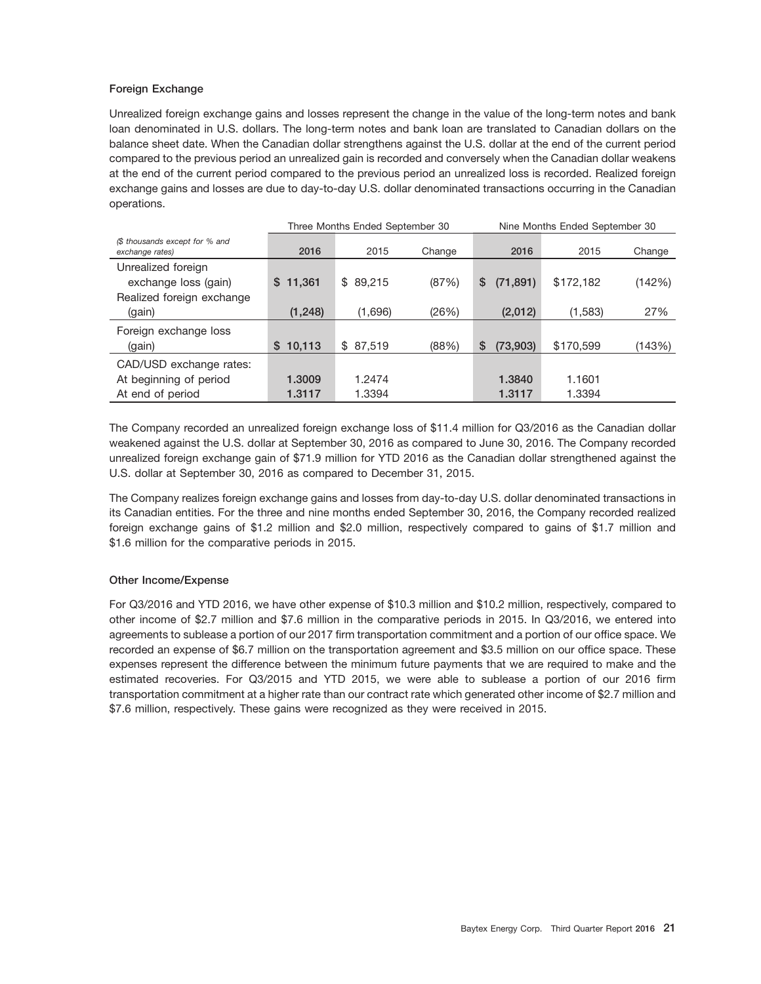#### **Foreign Exchange**

Unrealized foreign exchange gains and losses represent the change in the value of the long-term notes and bank loan denominated in U.S. dollars. The long-term notes and bank loan are translated to Canadian dollars on the balance sheet date. When the Canadian dollar strengthens against the U.S. dollar at the end of the current period compared to the previous period an unrealized gain is recorded and conversely when the Canadian dollar weakens at the end of the current period compared to the previous period an unrealized loss is recorded. Realized foreign exchange gains and losses are due to day-to-day U.S. dollar denominated transactions occurring in the Canadian operations.

|                                                   |          | Three Months Ended September 30 |        | Nine Months Ended September 30 |           |        |  |
|---------------------------------------------------|----------|---------------------------------|--------|--------------------------------|-----------|--------|--|
| (\$ thousands except for % and<br>exchange rates) | 2016     | 2015                            | Change | 2016                           | 2015      | Change |  |
| Unrealized foreign                                |          |                                 |        |                                |           |        |  |
| exchange loss (gain)                              | \$11,361 | \$89,215                        | (87%)  | (71, 891)<br>S                 | \$172,182 | (142%) |  |
| Realized foreign exchange                         |          |                                 |        |                                |           |        |  |
| (gain)                                            | (1, 248) | (1,696)                         | (26%)  | (2,012)                        | (1,583)   | 27%    |  |
| Foreign exchange loss                             |          |                                 |        |                                |           |        |  |
| (gain)                                            | \$10,113 | \$87,519                        | (88%)  | (73,903)<br>\$                 | \$170,599 | (143%) |  |
| CAD/USD exchange rates:                           |          |                                 |        |                                |           |        |  |
| At beginning of period                            | 1.3009   | 1.2474                          |        | 1.3840                         | 1.1601    |        |  |
| At end of period                                  | 1.3117   | 1.3394                          |        | 1.3117                         | 1.3394    |        |  |

The Company recorded an unrealized foreign exchange loss of \$11.4 million for Q3/2016 as the Canadian dollar weakened against the U.S. dollar at September 30, 2016 as compared to June 30, 2016. The Company recorded unrealized foreign exchange gain of \$71.9 million for YTD 2016 as the Canadian dollar strengthened against the U.S. dollar at September 30, 2016 as compared to December 31, 2015.

The Company realizes foreign exchange gains and losses from day-to-day U.S. dollar denominated transactions in its Canadian entities. For the three and nine months ended September 30, 2016, the Company recorded realized foreign exchange gains of \$1.2 million and \$2.0 million, respectively compared to gains of \$1.7 million and \$1.6 million for the comparative periods in 2015.

#### **Other Income/Expense**

For Q3/2016 and YTD 2016, we have other expense of \$10.3 million and \$10.2 million, respectively, compared to other income of \$2.7 million and \$7.6 million in the comparative periods in 2015. In Q3/2016, we entered into agreements to sublease a portion of our 2017 firm transportation commitment and a portion of our office space. We recorded an expense of \$6.7 million on the transportation agreement and \$3.5 million on our office space. These expenses represent the difference between the minimum future payments that we are required to make and the estimated recoveries. For Q3/2015 and YTD 2015, we were able to sublease a portion of our 2016 firm transportation commitment at a higher rate than our contract rate which generated other income of \$2.7 million and \$7.6 million, respectively. These gains were recognized as they were received in 2015.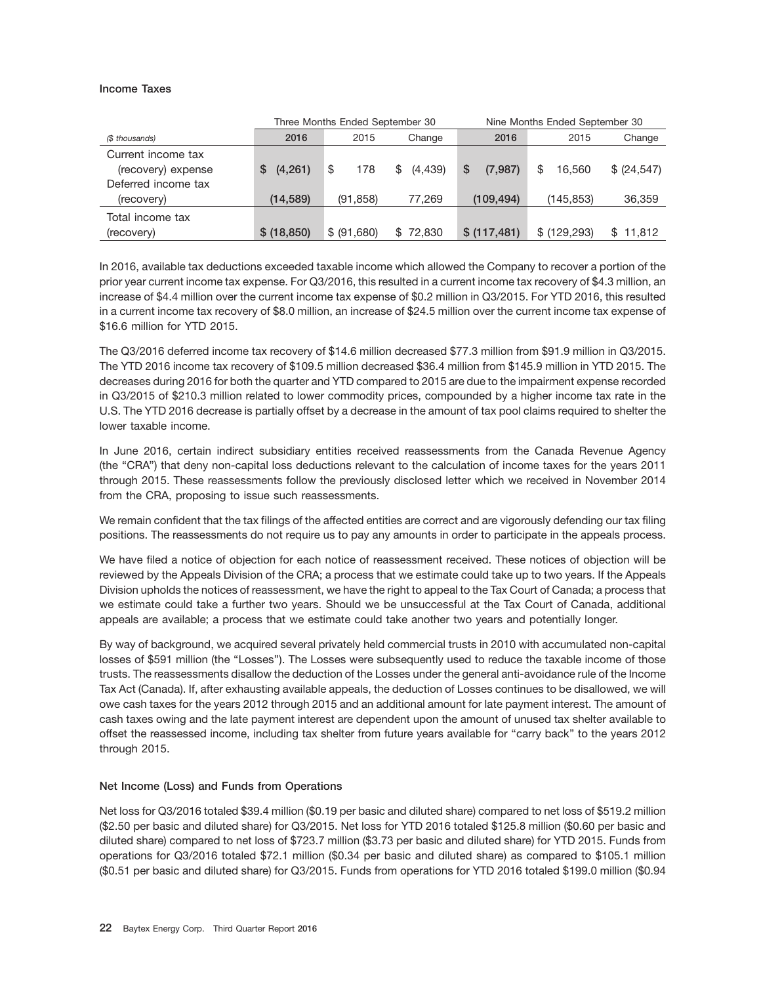#### **Income Taxes**

|                                                                 |                     | Three Months Ended September 30 |                | Nine Months Ended September 30 |              |              |  |
|-----------------------------------------------------------------|---------------------|---------------------------------|----------------|--------------------------------|--------------|--------------|--|
| (\$ thousands)                                                  | 2016                | 2015                            | Change         | 2016                           | 2015         | Change       |  |
| Current income tax<br>(recovery) expense<br>Deferred income tax | (4,261)<br><b>S</b> | \$<br>178                       | (4, 439)<br>\$ | \$<br>(7,987)                  | \$<br>16.560 | \$ (24, 547) |  |
| (recovery)                                                      | (14, 589)           | (91, 858)                       | 77.269         | (109, 494)                     | (145, 853)   | 36,359       |  |
| Total income tax<br>(recovery)                                  | \$ (18,850)         | \$ (91,680)                     | 72,830<br>S    | \$(117,481)                    | \$(129, 293) | \$11,812     |  |
|                                                                 |                     |                                 |                |                                |              |              |  |

In 2016, available tax deductions exceeded taxable income which allowed the Company to recover a portion of the prior year current income tax expense. For Q3/2016, this resulted in a current income tax recovery of \$4.3 million, an increase of \$4.4 million over the current income tax expense of \$0.2 million in Q3/2015. For YTD 2016, this resulted in a current income tax recovery of \$8.0 million, an increase of \$24.5 million over the current income tax expense of \$16.6 million for YTD 2015.

The Q3/2016 deferred income tax recovery of \$14.6 million decreased \$77.3 million from \$91.9 million in Q3/2015. The YTD 2016 income tax recovery of \$109.5 million decreased \$36.4 million from \$145.9 million in YTD 2015. The decreases during 2016 for both the quarter and YTD compared to 2015 are due to the impairment expense recorded in Q3/2015 of \$210.3 million related to lower commodity prices, compounded by a higher income tax rate in the U.S. The YTD 2016 decrease is partially offset by a decrease in the amount of tax pool claims required to shelter the lower taxable income.

In June 2016, certain indirect subsidiary entities received reassessments from the Canada Revenue Agency (the ''CRA'') that deny non-capital loss deductions relevant to the calculation of income taxes for the years 2011 through 2015. These reassessments follow the previously disclosed letter which we received in November 2014 from the CRA, proposing to issue such reassessments.

We remain confident that the tax filings of the affected entities are correct and are vigorously defending our tax filing positions. The reassessments do not require us to pay any amounts in order to participate in the appeals process.

We have filed a notice of objection for each notice of reassessment received. These notices of objection will be reviewed by the Appeals Division of the CRA; a process that we estimate could take up to two years. If the Appeals Division upholds the notices of reassessment, we have the right to appeal to the Tax Court of Canada; a process that we estimate could take a further two years. Should we be unsuccessful at the Tax Court of Canada, additional appeals are available; a process that we estimate could take another two years and potentially longer.

By way of background, we acquired several privately held commercial trusts in 2010 with accumulated non-capital losses of \$591 million (the ''Losses''). The Losses were subsequently used to reduce the taxable income of those trusts. The reassessments disallow the deduction of the Losses under the general anti-avoidance rule of the Income Tax Act (Canada). If, after exhausting available appeals, the deduction of Losses continues to be disallowed, we will owe cash taxes for the years 2012 through 2015 and an additional amount for late payment interest. The amount of cash taxes owing and the late payment interest are dependent upon the amount of unused tax shelter available to offset the reassessed income, including tax shelter from future years available for ''carry back'' to the years 2012 through 2015.

#### **Net Income (Loss) and Funds from Operations**

Net loss for Q3/2016 totaled \$39.4 million (\$0.19 per basic and diluted share) compared to net loss of \$519.2 million (\$2.50 per basic and diluted share) for Q3/2015. Net loss for YTD 2016 totaled \$125.8 million (\$0.60 per basic and diluted share) compared to net loss of \$723.7 million (\$3.73 per basic and diluted share) for YTD 2015. Funds from operations for Q3/2016 totaled \$72.1 million (\$0.34 per basic and diluted share) as compared to \$105.1 million (\$0.51 per basic and diluted share) for Q3/2015. Funds from operations for YTD 2016 totaled \$199.0 million (\$0.94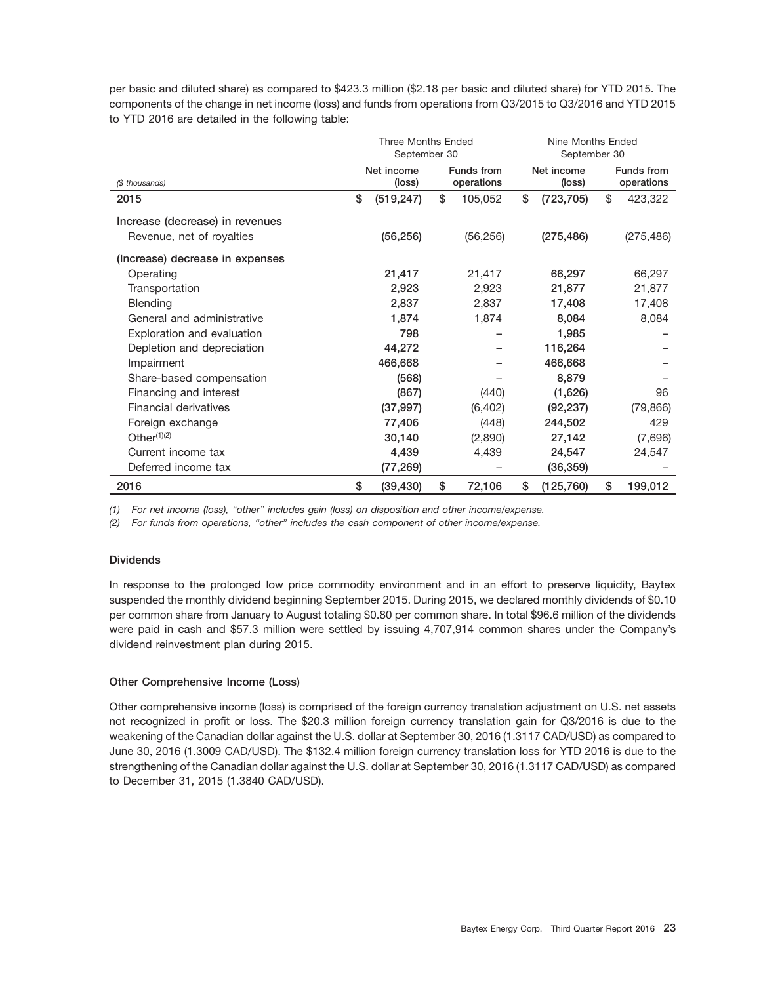per basic and diluted share) as compared to \$423.3 million (\$2.18 per basic and diluted share) for YTD 2015. The components of the change in net income (loss) and funds from operations from Q3/2015 to Q3/2016 and YTD 2015 to YTD 2016 are detailed in the following table:

|                                 |       | <b>Three Months Ended</b><br>September 30 |    |                          | Nine Months Ended<br>September 30 |                      |        |                          |  |
|---------------------------------|-------|-------------------------------------------|----|--------------------------|-----------------------------------|----------------------|--------|--------------------------|--|
| (\$ thousands)                  |       | Net income<br>(loss)                      |    | Funds from<br>operations |                                   | Net income<br>(loss) |        | Funds from<br>operations |  |
| 2015                            | \$    | (519, 247)                                |    | 105,052                  | \$                                | (723, 705)           |        | 423,322                  |  |
| Increase (decrease) in revenues |       |                                           |    |                          |                                   |                      |        |                          |  |
| Revenue, net of royalties       |       | (56, 256)                                 |    | (56, 256)                |                                   | (275, 486)           |        | (275, 486)               |  |
| (Increase) decrease in expenses |       |                                           |    |                          |                                   |                      |        |                          |  |
| Operating                       |       | 21,417                                    |    | 21,417                   |                                   | 66,297               | 66,297 |                          |  |
| Transportation                  |       | 2,923                                     |    | 2,923                    |                                   | 21,877               |        | 21,877                   |  |
| Blending                        | 2,837 |                                           |    | 2,837                    | 17,408                            |                      |        | 17,408                   |  |
| General and administrative      |       | 1,874                                     |    | 1,874                    |                                   | 8,084                |        | 8,084                    |  |
| Exploration and evaluation      |       | 798                                       |    |                          |                                   | 1,985                |        |                          |  |
| Depletion and depreciation      |       | 44,272                                    |    |                          |                                   | 116,264              |        |                          |  |
| Impairment                      |       | 466,668                                   |    |                          |                                   | 466,668              |        |                          |  |
| Share-based compensation        |       | (568)                                     |    |                          |                                   | 8,879                |        |                          |  |
| Financing and interest          |       | (867)                                     |    | (440)                    |                                   | (1,626)              |        | 96                       |  |
| <b>Financial derivatives</b>    |       | (37, 997)                                 |    | (6, 402)                 |                                   | (92, 237)            |        | (79, 866)                |  |
| Foreign exchange                |       | 77,406                                    |    | (448)                    |                                   | 244,502              |        | 429                      |  |
| Other $(1)(2)$                  |       | 30,140                                    |    | (2,890)                  |                                   | 27,142               |        | (7,696)                  |  |
| Current income tax              |       | 4,439                                     |    | 4,439                    | 24,547                            |                      |        | 24,547                   |  |
| Deferred income tax             |       | (77, 269)                                 |    |                          | (36, 359)                         |                      |        |                          |  |
| 2016                            | \$    | (39, 430)                                 | \$ | 72,106                   | \$                                | (125, 760)           | \$     | 199,012                  |  |

*(1) For net income (loss), ''other'' includes gain (loss) on disposition and other income/expense.*

*(2) For funds from operations, ''other'' includes the cash component of other income/expense.*

#### **Dividends**

In response to the prolonged low price commodity environment and in an effort to preserve liquidity, Baytex suspended the monthly dividend beginning September 2015. During 2015, we declared monthly dividends of \$0.10 per common share from January to August totaling \$0.80 per common share. In total \$96.6 million of the dividends were paid in cash and \$57.3 million were settled by issuing 4,707,914 common shares under the Company's dividend reinvestment plan during 2015.

#### **Other Comprehensive Income (Loss)**

Other comprehensive income (loss) is comprised of the foreign currency translation adjustment on U.S. net assets not recognized in profit or loss. The \$20.3 million foreign currency translation gain for Q3/2016 is due to the weakening of the Canadian dollar against the U.S. dollar at September 30, 2016 (1.3117 CAD/USD) as compared to June 30, 2016 (1.3009 CAD/USD). The \$132.4 million foreign currency translation loss for YTD 2016 is due to the strengthening of the Canadian dollar against the U.S. dollar at September 30, 2016 (1.3117 CAD/USD) as compared to December 31, 2015 (1.3840 CAD/USD).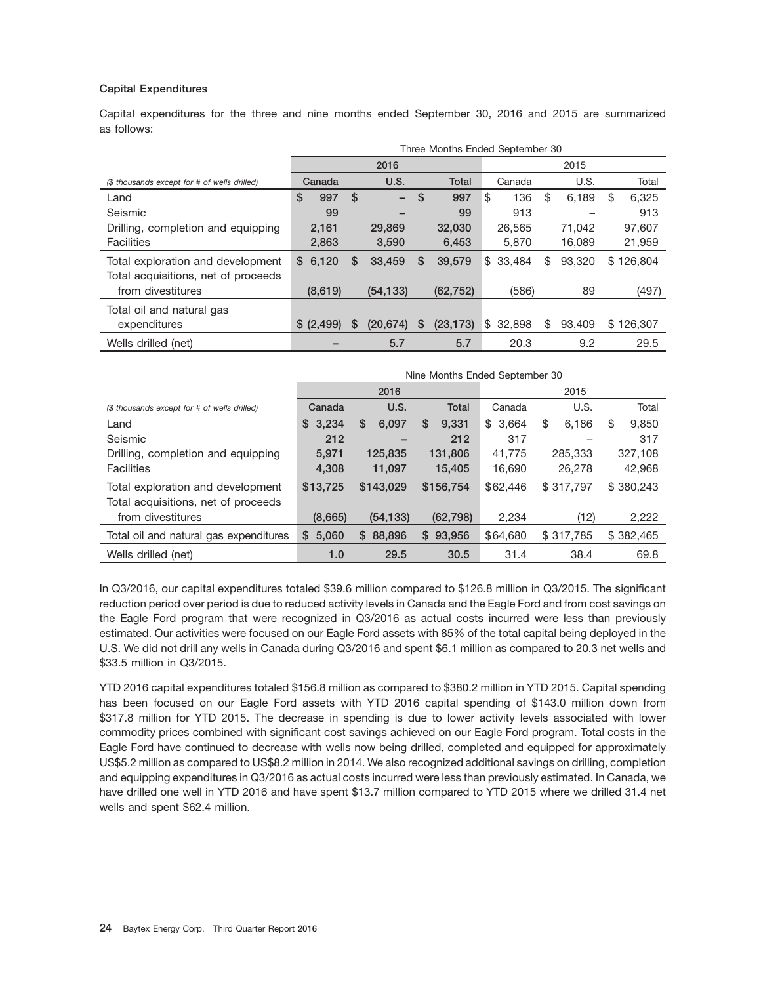#### **Capital Expenditures**

Capital expenditures for the three and nine months ended September 30, 2016 and 2015 are summarized as follows:

|                                              |    | Three Months Ended September 30 |    |                          |    |           |    |        |    |        |    |           |
|----------------------------------------------|----|---------------------------------|----|--------------------------|----|-----------|----|--------|----|--------|----|-----------|
|                                              |    |                                 |    | 2016                     |    |           |    |        |    | 2015   |    |           |
| (\$ thousands except for # of wells drilled) |    | Canada                          |    | U.S.                     |    | Total     |    | Canada |    | U.S.   |    | Total     |
| Land                                         | \$ | 997                             | \$ | $\overline{\phantom{0}}$ | \$ | 997       | \$ | 136    | \$ | 6,189  | \$ | 6,325     |
| Seismic                                      |    | 99                              |    |                          |    | 99        |    | 913    |    |        |    | 913       |
| Drilling, completion and equipping           |    | 2,161                           |    | 29,869                   |    | 32,030    |    | 26,565 |    | 71.042 |    | 97,607    |
| <b>Facilities</b>                            |    | 2,863                           |    | 3,590                    |    | 6,453     |    | 5,870  |    | 16,089 |    | 21,959    |
| Total exploration and development            | S. | 6,120                           | S  | 33,459                   | S  | 39,579    | \$ | 33,484 | \$ | 93,320 | \$ | 126,804   |
| Total acquisitions, net of proceeds          |    |                                 |    |                          |    |           |    |        |    |        |    |           |
| from divestitures                            |    | (8,619)                         |    | (54, 133)                |    | (62, 752) |    | (586)  |    | 89     |    | (497)     |
| Total oil and natural gas                    |    |                                 |    |                          |    |           |    |        |    |        |    |           |
| expenditures                                 |    | \$ (2,499)                      | S  | (20, 674)                | S  | (23, 173) | \$ | 32,898 | \$ | 93,409 |    | \$126,307 |
| Wells drilled (net)                          |    |                                 |    | 5.7                      |    | 5.7       |    | 20.3   |    | 9.2    |    | 29.5      |

|                                              |             | Nine Months Ended September 30 |              |             |             |             |  |  |  |  |  |  |
|----------------------------------------------|-------------|--------------------------------|--------------|-------------|-------------|-------------|--|--|--|--|--|--|
|                                              |             | 2016                           |              |             | 2015        |             |  |  |  |  |  |  |
| (\$ thousands except for # of wells drilled) | Canada      | U.S.                           | <b>Total</b> | Canada      | U.S.        | Total       |  |  |  |  |  |  |
| Land                                         | 3,234<br>S. | \$<br>6,097                    | \$<br>9.331  | 3.664<br>\$ | \$<br>6,186 | \$<br>9,850 |  |  |  |  |  |  |
| Seismic                                      | 212         |                                | 212          | 317         |             | 317         |  |  |  |  |  |  |
| Drilling, completion and equipping           | 5,971       | 125,835                        | 131,806      | 41,775      | 285,333     | 327,108     |  |  |  |  |  |  |
| <b>Facilities</b>                            | 4.308       | 11,097                         | 15,405       | 16.690      | 26,278      | 42,968      |  |  |  |  |  |  |
| Total exploration and development            | \$13,725    | \$143,029                      | \$156,754    | \$62,446    | \$317.797   | \$380,243   |  |  |  |  |  |  |
| Total acquisitions, net of proceeds          |             |                                |              |             |             |             |  |  |  |  |  |  |
| from divestitures                            | (8,665)     | (54, 133)                      | (62, 798)    | 2.234       | (12)        | 2,222       |  |  |  |  |  |  |
| Total oil and natural gas expenditures       | 5,060<br>S. | 88,896<br>S.                   | \$93,956     | \$64,680    | \$317,785   | \$382,465   |  |  |  |  |  |  |
| Wells drilled (net)                          | 1.0         | 29.5                           | 30.5         | 31.4        | 38.4        | 69.8        |  |  |  |  |  |  |

In Q3/2016, our capital expenditures totaled \$39.6 million compared to \$126.8 million in Q3/2015. The significant reduction period over period is due to reduced activity levels in Canada and the Eagle Ford and from cost savings on the Eagle Ford program that were recognized in Q3/2016 as actual costs incurred were less than previously estimated. Our activities were focused on our Eagle Ford assets with 85% of the total capital being deployed in the U.S. We did not drill any wells in Canada during Q3/2016 and spent \$6.1 million as compared to 20.3 net wells and \$33.5 million in Q3/2015.

YTD 2016 capital expenditures totaled \$156.8 million as compared to \$380.2 million in YTD 2015. Capital spending has been focused on our Eagle Ford assets with YTD 2016 capital spending of \$143.0 million down from \$317.8 million for YTD 2015. The decrease in spending is due to lower activity levels associated with lower commodity prices combined with significant cost savings achieved on our Eagle Ford program. Total costs in the Eagle Ford have continued to decrease with wells now being drilled, completed and equipped for approximately US\$5.2 million as compared to US\$8.2 million in 2014. We also recognized additional savings on drilling, completion and equipping expenditures in Q3/2016 as actual costs incurred were less than previously estimated. In Canada, we have drilled one well in YTD 2016 and have spent \$13.7 million compared to YTD 2015 where we drilled 31.4 net wells and spent \$62.4 million.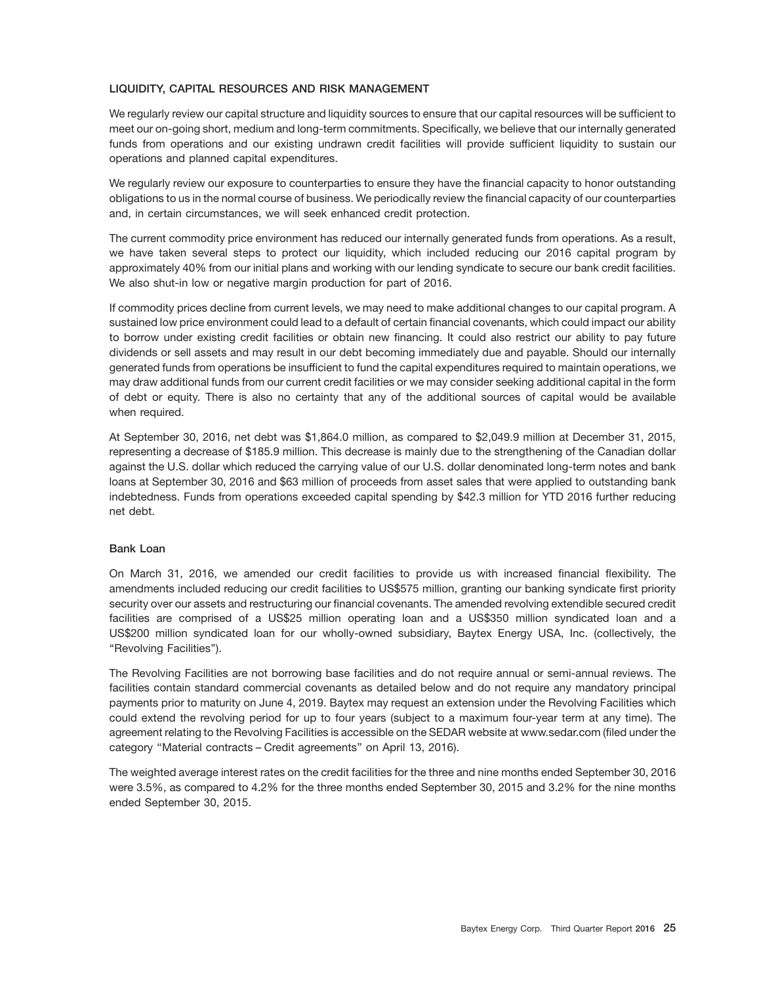#### **LIQUIDITY, CAPITAL RESOURCES AND RISK MANAGEMENT**

We regularly review our capital structure and liquidity sources to ensure that our capital resources will be sufficient to meet our on-going short, medium and long-term commitments. Specifically, we believe that our internally generated funds from operations and our existing undrawn credit facilities will provide sufficient liquidity to sustain our operations and planned capital expenditures.

We regularly review our exposure to counterparties to ensure they have the financial capacity to honor outstanding obligations to us in the normal course of business. We periodically review the financial capacity of our counterparties and, in certain circumstances, we will seek enhanced credit protection.

The current commodity price environment has reduced our internally generated funds from operations. As a result, we have taken several steps to protect our liquidity, which included reducing our 2016 capital program by approximately 40% from our initial plans and working with our lending syndicate to secure our bank credit facilities. We also shut-in low or negative margin production for part of 2016.

If commodity prices decline from current levels, we may need to make additional changes to our capital program. A sustained low price environment could lead to a default of certain financial covenants, which could impact our ability to borrow under existing credit facilities or obtain new financing. It could also restrict our ability to pay future dividends or sell assets and may result in our debt becoming immediately due and payable. Should our internally generated funds from operations be insufficient to fund the capital expenditures required to maintain operations, we may draw additional funds from our current credit facilities or we may consider seeking additional capital in the form of debt or equity. There is also no certainty that any of the additional sources of capital would be available when required.

At September 30, 2016, net debt was \$1,864.0 million, as compared to \$2,049.9 million at December 31, 2015, representing a decrease of \$185.9 million. This decrease is mainly due to the strengthening of the Canadian dollar against the U.S. dollar which reduced the carrying value of our U.S. dollar denominated long-term notes and bank loans at September 30, 2016 and \$63 million of proceeds from asset sales that were applied to outstanding bank indebtedness. Funds from operations exceeded capital spending by \$42.3 million for YTD 2016 further reducing net debt.

#### **Bank Loan**

On March 31, 2016, we amended our credit facilities to provide us with increased financial flexibility. The amendments included reducing our credit facilities to US\$575 million, granting our banking syndicate first priority security over our assets and restructuring our financial covenants. The amended revolving extendible secured credit facilities are comprised of a US\$25 million operating loan and a US\$350 million syndicated loan and a US\$200 million syndicated loan for our wholly-owned subsidiary, Baytex Energy USA, Inc. (collectively, the ''Revolving Facilities'').

The Revolving Facilities are not borrowing base facilities and do not require annual or semi-annual reviews. The facilities contain standard commercial covenants as detailed below and do not require any mandatory principal payments prior to maturity on June 4, 2019. Baytex may request an extension under the Revolving Facilities which could extend the revolving period for up to four years (subject to a maximum four-year term at any time). The agreement relating to the Revolving Facilities is accessible on the SEDAR website at www.sedar.com (filed under the category ''Material contracts – Credit agreements'' on April 13, 2016).

The weighted average interest rates on the credit facilities for the three and nine months ended September 30, 2016 were 3.5%, as compared to 4.2% for the three months ended September 30, 2015 and 3.2% for the nine months ended September 30, 2015.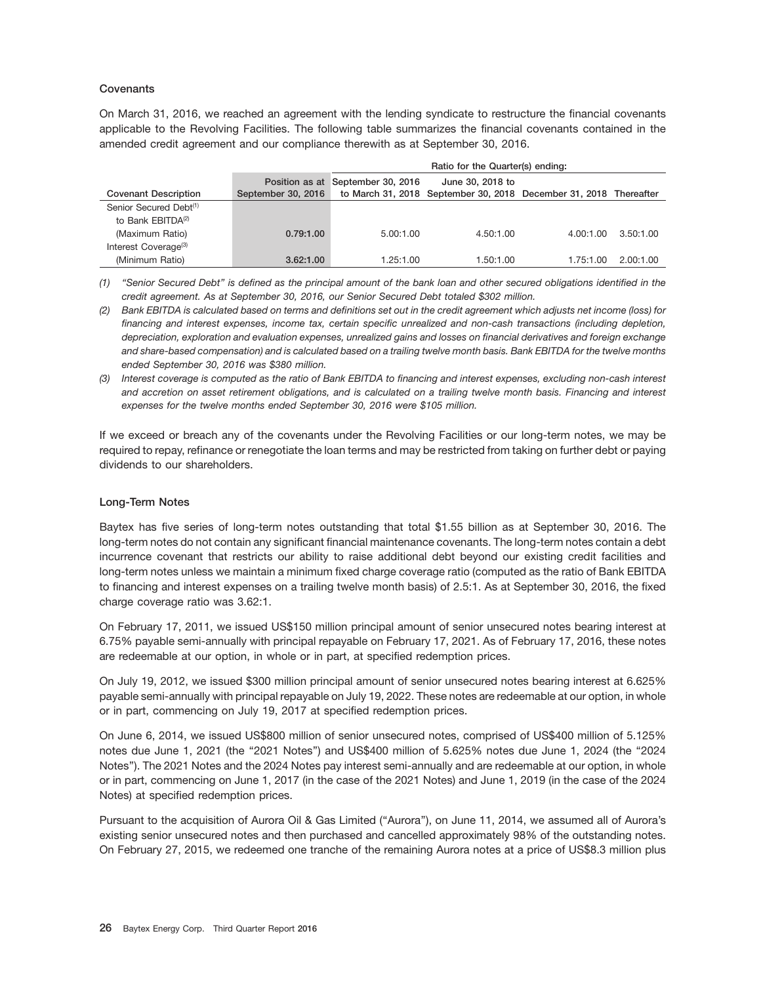#### **Covenants**

On March 31, 2016, we reached an agreement with the lending syndicate to restructure the financial covenants applicable to the Revolving Facilities. The following table summarizes the financial covenants contained in the amended credit agreement and our compliance therewith as at September 30, 2016.

|                                    |                    | Ratio for the Quarter(s) ending: |                                                                   |           |           |  |  |  |  |  |  |
|------------------------------------|--------------------|----------------------------------|-------------------------------------------------------------------|-----------|-----------|--|--|--|--|--|--|
|                                    | Position as at     | September 30, 2016               | June 30, 2018 to                                                  |           |           |  |  |  |  |  |  |
| <b>Covenant Description</b>        | September 30, 2016 |                                  | to March 31, 2018 September 30, 2018 December 31, 2018 Thereafter |           |           |  |  |  |  |  |  |
| Senior Secured Debt <sup>(1)</sup> |                    |                                  |                                                                   |           |           |  |  |  |  |  |  |
| to Bank EBITDA <sup>(2)</sup>      |                    |                                  |                                                                   |           |           |  |  |  |  |  |  |
| (Maximum Ratio)                    | 0.79:1.00          | 5.00:1.00                        | 4.50:1.00                                                         | 4.00:1.00 | 3.50:1.00 |  |  |  |  |  |  |
| Interest Coverage <sup>(3)</sup>   |                    |                                  |                                                                   |           |           |  |  |  |  |  |  |
| (Minimum Ratio)                    | 3.62:1.00          | 1.25:1.00                        | 1.50:1.00                                                         | 1.75:1.00 | 2.00:1.00 |  |  |  |  |  |  |

*(1) ''Senior Secured Debt'' is defined as the principal amount of the bank loan and other secured obligations identified in the credit agreement. As at September 30, 2016, our Senior Secured Debt totaled \$302 million.*

*(3) Interest coverage is computed as the ratio of Bank EBITDA to financing and interest expenses, excluding non-cash interest and accretion on asset retirement obligations, and is calculated on a trailing twelve month basis. Financing and interest expenses for the twelve months ended September 30, 2016 were \$105 million.*

If we exceed or breach any of the covenants under the Revolving Facilities or our long-term notes, we may be required to repay, refinance or renegotiate the loan terms and may be restricted from taking on further debt or paying dividends to our shareholders.

#### **Long-Term Notes**

Baytex has five series of long-term notes outstanding that total \$1.55 billion as at September 30, 2016. The long-term notes do not contain any significant financial maintenance covenants. The long-term notes contain a debt incurrence covenant that restricts our ability to raise additional debt beyond our existing credit facilities and long-term notes unless we maintain a minimum fixed charge coverage ratio (computed as the ratio of Bank EBITDA to financing and interest expenses on a trailing twelve month basis) of 2.5:1. As at September 30, 2016, the fixed charge coverage ratio was 3.62:1.

On February 17, 2011, we issued US\$150 million principal amount of senior unsecured notes bearing interest at 6.75% payable semi-annually with principal repayable on February 17, 2021. As of February 17, 2016, these notes are redeemable at our option, in whole or in part, at specified redemption prices.

On July 19, 2012, we issued \$300 million principal amount of senior unsecured notes bearing interest at 6.625% payable semi-annually with principal repayable on July 19, 2022. These notes are redeemable at our option, in whole or in part, commencing on July 19, 2017 at specified redemption prices.

On June 6, 2014, we issued US\$800 million of senior unsecured notes, comprised of US\$400 million of 5.125% notes due June 1, 2021 (the ''2021 Notes'') and US\$400 million of 5.625% notes due June 1, 2024 (the ''2024 Notes''). The 2021 Notes and the 2024 Notes pay interest semi-annually and are redeemable at our option, in whole or in part, commencing on June 1, 2017 (in the case of the 2021 Notes) and June 1, 2019 (in the case of the 2024 Notes) at specified redemption prices.

Pursuant to the acquisition of Aurora Oil & Gas Limited (''Aurora''), on June 11, 2014, we assumed all of Aurora's existing senior unsecured notes and then purchased and cancelled approximately 98% of the outstanding notes. On February 27, 2015, we redeemed one tranche of the remaining Aurora notes at a price of US\$8.3 million plus

*<sup>(2)</sup> Bank EBITDA is calculated based on terms and definitions set out in the credit agreement which adjusts net income (loss) for financing and interest expenses, income tax, certain specific unrealized and non-cash transactions (including depletion, depreciation, exploration and evaluation expenses, unrealized gains and losses on financial derivatives and foreign exchange and share-based compensation) and is calculated based on a trailing twelve month basis. Bank EBITDA for the twelve months ended September 30, 2016 was \$380 million.*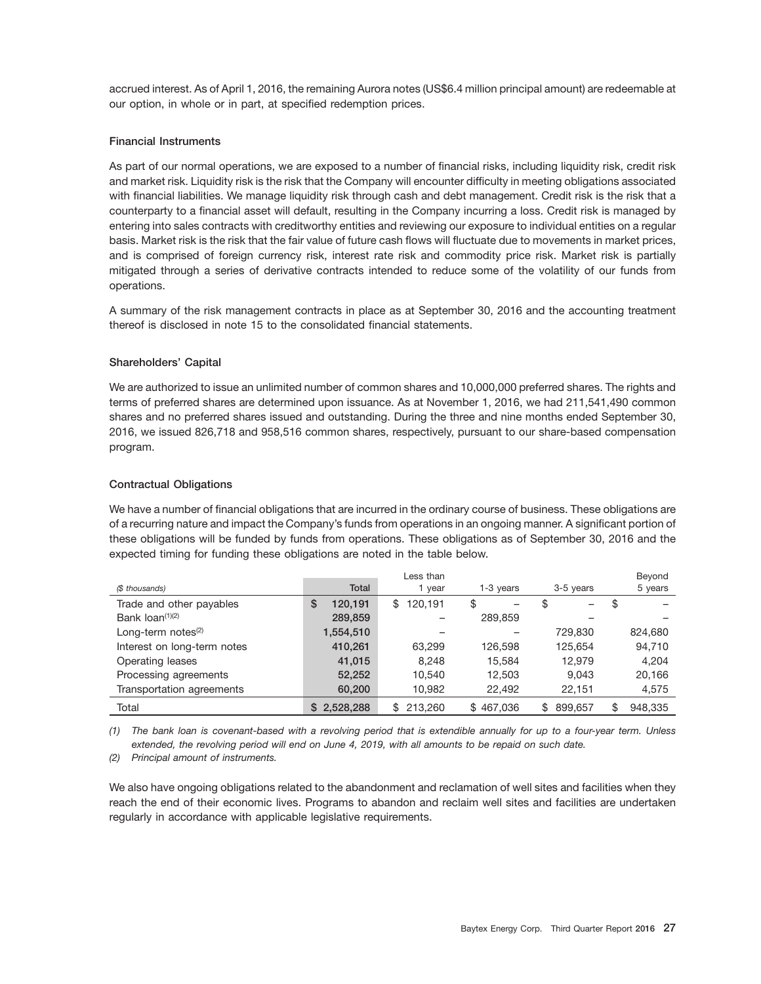accrued interest. As of April 1, 2016, the remaining Aurora notes (US\$6.4 million principal amount) are redeemable at our option, in whole or in part, at specified redemption prices.

#### **Financial Instruments**

As part of our normal operations, we are exposed to a number of financial risks, including liquidity risk, credit risk and market risk. Liquidity risk is the risk that the Company will encounter difficulty in meeting obligations associated with financial liabilities. We manage liquidity risk through cash and debt management. Credit risk is the risk that a counterparty to a financial asset will default, resulting in the Company incurring a loss. Credit risk is managed by entering into sales contracts with creditworthy entities and reviewing our exposure to individual entities on a regular basis. Market risk is the risk that the fair value of future cash flows will fluctuate due to movements in market prices, and is comprised of foreign currency risk, interest rate risk and commodity price risk. Market risk is partially mitigated through a series of derivative contracts intended to reduce some of the volatility of our funds from operations.

A summary of the risk management contracts in place as at September 30, 2016 and the accounting treatment thereof is disclosed in note 15 to the consolidated financial statements.

#### **Shareholders' Capital**

We are authorized to issue an unlimited number of common shares and 10,000,000 preferred shares. The rights and terms of preferred shares are determined upon issuance. As at November 1, 2016, we had 211,541,490 common shares and no preferred shares issued and outstanding. During the three and nine months ended September 30, 2016, we issued 826,718 and 958,516 common shares, respectively, pursuant to our share-based compensation program.

#### **Contractual Obligations**

We have a number of financial obligations that are incurred in the ordinary course of business. These obligations are of a recurring nature and impact the Company's funds from operations in an ongoing manner. A significant portion of these obligations will be funded by funds from operations. These obligations as of September 30, 2016 and the expected timing for funding these obligations are noted in the table below.

|                             | Less than    |              |           |               |    |         |  |  |  |  |
|-----------------------------|--------------|--------------|-----------|---------------|----|---------|--|--|--|--|
| (\$ thousands)              | <b>Total</b> | 1 year       | 1-3 years | 3-5 years     |    | 5 years |  |  |  |  |
| Trade and other payables    | S<br>120.191 | 120.191<br>S | \$        | S<br>—        | S  |         |  |  |  |  |
| Bank $\text{Ioan}^{(1)(2)}$ | 289,859      |              | 289,859   | -             |    |         |  |  |  |  |
| Long-term notes $(2)$       | 1,554,510    |              |           | 729,830       |    | 824,680 |  |  |  |  |
| Interest on long-term notes | 410,261      | 63.299       | 126.598   | 125.654       |    | 94,710  |  |  |  |  |
| Operating leases            | 41,015       | 8.248        | 15.584    | 12.979        |    | 4,204   |  |  |  |  |
| Processing agreements       | 52,252       | 10.540       | 12,503    | 9.043         |    | 20,166  |  |  |  |  |
| Transportation agreements   | 60,200       | 10,982       | 22,492    | 22,151        |    | 4,575   |  |  |  |  |
| Total                       | \$2,528,288  | 213,260      | \$467.036 | 899.657<br>\$ | \$ | 948.335 |  |  |  |  |

*(1) The bank loan is covenant-based with a revolving period that is extendible annually for up to a four-year term. Unless extended, the revolving period will end on June 4, 2019, with all amounts to be repaid on such date.*

*(2) Principal amount of instruments.*

We also have ongoing obligations related to the abandonment and reclamation of well sites and facilities when they reach the end of their economic lives. Programs to abandon and reclaim well sites and facilities are undertaken regularly in accordance with applicable legislative requirements.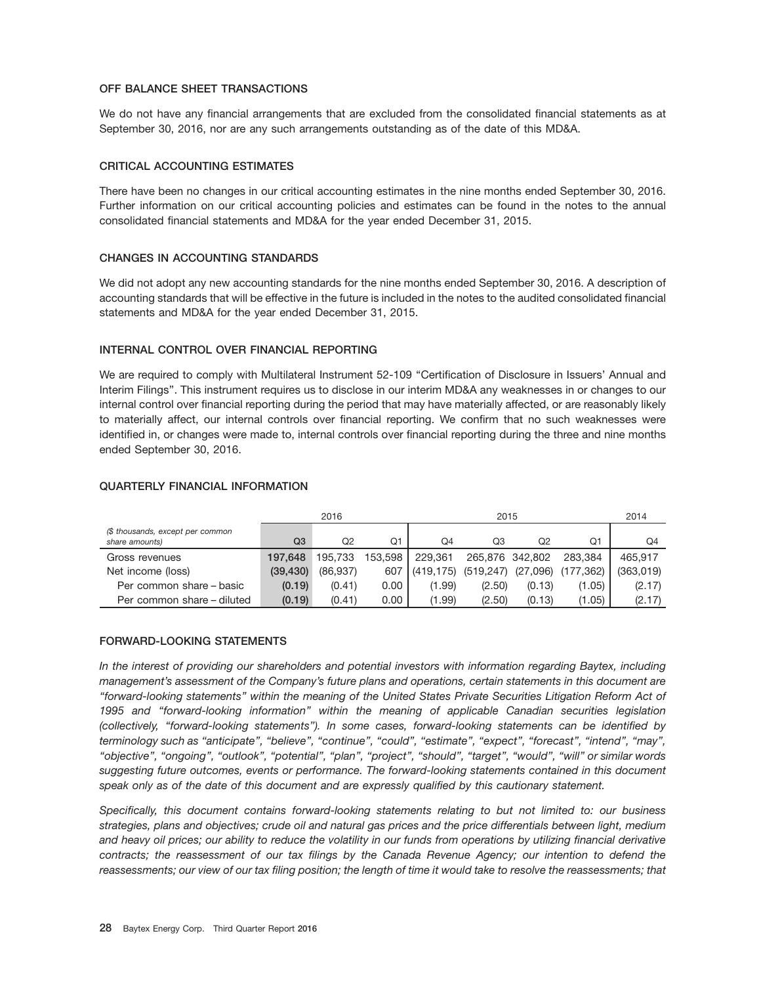#### **OFF BALANCE SHEET TRANSACTIONS**

We do not have any financial arrangements that are excluded from the consolidated financial statements as at September 30, 2016, nor are any such arrangements outstanding as of the date of this MD&A.

#### **CRITICAL ACCOUNTING ESTIMATES**

There have been no changes in our critical accounting estimates in the nine months ended September 30, 2016. Further information on our critical accounting policies and estimates can be found in the notes to the annual consolidated financial statements and MD&A for the year ended December 31, 2015.

#### **CHANGES IN ACCOUNTING STANDARDS**

We did not adopt any new accounting standards for the nine months ended September 30, 2016. A description of accounting standards that will be effective in the future is included in the notes to the audited consolidated financial statements and MD&A for the year ended December 31, 2015.

#### **INTERNAL CONTROL OVER FINANCIAL REPORTING**

We are required to comply with Multilateral Instrument 52-109 "Certification of Disclosure in Issuers' Annual and Interim Filings''. This instrument requires us to disclose in our interim MD&A any weaknesses in or changes to our internal control over financial reporting during the period that may have materially affected, or are reasonably likely to materially affect, our internal controls over financial reporting. We confirm that no such weaknesses were identified in, or changes were made to, internal controls over financial reporting during the three and nine months ended September 30, 2016.

#### **QUARTERLY FINANCIAL INFORMATION**

|                                                    |                | 2016     |         |           | 2015            |          |            |           |  |
|----------------------------------------------------|----------------|----------|---------|-----------|-----------------|----------|------------|-----------|--|
| (\$ thousands, except per common<br>share amounts) | Q <sub>3</sub> | O2       | Q1      | O4        | O3              | O2       | Ο1         | Q4        |  |
| Gross revenues                                     | 197.648        | 195.733  | 153.598 | 229.361   | 265,876 342,802 |          | 283.384    | 465.917   |  |
| Net income (loss)                                  | (39, 430)      | (86.937) | 607     | (419.175) | (519, 247)      | (27,096) | (177, 362) | (363,019) |  |
| Per common share – basic                           | (0.19)         | (0.41)   | 0.00    | (1.99)    | (2.50)          | (0.13)   | (1.05)     | (2.17)    |  |
| Per common share – diluted                         | (0.19)         | (0.41)   | 0.00    | (1.99)    | (2.50)          | (0.13)   | (1.05)     | (2.17)    |  |

#### **FORWARD-LOOKING STATEMENTS**

*In the interest of providing our shareholders and potential investors with information regarding Baytex, including management's assessment of the Company's future plans and operations, certain statements in this document are ''forward-looking statements'' within the meaning of the United States Private Securities Litigation Reform Act of 1995 and ''forward-looking information'' within the meaning of applicable Canadian securities legislation (collectively, ''forward-looking statements''). In some cases, forward-looking statements can be identified by terminology such as ''anticipate'', ''believe'', ''continue'', ''could'', ''estimate'', ''expect'', ''forecast'', ''intend'', ''may'', ''objective'', ''ongoing'', ''outlook'', ''potential'', ''plan'', ''project'', ''should'', ''target'', ''would'', ''will'' or similar words suggesting future outcomes, events or performance. The forward-looking statements contained in this document speak only as of the date of this document and are expressly qualified by this cautionary statement.*

*Specifically, this document contains forward-looking statements relating to but not limited to: our business strategies, plans and objectives; crude oil and natural gas prices and the price differentials between light, medium and heavy oil prices; our ability to reduce the volatility in our funds from operations by utilizing financial derivative contracts; the reassessment of our tax filings by the Canada Revenue Agency; our intention to defend the reassessments; our view of our tax filing position; the length of time it would take to resolve the reassessments; that*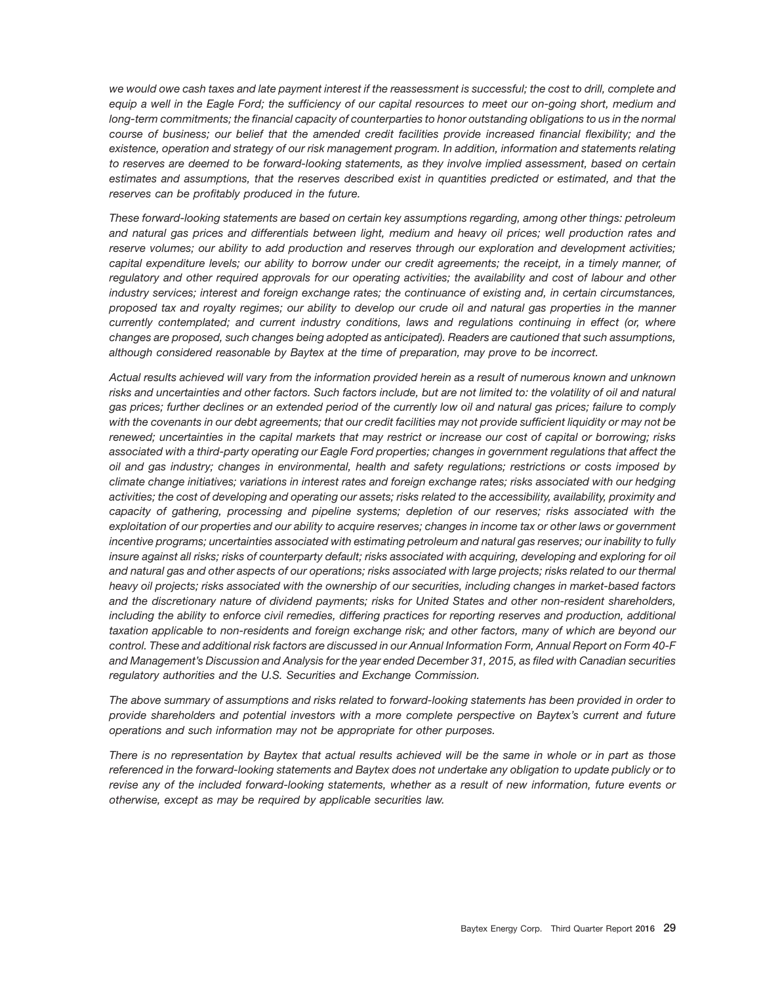*we would owe cash taxes and late payment interest if the reassessment is successful; the cost to drill, complete and equip a well in the Eagle Ford; the sufficiency of our capital resources to meet our on-going short, medium and long-term commitments; the financial capacity of counterparties to honor outstanding obligations to us in the normal course of business; our belief that the amended credit facilities provide increased financial flexibility; and the existence, operation and strategy of our risk management program. In addition, information and statements relating to reserves are deemed to be forward-looking statements, as they involve implied assessment, based on certain estimates and assumptions, that the reserves described exist in quantities predicted or estimated, and that the reserves can be profitably produced in the future.*

*These forward-looking statements are based on certain key assumptions regarding, among other things: petroleum and natural gas prices and differentials between light, medium and heavy oil prices; well production rates and reserve volumes; our ability to add production and reserves through our exploration and development activities; capital expenditure levels; our ability to borrow under our credit agreements; the receipt, in a timely manner, of regulatory and other required approvals for our operating activities; the availability and cost of labour and other industry services; interest and foreign exchange rates; the continuance of existing and, in certain circumstances, proposed tax and royalty regimes; our ability to develop our crude oil and natural gas properties in the manner currently contemplated; and current industry conditions, laws and regulations continuing in effect (or, where changes are proposed, such changes being adopted as anticipated). Readers are cautioned that such assumptions, although considered reasonable by Baytex at the time of preparation, may prove to be incorrect.*

*Actual results achieved will vary from the information provided herein as a result of numerous known and unknown risks and uncertainties and other factors. Such factors include, but are not limited to: the volatility of oil and natural gas prices; further declines or an extended period of the currently low oil and natural gas prices; failure to comply with the covenants in our debt agreements; that our credit facilities may not provide sufficient liquidity or may not be renewed; uncertainties in the capital markets that may restrict or increase our cost of capital or borrowing; risks associated with a third-party operating our Eagle Ford properties; changes in government regulations that affect the oil and gas industry; changes in environmental, health and safety regulations; restrictions or costs imposed by climate change initiatives; variations in interest rates and foreign exchange rates; risks associated with our hedging activities; the cost of developing and operating our assets; risks related to the accessibility, availability, proximity and capacity of gathering, processing and pipeline systems; depletion of our reserves; risks associated with the exploitation of our properties and our ability to acquire reserves; changes in income tax or other laws or government incentive programs; uncertainties associated with estimating petroleum and natural gas reserves; our inability to fully insure against all risks; risks of counterparty default; risks associated with acquiring, developing and exploring for oil and natural gas and other aspects of our operations; risks associated with large projects; risks related to our thermal heavy oil projects; risks associated with the ownership of our securities, including changes in market-based factors and the discretionary nature of dividend payments; risks for United States and other non-resident shareholders, including the ability to enforce civil remedies, differing practices for reporting reserves and production, additional taxation applicable to non-residents and foreign exchange risk; and other factors, many of which are beyond our control. These and additional risk factors are discussed in our Annual Information Form, Annual Report on Form 40-F and Management's Discussion and Analysis for the year ended December 31, 2015, as filed with Canadian securities regulatory authorities and the U.S. Securities and Exchange Commission.*

*The above summary of assumptions and risks related to forward-looking statements has been provided in order to provide shareholders and potential investors with a more complete perspective on Baytex's current and future operations and such information may not be appropriate for other purposes.*

*There is no representation by Baytex that actual results achieved will be the same in whole or in part as those referenced in the forward-looking statements and Baytex does not undertake any obligation to update publicly or to revise any of the included forward-looking statements, whether as a result of new information, future events or otherwise, except as may be required by applicable securities law.*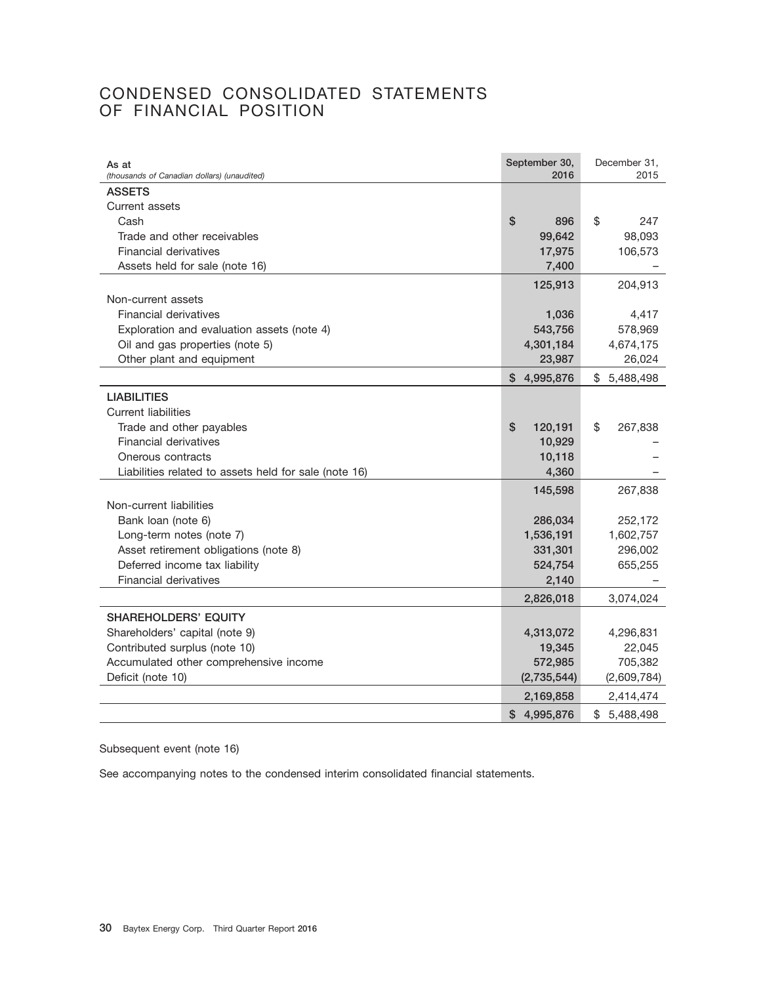# CONDENSED CONSOLIDATED STATEMENTS OF FINANCIAL POSITION

| As at<br>(thousands of Canadian dollars) (unaudited)  | September 30,<br>2016 | December 31,<br>2015 |
|-------------------------------------------------------|-----------------------|----------------------|
| <b>ASSETS</b>                                         |                       |                      |
| Current assets                                        |                       |                      |
| Cash                                                  | \$<br>896             | \$<br>247            |
| Trade and other receivables                           | 99,642                | 98,093               |
| Financial derivatives                                 | 17,975                | 106,573              |
| Assets held for sale (note 16)                        | 7,400                 |                      |
|                                                       | 125,913               | 204,913              |
| Non-current assets                                    |                       |                      |
| Financial derivatives                                 | 1,036                 | 4,417                |
| Exploration and evaluation assets (note 4)            | 543,756               | 578,969              |
| Oil and gas properties (note 5)                       | 4,301,184             | 4,674,175            |
| Other plant and equipment                             | 23,987                | 26,024               |
|                                                       | \$4,995,876           | \$5,488,498          |
| <b>LIABILITIES</b>                                    |                       |                      |
| <b>Current liabilities</b>                            |                       |                      |
| Trade and other payables                              | \$<br>120,191         | \$<br>267,838        |
| Financial derivatives                                 | 10,929                |                      |
| Onerous contracts                                     | 10,118                |                      |
| Liabilities related to assets held for sale (note 16) | 4,360                 |                      |
|                                                       | 145,598               | 267,838              |
| Non-current liabilities                               |                       |                      |
| Bank loan (note 6)                                    | 286,034               | 252,172              |
| Long-term notes (note 7)                              | 1,536,191             | 1,602,757            |
| Asset retirement obligations (note 8)                 | 331,301               | 296,002              |
| Deferred income tax liability                         | 524,754               | 655,255              |
| <b>Financial derivatives</b>                          | 2,140                 |                      |
|                                                       | 2,826,018             | 3,074,024            |
| <b>SHAREHOLDERS' EQUITY</b>                           |                       |                      |
| Shareholders' capital (note 9)                        | 4,313,072             | 4,296,831            |
| Contributed surplus (note 10)                         | 19,345                | 22,045               |
| Accumulated other comprehensive income                | 572,985               | 705,382              |
| Deficit (note 10)                                     | (2,735,544)           | (2,609,784)          |
|                                                       | 2,169,858             | 2,414,474            |
|                                                       | \$4,995,876           | \$5,488,498          |

Subsequent event (note 16)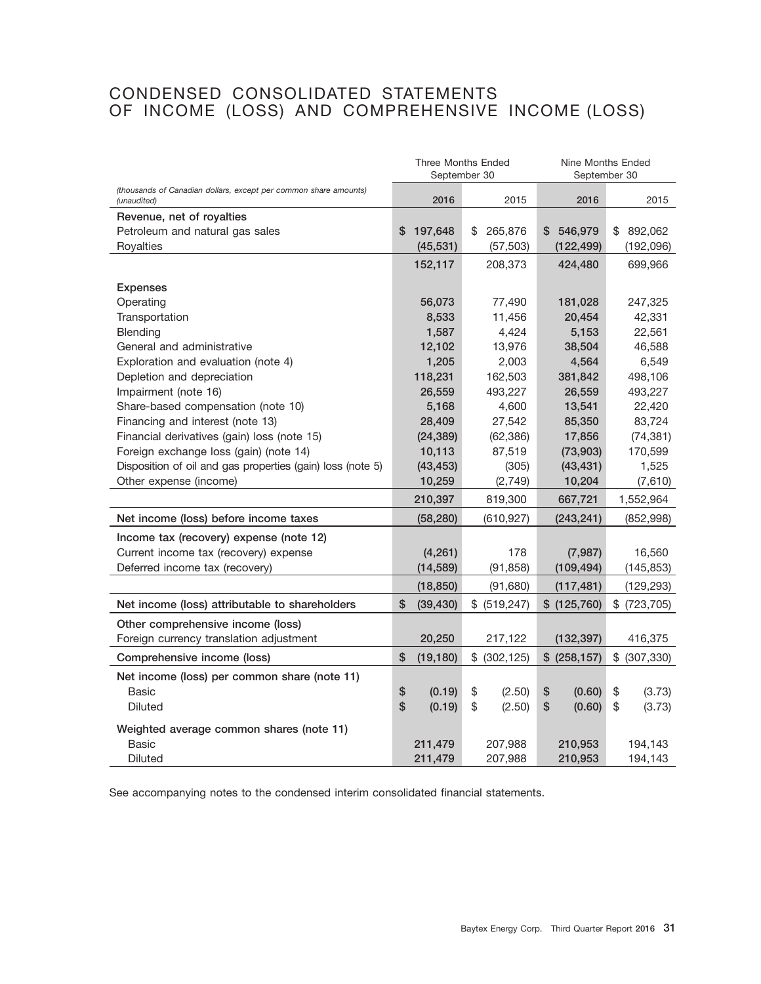# CONDENSED CONSOLIDATED STATEMENTS OF INCOME (LOSS) AND COMPREHENSIVE INCOME (LOSS)

|                                                                                 | <b>Three Months Ended</b><br>September 30 |               | Nine Months Ended<br>September 30 |               |    |               |
|---------------------------------------------------------------------------------|-------------------------------------------|---------------|-----------------------------------|---------------|----|---------------|
| (thousands of Canadian dollars, except per common share amounts)<br>(unaudited) | 2016                                      | 2015          |                                   | 2016          |    | 2015          |
| Revenue, net of royalties                                                       |                                           |               |                                   |               |    |               |
| Petroleum and natural gas sales                                                 | \$<br>197,648                             | \$<br>265,876 | \$                                | 546,979       | \$ | 892,062       |
| Royalties                                                                       | (45, 531)                                 | (57, 503)     |                                   | (122, 499)    |    | (192,096)     |
|                                                                                 | 152,117                                   | 208,373       |                                   | 424,480       |    | 699,966       |
| <b>Expenses</b>                                                                 |                                           |               |                                   |               |    |               |
| Operating                                                                       | 56,073                                    | 77,490        |                                   | 181,028       |    | 247,325       |
| Transportation                                                                  | 8,533                                     | 11,456        |                                   | 20,454        |    | 42,331        |
| Blending                                                                        | 1,587                                     | 4,424         |                                   | 5,153         |    | 22,561        |
| General and administrative                                                      | 12,102                                    | 13,976        |                                   | 38,504        |    | 46,588        |
| Exploration and evaluation (note 4)                                             | 1,205                                     | 2,003         |                                   | 4,564         |    | 6,549         |
| Depletion and depreciation                                                      | 118,231                                   | 162,503       |                                   | 381,842       |    | 498,106       |
| Impairment (note 16)                                                            | 26,559                                    | 493,227       |                                   | 26,559        |    | 493,227       |
| Share-based compensation (note 10)                                              | 5,168                                     | 4,600         |                                   | 13,541        |    | 22,420        |
| Financing and interest (note 13)                                                | 28,409                                    | 27,542        |                                   | 85,350        |    | 83,724        |
| Financial derivatives (gain) loss (note 15)                                     | (24, 389)                                 | (62, 386)     |                                   | 17,856        |    | (74, 381)     |
| Foreign exchange loss (gain) (note 14)                                          | 10,113                                    | 87,519        |                                   | (73,903)      |    | 170,599       |
| Disposition of oil and gas properties (gain) loss (note 5)                      | (43, 453)                                 | (305)         |                                   | (43, 431)     |    | 1,525         |
| Other expense (income)                                                          | 10,259                                    | (2,749)       |                                   | 10,204        |    | (7,610)       |
|                                                                                 | 210,397                                   | 819,300       |                                   | 667,721       |    | 1,552,964     |
| Net income (loss) before income taxes                                           | (58, 280)                                 | (610, 927)    |                                   | (243, 241)    |    | (852, 998)    |
| Income tax (recovery) expense (note 12)                                         |                                           |               |                                   |               |    |               |
| Current income tax (recovery) expense                                           | (4, 261)                                  | 178           |                                   | (7,987)       |    | 16,560        |
| Deferred income tax (recovery)                                                  | (14, 589)                                 | (91, 858)     |                                   | (109, 494)    |    | (145, 853)    |
|                                                                                 | (18, 850)                                 | (91,680)      |                                   | (117, 481)    |    | (129, 293)    |
| Net income (loss) attributable to shareholders                                  | \$<br>(39, 430)                           | \$ (519, 247) |                                   | \$(125,760)   |    | $$$ (723,705) |
| Other comprehensive income (loss)                                               |                                           |               |                                   |               |    |               |
| Foreign currency translation adjustment                                         | 20,250                                    | 217,122       |                                   | (132, 397)    |    | 416,375       |
| Comprehensive income (loss)                                                     | \$<br>(19, 180)                           | \$ (302, 125) |                                   | \$ (258, 157) |    | \$ (307, 330) |
| Net income (loss) per common share (note 11)                                    |                                           |               |                                   |               |    |               |
| <b>Basic</b>                                                                    | \$<br>(0.19)                              | \$<br>(2.50)  | \$                                | (0.60)        | \$ | (3.73)        |
| <b>Diluted</b>                                                                  | \$<br>(0.19)                              | \$<br>(2.50)  | \$                                | (0.60)        | \$ | (3.73)        |
| Weighted average common shares (note 11)                                        |                                           |               |                                   |               |    |               |
| <b>Basic</b>                                                                    | 211,479                                   | 207,988       |                                   | 210,953       |    | 194,143       |
| <b>Diluted</b>                                                                  | 211,479                                   | 207,988       |                                   | 210,953       |    | 194,143       |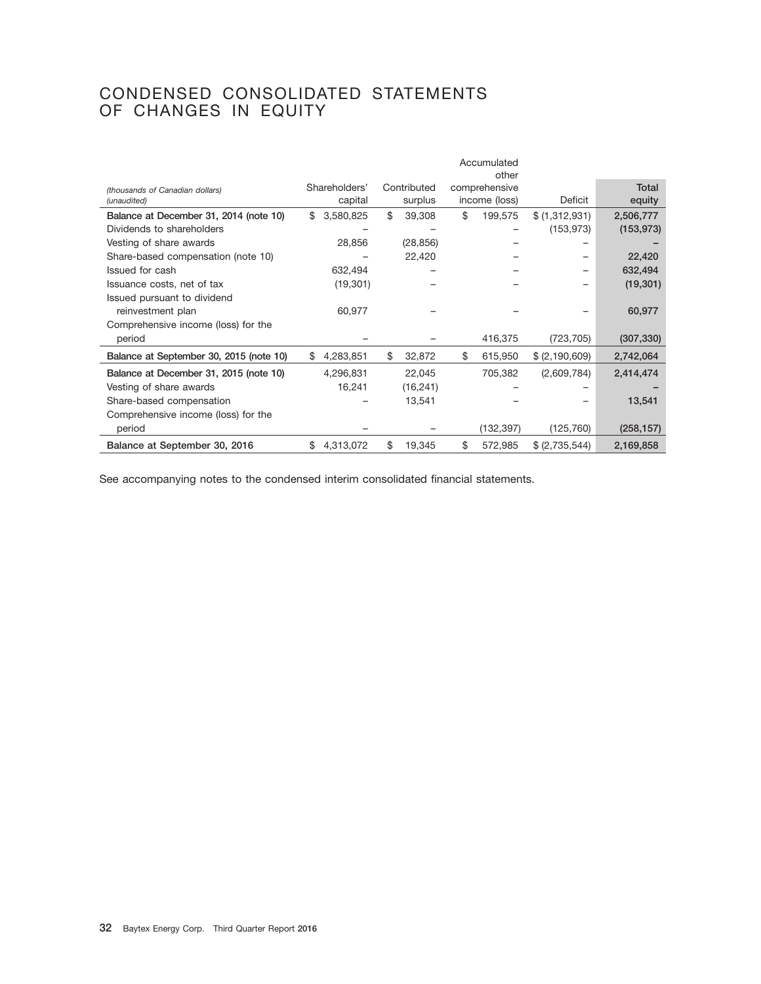# CONDENSED CONSOLIDATED STATEMENTS OF CHANGES IN EQUITY

|                                         |                 |              | Accumulated            |                |              |
|-----------------------------------------|-----------------|--------------|------------------------|----------------|--------------|
| (thousands of Canadian dollars)         | Shareholders'   | Contributed  | other<br>comprehensive |                | <b>Total</b> |
| (unaudited)                             | capital         | surplus      | income (loss)          | Deficit        | equity       |
| Balance at December 31, 2014 (note 10)  | \$<br>3,580,825 | \$<br>39,308 | \$<br>199,575          | \$ (1,312,931) | 2,506,777    |
| Dividends to shareholders               |                 |              |                        | (153, 973)     | (153, 973)   |
| Vesting of share awards                 | 28,856          | (28, 856)    |                        |                |              |
| Share-based compensation (note 10)      |                 | 22,420       |                        |                | 22,420       |
| Issued for cash                         | 632,494         |              |                        |                | 632,494      |
| Issuance costs, net of tax              | (19, 301)       |              |                        |                | (19, 301)    |
| Issued pursuant to dividend             |                 |              |                        |                |              |
| reinvestment plan                       | 60,977          |              |                        |                | 60,977       |
| Comprehensive income (loss) for the     |                 |              |                        |                |              |
| period                                  |                 |              | 416,375                | (723,705)      | (307, 330)   |
| Balance at September 30, 2015 (note 10) | \$<br>4,283,851 | \$<br>32,872 | \$<br>615,950          | \$(2,190,609)  | 2,742,064    |
| Balance at December 31, 2015 (note 10)  | 4,296,831       | 22,045       | 705,382                | (2,609,784)    | 2,414,474    |
| Vesting of share awards                 | 16,241          | (16, 241)    |                        |                |              |
| Share-based compensation                |                 | 13,541       |                        |                | 13,541       |
| Comprehensive income (loss) for the     |                 |              |                        |                |              |
| period                                  |                 |              | (132, 397)             | (125, 760)     | (258, 157)   |
| Balance at September 30, 2016           | \$<br>4,313,072 | \$<br>19,345 | \$<br>572,985          | \$ (2,735,544) | 2,169,858    |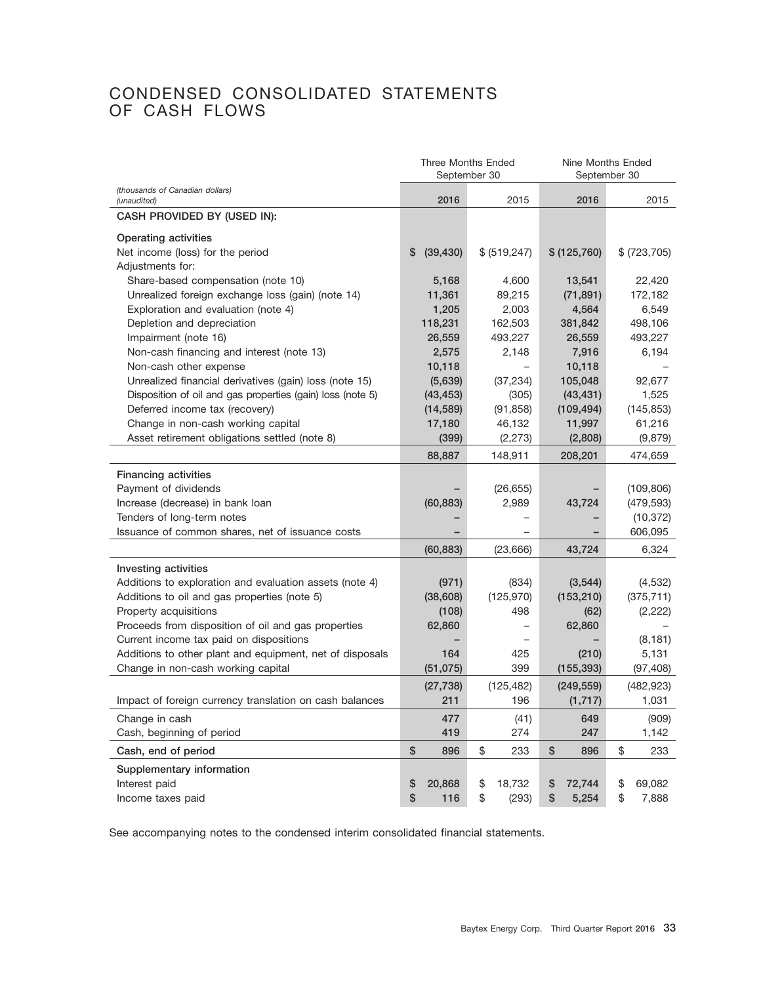# CONDENSED CONSOLIDATED STATEMENTS OF CASH FLOWS

|                                                                 | Three Months Ended<br>September 30 |                          | Nine Months Ended<br>September 30 |               |  |  |
|-----------------------------------------------------------------|------------------------------------|--------------------------|-----------------------------------|---------------|--|--|
| (thousands of Canadian dollars)<br>(unaudited)                  | 2016                               | 2015                     | 2016                              | 2015          |  |  |
| CASH PROVIDED BY (USED IN):                                     |                                    |                          |                                   |               |  |  |
|                                                                 |                                    |                          |                                   |               |  |  |
| <b>Operating activities</b><br>Net income (loss) for the period | \$<br>(39, 430)                    | \$ (519, 247)            | \$(125,760)                       | \$ (723, 705) |  |  |
| Adjustments for:                                                |                                    |                          |                                   |               |  |  |
| Share-based compensation (note 10)                              | 5,168                              | 4,600                    | 13,541                            | 22,420        |  |  |
| Unrealized foreign exchange loss (gain) (note 14)               | 11,361                             | 89,215                   | (71, 891)                         | 172,182       |  |  |
| Exploration and evaluation (note 4)                             | 1,205                              | 2,003                    | 4,564                             | 6,549         |  |  |
| Depletion and depreciation                                      | 118,231                            | 162,503                  | 381,842                           | 498,106       |  |  |
| Impairment (note 16)                                            | 26,559                             | 493,227                  | 26,559                            | 493,227       |  |  |
| Non-cash financing and interest (note 13)                       | 2,575                              | 2,148                    | 7,916                             | 6,194         |  |  |
| Non-cash other expense                                          | 10,118                             | $\overline{\phantom{0}}$ | 10,118                            |               |  |  |
| Unrealized financial derivatives (gain) loss (note 15)          | (5,639)                            | (37, 234)                | 105,048                           | 92,677        |  |  |
| Disposition of oil and gas properties (gain) loss (note 5)      | (43, 453)                          | (305)                    | (43, 431)                         | 1,525         |  |  |
| Deferred income tax (recovery)                                  | (14, 589)                          | (91, 858)                | (109, 494)                        | (145, 853)    |  |  |
| Change in non-cash working capital                              | 17,180                             | 46,132                   | 11,997                            | 61,216        |  |  |
| Asset retirement obligations settled (note 8)                   | (399)                              | (2, 273)                 | (2,808)                           | (9, 879)      |  |  |
|                                                                 | 88,887                             | 148,911                  | 208,201                           | 474,659       |  |  |
|                                                                 |                                    |                          |                                   |               |  |  |
| <b>Financing activities</b>                                     |                                    |                          |                                   |               |  |  |
| Payment of dividends                                            |                                    | (26, 655)                |                                   | (109, 806)    |  |  |
| Increase (decrease) in bank loan                                | (60, 883)                          | 2,989                    | 43,724                            | (479, 593)    |  |  |
| Tenders of long-term notes                                      |                                    |                          |                                   | (10, 372)     |  |  |
| Issuance of common shares, net of issuance costs                |                                    |                          |                                   | 606,095       |  |  |
|                                                                 | (60, 883)                          | (23,666)                 | 43,724                            | 6,324         |  |  |
| Investing activities                                            |                                    |                          |                                   |               |  |  |
| Additions to exploration and evaluation assets (note 4)         | (971)                              | (834)                    | (3, 544)                          | (4,532)       |  |  |
| Additions to oil and gas properties (note 5)                    | (38,608)                           | (125, 970)               | (153, 210)                        | (375, 711)    |  |  |
| Property acquisitions                                           | (108)                              | 498                      | (62)                              | (2, 222)      |  |  |
| Proceeds from disposition of oil and gas properties             | 62,860                             |                          | 62,860                            |               |  |  |
| Current income tax paid on dispositions                         |                                    |                          |                                   | (8, 181)      |  |  |
| Additions to other plant and equipment, net of disposals        | 164                                | 425                      | (210)                             | 5,131         |  |  |
| Change in non-cash working capital                              | (51, 075)                          | 399                      | (155, 393)                        | (97, 408)     |  |  |
|                                                                 | (27, 738)                          | (125, 482)               | (249, 559)                        | (482, 923)    |  |  |
| Impact of foreign currency translation on cash balances         | 211                                | 196                      | (1, 717)                          | 1,031         |  |  |
| Change in cash                                                  | 477                                | (41)                     | 649                               | (909)         |  |  |
| Cash, beginning of period                                       | 419                                | 274                      | 247                               | 1,142         |  |  |
| Cash, end of period                                             | \$<br>896                          | \$<br>233                | \$<br>896                         | \$<br>233     |  |  |
| Supplementary information                                       |                                    |                          |                                   |               |  |  |
| Interest paid                                                   | \$<br>20,868                       | 18,732<br>\$             | \$<br>72,744                      | 69,082<br>\$  |  |  |
| Income taxes paid                                               | \$<br>116                          | \$<br>(293)              | \$<br>5,254                       | 7,888<br>\$   |  |  |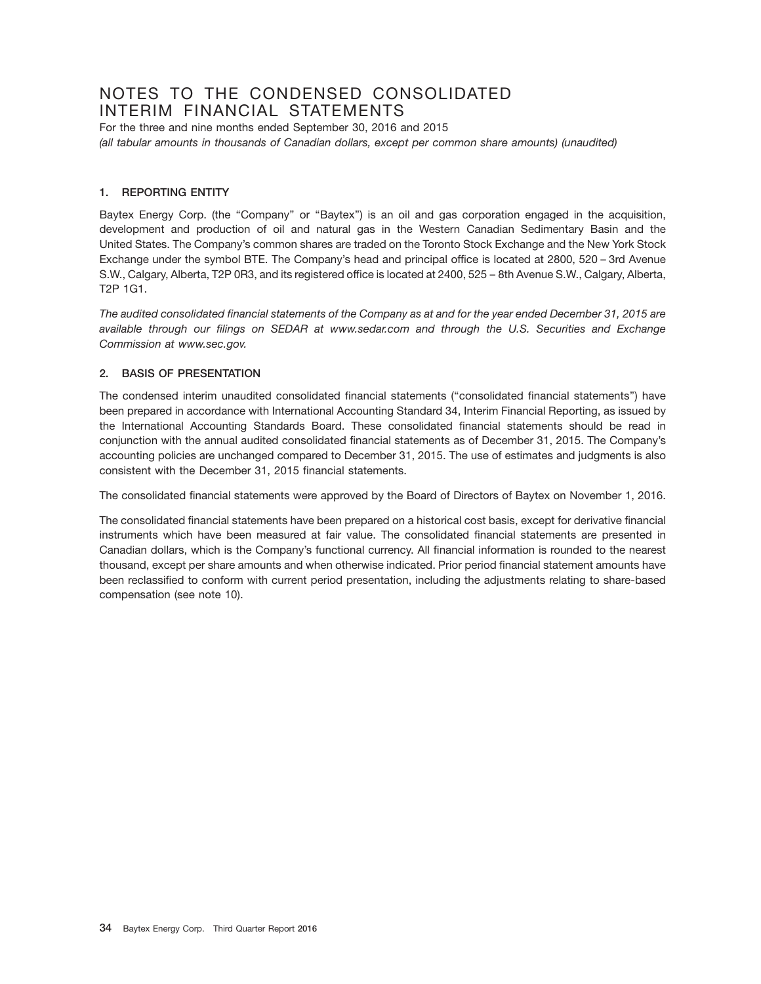# NOTES TO THE CONDENSED CONSOLIDATED INTERIM FINANCIAL STATEMENTS

For the three and nine months ended September 30, 2016 and 2015 *(all tabular amounts in thousands of Canadian dollars, except per common share amounts) (unaudited)*

#### **1. REPORTING ENTITY**

Baytex Energy Corp. (the "Company" or "Baytex") is an oil and gas corporation engaged in the acquisition, development and production of oil and natural gas in the Western Canadian Sedimentary Basin and the United States. The Company's common shares are traded on the Toronto Stock Exchange and the New York Stock Exchange under the symbol BTE. The Company's head and principal office is located at 2800, 520 – 3rd Avenue S.W., Calgary, Alberta, T2P 0R3, and its registered office is located at 2400, 525 – 8th Avenue S.W., Calgary, Alberta, T2P 1G1.

*The audited consolidated financial statements of the Company as at and for the year ended December 31, 2015 are available through our filings on SEDAR at www.sedar.com and through the U.S. Securities and Exchange Commission at www.sec.gov.*

#### **2. BASIS OF PRESENTATION**

The condensed interim unaudited consolidated financial statements (''consolidated financial statements'') have been prepared in accordance with International Accounting Standard 34, Interim Financial Reporting, as issued by the International Accounting Standards Board. These consolidated financial statements should be read in conjunction with the annual audited consolidated financial statements as of December 31, 2015. The Company's accounting policies are unchanged compared to December 31, 2015. The use of estimates and judgments is also consistent with the December 31, 2015 financial statements.

The consolidated financial statements were approved by the Board of Directors of Baytex on November 1, 2016.

The consolidated financial statements have been prepared on a historical cost basis, except for derivative financial instruments which have been measured at fair value. The consolidated financial statements are presented in Canadian dollars, which is the Company's functional currency. All financial information is rounded to the nearest thousand, except per share amounts and when otherwise indicated. Prior period financial statement amounts have been reclassified to conform with current period presentation, including the adjustments relating to share-based compensation (see note 10).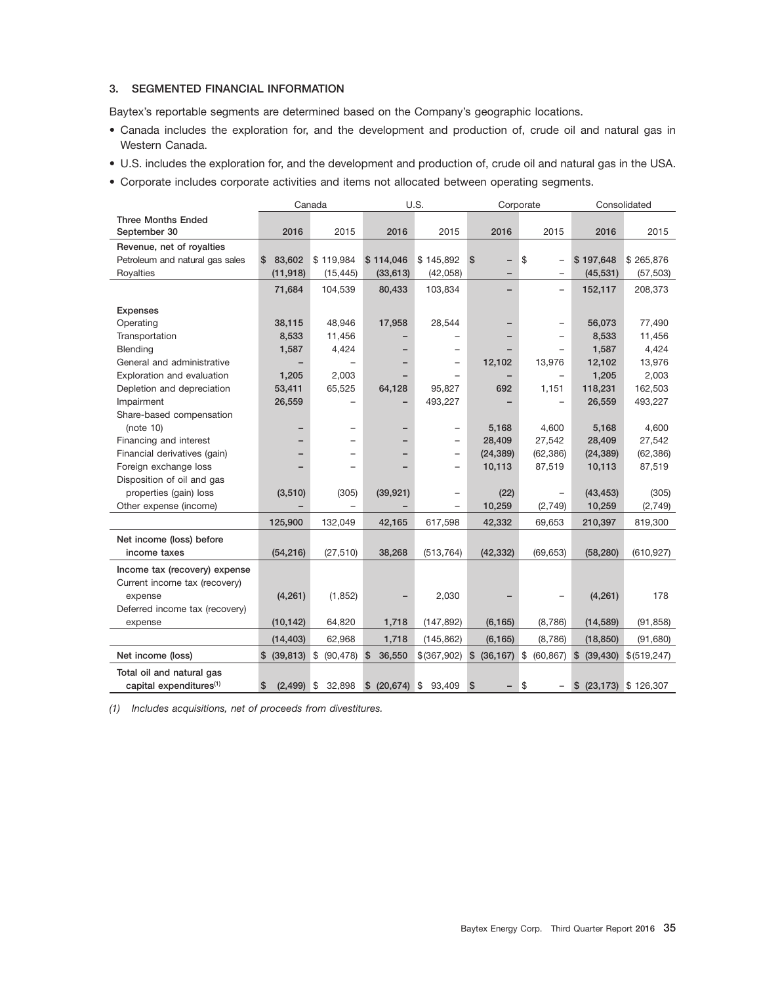#### **3. SEGMENTED FINANCIAL INFORMATION**

Baytex's reportable segments are determined based on the Company's geographic locations.

- Canada includes the exploration for, and the development and production of, crude oil and natural gas in Western Canada.
- U.S. includes the exploration for, and the development and production of, crude oil and natural gas in the USA.
- Corporate includes corporate activities and items not allocated between operating segments.

|                                     | Canada               |                          |                                            | U.S.                     |                 | Corporate                      | Consolidated               |               |  |
|-------------------------------------|----------------------|--------------------------|--------------------------------------------|--------------------------|-----------------|--------------------------------|----------------------------|---------------|--|
| <b>Three Months Ended</b>           |                      |                          |                                            |                          |                 |                                |                            |               |  |
| September 30                        | 2016                 | 2015                     | 2016                                       | 2015                     | 2016            | 2015                           | 2016                       | 2015          |  |
| Revenue, net of royalties           |                      |                          |                                            |                          |                 |                                |                            |               |  |
| Petroleum and natural gas sales     | 83,602<br>\$         | \$119,984                | \$114,046                                  | \$145,892                | \$              | \$<br>$\overline{\phantom{0}}$ | \$197,648                  | \$265,876     |  |
| Royalties                           | (11, 918)            | (15, 445)                | (33, 613)                                  | (42, 058)                |                 | $\overline{\phantom{0}}$       | (45, 531)                  | (57, 503)     |  |
|                                     | 71,684               | 104,539                  | 80,433                                     | 103,834                  |                 | $\overline{\phantom{0}}$       | 152,117                    | 208,373       |  |
| Expenses                            |                      |                          |                                            |                          |                 |                                |                            |               |  |
| Operating                           | 38,115               | 48,946                   | 17,958                                     | 28,544                   |                 | $\overline{\phantom{0}}$       | 56,073                     | 77,490        |  |
| Transportation                      | 8,533                | 11,456                   |                                            |                          |                 |                                | 8,533                      | 11,456        |  |
| Blending                            | 1,587                | 4,424                    |                                            |                          |                 |                                | 1,587                      | 4,424         |  |
| General and administrative          |                      |                          |                                            |                          | 12,102          | 13,976                         | 12,102                     | 13,976        |  |
| Exploration and evaluation          | 1,205                | 2,003                    |                                            |                          |                 | $\overline{\phantom{0}}$       | 1,205                      | 2,003         |  |
| Depletion and depreciation          | 53,411               | 65,525                   | 64,128                                     | 95,827                   | 692             | 1,151                          | 118,231                    | 162,503       |  |
| Impairment                          | 26,559               |                          |                                            | 493,227                  |                 | $\overline{\phantom{0}}$       | 26,559                     | 493,227       |  |
| Share-based compensation            |                      |                          |                                            |                          |                 |                                |                            |               |  |
| (note 10)                           |                      | $\overline{\phantom{0}}$ |                                            | $\overline{\phantom{0}}$ | 5,168           | 4,600                          | 5,168                      | 4,600         |  |
| Financing and interest              |                      |                          |                                            | $\overline{\phantom{0}}$ | 28,409          | 27,542                         | 28,409                     | 27,542        |  |
| Financial derivatives (gain)        |                      |                          |                                            | $\overline{\phantom{0}}$ | (24, 389)       | (62, 386)                      | (24, 389)                  | (62, 386)     |  |
| Foreign exchange loss               |                      |                          |                                            |                          | 10,113          | 87,519                         | 10,113                     | 87,519        |  |
| Disposition of oil and gas          |                      |                          |                                            |                          |                 |                                |                            |               |  |
| properties (gain) loss              | (3,510)              | (305)                    | (39, 921)                                  | -                        | (22)            | $\overline{\phantom{m}}$       | (43, 453)                  | (305)         |  |
| Other expense (income)              |                      | $\qquad \qquad -$        |                                            | -                        | 10,259          | (2,749)                        | 10,259                     | (2,749)       |  |
|                                     | 125,900              | 132,049                  | 42,165                                     | 617,598                  | 42,332          | 69,653                         | 210,397                    | 819,300       |  |
| Net income (loss) before            |                      |                          |                                            |                          |                 |                                |                            |               |  |
| income taxes                        | (54, 216)            | (27, 510)                | 38,268                                     | (513, 764)               | (42, 332)       | (69, 653)                      | (58, 280)                  | (610, 927)    |  |
| Income tax (recovery) expense       |                      |                          |                                            |                          |                 |                                |                            |               |  |
| Current income tax (recovery)       |                      |                          |                                            |                          |                 |                                |                            |               |  |
| expense                             | (4, 261)             | (1, 852)                 |                                            | 2,030                    |                 |                                | (4, 261)                   | 178           |  |
| Deferred income tax (recovery)      |                      |                          |                                            |                          |                 |                                |                            |               |  |
| expense                             | (10, 142)            | 64,820                   | 1,718                                      | (147, 892)               | (6, 165)        | (8,786)                        | (14, 589)                  | (91, 858)     |  |
|                                     | (14, 403)            | 62,968                   | 1,718                                      | (145, 862)               | (6, 165)        | (8,786)                        | (18, 850)                  | (91,680)      |  |
| Net income (loss)                   | \$<br>$(39, 813)$ \$ | (90, 478)                | \$<br>36,550                               | \$(367,902)              | \$<br>(36, 167) | \$<br>(60, 867)                | $\frac{3}{2}$<br>(39, 430) | \$ (519, 247) |  |
| Total oil and natural gas           |                      |                          |                                            |                          |                 |                                |                            |               |  |
| capital expenditures <sup>(1)</sup> | \$<br>$(2,499)$ \$   | 32,898                   | $\boldsymbol{\mathsf{S}}$<br>$(20,674)$ \$ | 93,409                   | \$              | \$<br>-                        | $$$ (23,173) $$$ 126,307   |               |  |

*(1) Includes acquisitions, net of proceeds from divestitures.*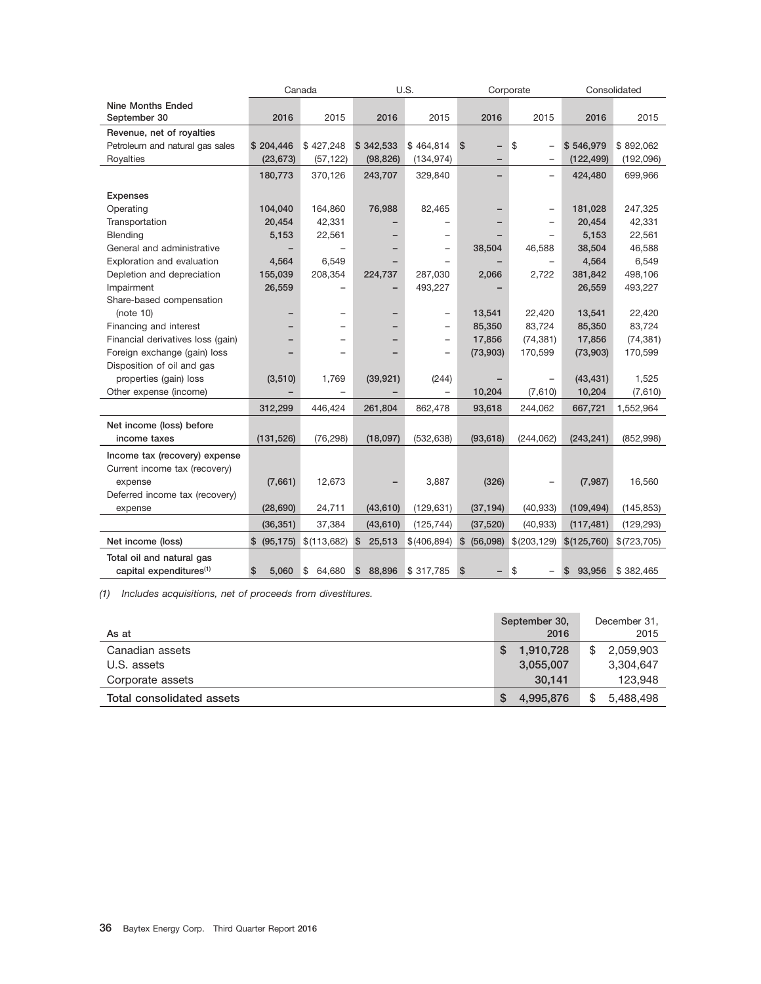|                                     | Canada            |                            |              | U.S.                     |                         | Corporate                | Consolidated |             |
|-------------------------------------|-------------------|----------------------------|--------------|--------------------------|-------------------------|--------------------------|--------------|-------------|
| <b>Nine Months Ended</b>            |                   |                            |              |                          |                         |                          |              |             |
| September 30                        | 2016              | 2015                       | 2016         | 2015                     | 2016                    | 2015                     | 2016         | 2015        |
| Revenue, net of royalties           |                   |                            |              |                          |                         |                          |              |             |
| Petroleum and natural gas sales     | \$204,446         | \$427,248                  | \$342,533    | \$464,814                | \$                      | \$                       | \$546,979    | \$892,062   |
| Royalties                           | (23, 673)         | (57, 122)                  | (98, 826)    | (134, 974)               |                         |                          | (122, 499)   | (192, 096)  |
|                                     | 180,773           | 370,126                    | 243,707      | 329,840                  |                         | $\overline{\phantom{0}}$ | 424,480      | 699,966     |
| <b>Expenses</b>                     |                   |                            |              |                          |                         |                          |              |             |
| Operating                           | 104,040           | 164,860                    | 76,988       | 82,465                   |                         |                          | 181,028      | 247,325     |
| Transportation                      | 20,454            | 42,331                     |              |                          |                         |                          | 20,454       | 42,331      |
| Blending                            | 5,153             | 22,561                     |              |                          |                         |                          | 5,153        | 22,561      |
| General and administrative          | $\qquad \qquad -$ |                            |              |                          | 38,504                  | 46,588                   | 38,504       | 46,588      |
| Exploration and evaluation          | 4,564             | 6,549                      |              |                          |                         | $\overline{\phantom{0}}$ | 4,564        | 6,549       |
| Depletion and depreciation          | 155,039           | 208,354                    | 224,737      | 287,030                  | 2,066                   | 2,722                    | 381,842      | 498,106     |
| Impairment                          | 26,559            |                            |              | 493,227                  |                         |                          | 26,559       | 493,227     |
| Share-based compensation            |                   |                            |              |                          |                         |                          |              |             |
| (note 10)                           |                   |                            |              | $\overline{\phantom{0}}$ | 13,541                  | 22,420                   | 13,541       | 22,420      |
| Financing and interest              |                   |                            |              | $\qquad \qquad -$        | 85,350                  | 83,724                   | 85,350       | 83,724      |
| Financial derivatives loss (gain)   |                   |                            |              | $\qquad \qquad -$        | 17,856                  | (74, 381)                | 17,856       | (74, 381)   |
| Foreign exchange (gain) loss        |                   |                            |              |                          | (73,903)                | 170,599                  | (73,903)     | 170,599     |
| Disposition of oil and gas          |                   |                            |              |                          |                         |                          |              |             |
| properties (gain) loss              | (3,510)           | 1,769                      | (39, 921)    | (244)                    |                         |                          | (43, 431)    | 1,525       |
| Other expense (income)              |                   |                            |              |                          | 10,204                  | (7,610)                  | 10,204       | (7,610)     |
|                                     | 312,299           | 446,424                    | 261,804      | 862,478                  | 93,618                  | 244,062                  | 667,721      | 1,552,964   |
| Net income (loss) before            |                   |                            |              |                          |                         |                          |              |             |
| income taxes                        | (131, 526)        | (76, 298)                  | (18,097)     | (532, 638)               | (93, 618)               | (244, 062)               | (243, 241)   | (852, 998)  |
| Income tax (recovery) expense       |                   |                            |              |                          |                         |                          |              |             |
| Current income tax (recovery)       |                   |                            |              |                          |                         |                          |              |             |
| expense                             | (7,661)           | 12,673                     |              | 3,887                    | (326)                   |                          | (7,987)      | 16,560      |
| Deferred income tax (recovery)      |                   |                            |              |                          |                         |                          |              |             |
| expense                             | (28, 690)         | 24,711                     | (43, 610)    | (129, 631)               | (37, 194)               | (40, 933)                | (109, 494)   | (145, 853)  |
|                                     | (36, 351)         | 37,384                     | (43, 610)    | (125, 744)               | (37, 520)               | (40, 933)                | (117, 481)   | (129, 293)  |
| Net income (loss)                   |                   | $$$ (95,175) $$$ (113,682) | \$<br>25,513 | \$(406,894)              | \$<br>(56,098)          | \$(203, 129)             | \$(125,760)  | \$(723,705) |
| Total oil and natural gas           |                   |                            |              |                          |                         |                          |              |             |
| capital expenditures <sup>(1)</sup> | 5,060<br>\$       | \$<br>64,680               | 88,896<br>\$ | \$317,785                | \$<br>$\qquad \qquad -$ | \$<br>$\qquad \qquad -$  | \$93,956     | \$382,465   |
|                                     |                   |                            |              |                          |                         |                          |              |             |

*(1) Includes acquisitions, net of proceeds from divestitures.*

| As at                     | September 30,<br>2016 | December 31,<br>2015 |
|---------------------------|-----------------------|----------------------|
| Canadian assets           | 1,910,728<br>S        | 2,059,903            |
| U.S. assets               | 3,055,007             | 3,304,647            |
| Corporate assets          | 30,141                | 123,948              |
| Total consolidated assets | 4,995,876<br>S        | 5,488,498            |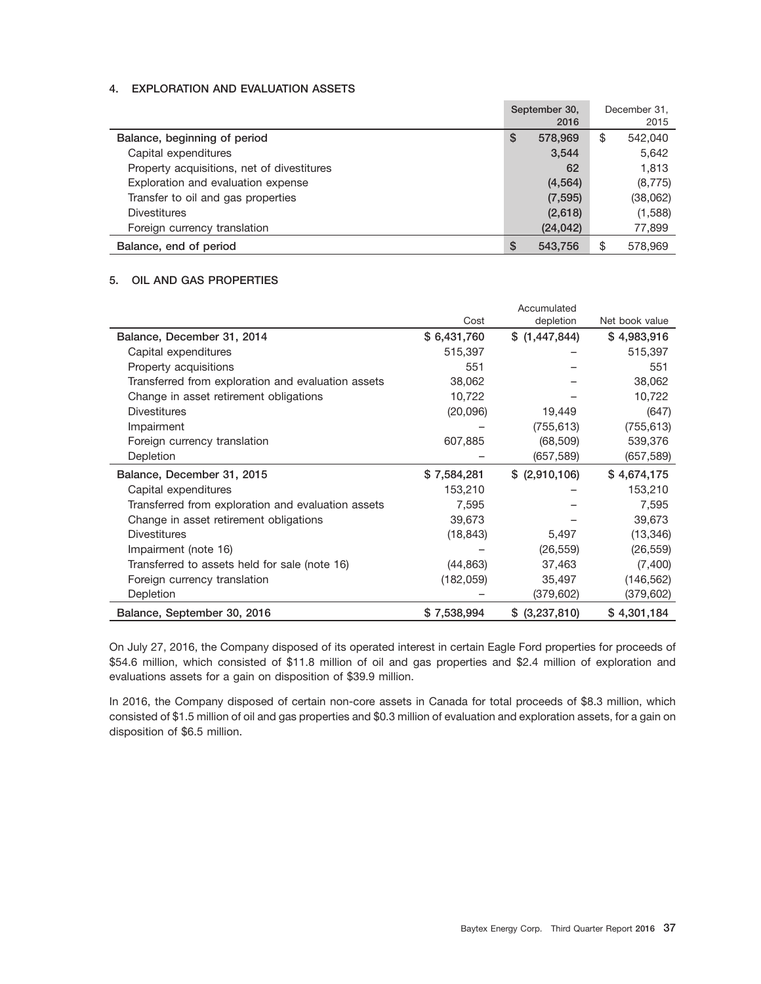#### **4. EXPLORATION AND EVALUATION ASSETS**

|                                            | September 30, |           | December 31.  |
|--------------------------------------------|---------------|-----------|---------------|
|                                            |               | 2016      | 2015          |
| Balance, beginning of period               | S             | 578,969   | \$<br>542,040 |
| Capital expenditures                       |               | 3,544     | 5,642         |
| Property acquisitions, net of divestitures |               | 62        | 1,813         |
| Exploration and evaluation expense         |               | (4, 564)  | (8, 775)      |
| Transfer to oil and gas properties         |               | (7, 595)  | (38,062)      |
| <b>Divestitures</b>                        |               | (2,618)   | (1,588)       |
| Foreign currency translation               |               | (24, 042) | 77,899        |
| Balance, end of period                     | \$            | 543,756   | 578,969       |

## **5. OIL AND GAS PROPERTIES**

|                                                    |             | Accumulated     |                |
|----------------------------------------------------|-------------|-----------------|----------------|
|                                                    | Cost        | depletion       | Net book value |
| Balance, December 31, 2014                         | \$6,431,760 | \$(1,447,844)   | \$4,983,916    |
| Capital expenditures                               | 515,397     |                 | 515,397        |
| Property acquisitions                              | 551         |                 | 551            |
| Transferred from exploration and evaluation assets | 38,062      |                 | 38,062         |
| Change in asset retirement obligations             | 10,722      |                 | 10,722         |
| <b>Divestitures</b>                                | (20,096)    | 19,449          | (647)          |
| Impairment                                         |             | (755, 613)      | (755, 613)     |
| Foreign currency translation                       | 607,885     | (68, 509)       | 539,376        |
| Depletion                                          |             | (657, 589)      | (657, 589)     |
| Balance, December 31, 2015                         | \$7,584,281 | $$$ (2,910,106) | \$4,674,175    |
| Capital expenditures                               | 153,210     |                 | 153,210        |
| Transferred from exploration and evaluation assets | 7,595       |                 | 7,595          |
| Change in asset retirement obligations             | 39,673      |                 | 39,673         |
| <b>Divestitures</b>                                | (18, 843)   | 5,497           | (13, 346)      |
| Impairment (note 16)                               |             | (26, 559)       | (26, 559)      |
| Transferred to assets held for sale (note 16)      | (44, 863)   | 37,463          | (7,400)        |
| Foreign currency translation                       | (182, 059)  | 35,497          | (146, 562)     |
| Depletion                                          |             | (379, 602)      | (379,602)      |
| Balance, September 30, 2016                        | \$7,538,994 | \$ (3,237,810)  | \$4,301,184    |

On July 27, 2016, the Company disposed of its operated interest in certain Eagle Ford properties for proceeds of \$54.6 million, which consisted of \$11.8 million of oil and gas properties and \$2.4 million of exploration and evaluations assets for a gain on disposition of \$39.9 million.

In 2016, the Company disposed of certain non-core assets in Canada for total proceeds of \$8.3 million, which consisted of \$1.5 million of oil and gas properties and \$0.3 million of evaluation and exploration assets, for a gain on disposition of \$6.5 million.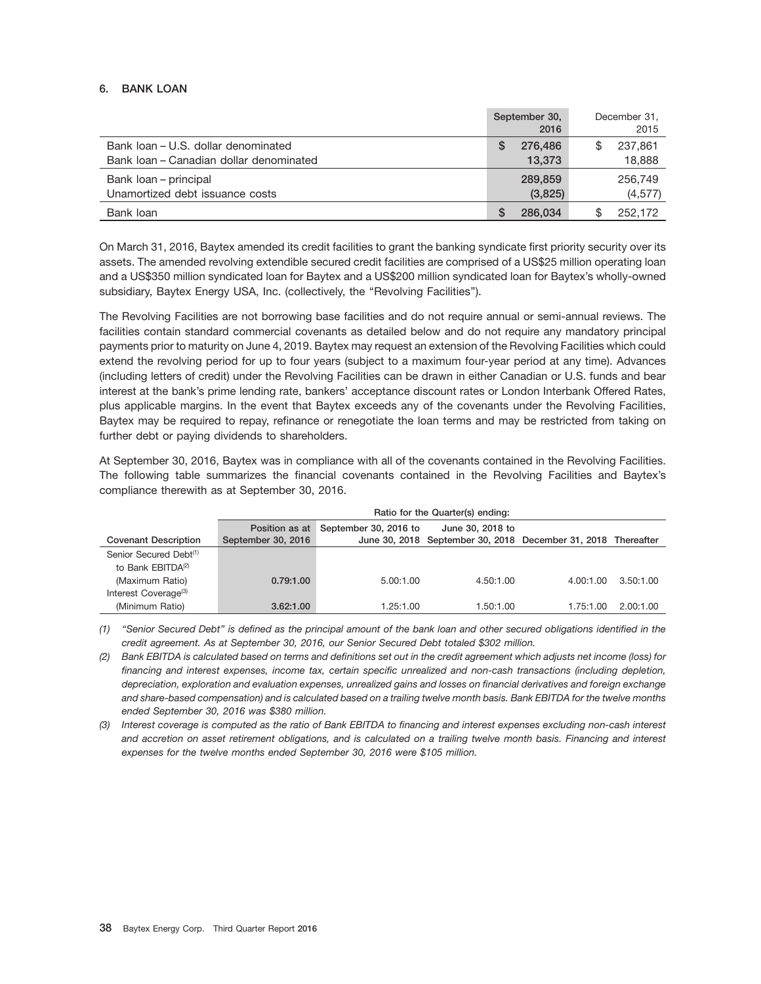#### **6. BANK LOAN**

|                                         | September 30,<br>2016 | December 31,<br>2015 |
|-----------------------------------------|-----------------------|----------------------|
| Bank Joan – U.S. dollar denominated     | 276,486               | 237,861              |
| Bank Ioan - Canadian dollar denominated | 13,373                | 18,888               |
| Bank loan – principal                   | 289,859               | 256,749              |
| Unamortized debt issuance costs         | (3,825)               | (4, 577)             |
| Bank loan                               | 286,034               | 252.172              |

On March 31, 2016, Baytex amended its credit facilities to grant the banking syndicate first priority security over its assets. The amended revolving extendible secured credit facilities are comprised of a US\$25 million operating loan and a US\$350 million syndicated loan for Baytex and a US\$200 million syndicated loan for Baytex's wholly-owned subsidiary, Baytex Energy USA, Inc. (collectively, the "Revolving Facilities").

The Revolving Facilities are not borrowing base facilities and do not require annual or semi-annual reviews. The facilities contain standard commercial covenants as detailed below and do not require any mandatory principal payments prior to maturity on June 4, 2019. Baytex may request an extension of the Revolving Facilities which could extend the revolving period for up to four years (subject to a maximum four-year period at any time). Advances (including letters of credit) under the Revolving Facilities can be drawn in either Canadian or U.S. funds and bear interest at the bank's prime lending rate, bankers' acceptance discount rates or London Interbank Offered Rates, plus applicable margins. In the event that Baytex exceeds any of the covenants under the Revolving Facilities, Baytex may be required to repay, refinance or renegotiate the loan terms and may be restricted from taking on further debt or paying dividends to shareholders.

At September 30, 2016, Baytex was in compliance with all of the covenants contained in the Revolving Facilities. The following table summarizes the financial covenants contained in the Revolving Facilities and Baytex's compliance therewith as at September 30, 2016.

|                                    | Ratio for the Quarter(s) ending: |                       |                                                               |           |           |  |  |  |  |
|------------------------------------|----------------------------------|-----------------------|---------------------------------------------------------------|-----------|-----------|--|--|--|--|
|                                    | Position as at                   | September 30, 2016 to | June 30, 2018 to                                              |           |           |  |  |  |  |
| <b>Covenant Description</b>        | September 30, 2016               |                       | June 30, 2018 September 30, 2018 December 31, 2018 Thereafter |           |           |  |  |  |  |
| Senior Secured Debt <sup>(1)</sup> |                                  |                       |                                                               |           |           |  |  |  |  |
| to Bank EBITDA <sup>(2)</sup>      |                                  |                       |                                                               |           |           |  |  |  |  |
| (Maximum Ratio)                    | 0.79:1.00                        | 5.00:1.00             | 4.50:1.00                                                     | 4.00:1.00 | 3.50:1.00 |  |  |  |  |
| Interest Coverage <sup>(3)</sup>   |                                  |                       |                                                               |           |           |  |  |  |  |
| (Minimum Ratio)                    | 3.62:1.00                        | 1.25:1.00             | 1.50:1.00                                                     | 1.75:1.00 | 2.00:1.00 |  |  |  |  |

*(1) ''Senior Secured Debt'' is defined as the principal amount of the bank loan and other secured obligations identified in the credit agreement. As at September 30, 2016, our Senior Secured Debt totaled \$302 million.*

*(2) Bank EBITDA is calculated based on terms and definitions set out in the credit agreement which adjusts net income (loss) for financing and interest expenses, income tax, certain specific unrealized and non-cash transactions (including depletion, depreciation, exploration and evaluation expenses, unrealized gains and losses on financial derivatives and foreign exchange and share-based compensation) and is calculated based on a trailing twelve month basis. Bank EBITDA for the twelve months ended September 30, 2016 was \$380 million.*

*(3) Interest coverage is computed as the ratio of Bank EBITDA to financing and interest expenses excluding non-cash interest and accretion on asset retirement obligations, and is calculated on a trailing twelve month basis. Financing and interest expenses for the twelve months ended September 30, 2016 were \$105 million.*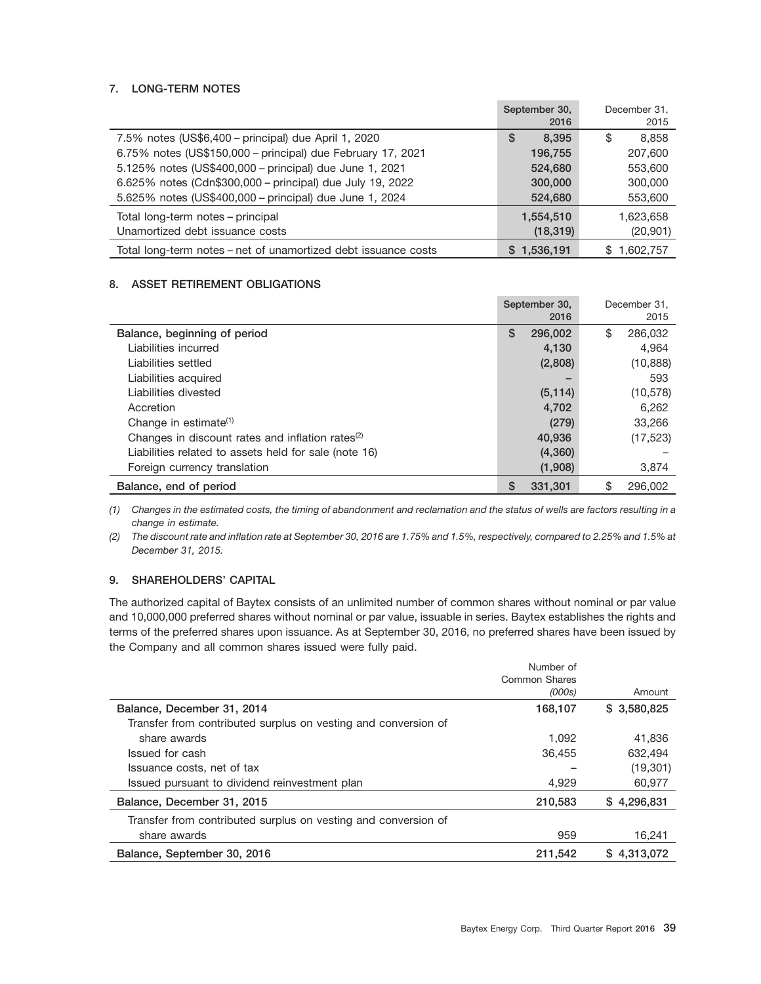#### **7. LONG-TERM NOTES**

|                                                                | September 30,<br>2016 | December 31,<br>2015 |
|----------------------------------------------------------------|-----------------------|----------------------|
| 7.5% notes (US\$6,400 - principal) due April 1, 2020           | 8,395<br>S            | \$<br>8,858          |
| 6.75% notes (US\$150,000 - principal) due February 17, 2021    | 196,755               | 207,600              |
| 5.125% notes (US\$400,000 - principal) due June 1, 2021        | 524,680               | 553,600              |
| 6.625% notes (Cdn\$300,000 - principal) due July 19, 2022      | 300,000               | 300,000              |
| 5.625% notes (US\$400,000 - principal) due June 1, 2024        | 524,680               | 553,600              |
| Total long-term notes - principal                              | 1,554,510             | 1,623,658            |
| Unamortized debt issuance costs                                | (18, 319)             | (20, 901)            |
| Total long-term notes – net of unamortized debt issuance costs | 1,536,191             | \$1,602,757          |

#### **8. ASSET RETIREMENT OBLIGATIONS**

|                                                              | September 30, | December 31.  |
|--------------------------------------------------------------|---------------|---------------|
|                                                              | 2016          | 2015          |
| Balance, beginning of period                                 | S<br>296,002  | \$<br>286,032 |
| Liabilities incurred                                         | 4.130         | 4.964         |
| Liabilities settled                                          | (2,808)       | (10, 888)     |
| Liabilities acquired                                         |               | 593           |
| Liabilities divested                                         | (5, 114)      | (10, 578)     |
| Accretion                                                    | 4,702         | 6.262         |
| Change in estimate <sup>(1)</sup>                            | (279)         | 33,266        |
| Changes in discount rates and inflation rates <sup>(2)</sup> | 40,936        | (17, 523)     |
| Liabilities related to assets held for sale (note 16)        | (4,360)       |               |
| Foreign currency translation                                 | (1,908)       | 3,874         |
| Balance, end of period                                       | S<br>331.301  | \$<br>296.002 |

*(1) Changes in the estimated costs, the timing of abandonment and reclamation and the status of wells are factors resulting in a change in estimate.*

*(2) The discount rate and inflation rate at September 30, 2016 are 1.75% and 1.5%, respectively, compared to 2.25% and 1.5% at December 31, 2015.*

#### **9. SHAREHOLDERS' CAPITAL**

The authorized capital of Baytex consists of an unlimited number of common shares without nominal or par value and 10,000,000 preferred shares without nominal or par value, issuable in series. Baytex establishes the rights and terms of the preferred shares upon issuance. As at September 30, 2016, no preferred shares have been issued by the Company and all common shares issued were fully paid.

|                                                                | Number of     |             |
|----------------------------------------------------------------|---------------|-------------|
|                                                                | Common Shares |             |
|                                                                | (000s)        | Amount      |
| Balance, December 31, 2014                                     | 168,107       | \$3,580,825 |
| Transfer from contributed surplus on vesting and conversion of |               |             |
| share awards                                                   | 1,092         | 41,836      |
| Issued for cash                                                | 36,455        | 632.494     |
| Issuance costs, net of tax                                     |               | (19, 301)   |
| Issued pursuant to dividend reinvestment plan                  | 4.929         | 60,977      |
| Balance, December 31, 2015                                     | 210,583       | \$4,296,831 |
| Transfer from contributed surplus on vesting and conversion of |               |             |
| share awards                                                   | 959           | 16,241      |
| Balance, September 30, 2016                                    | 211.542       | \$4.313.072 |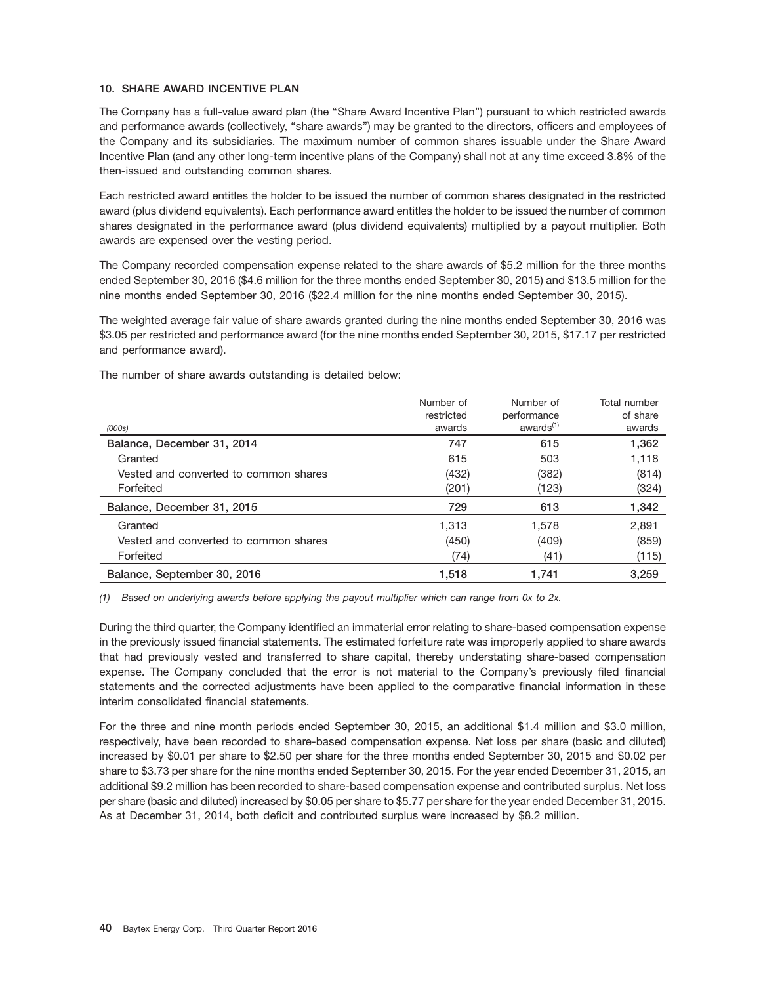#### **10. SHARE AWARD INCENTIVE PLAN**

The Company has a full-value award plan (the ''Share Award Incentive Plan'') pursuant to which restricted awards and performance awards (collectively, ''share awards'') may be granted to the directors, officers and employees of the Company and its subsidiaries. The maximum number of common shares issuable under the Share Award Incentive Plan (and any other long-term incentive plans of the Company) shall not at any time exceed 3.8% of the then-issued and outstanding common shares.

Each restricted award entitles the holder to be issued the number of common shares designated in the restricted award (plus dividend equivalents). Each performance award entitles the holder to be issued the number of common shares designated in the performance award (plus dividend equivalents) multiplied by a payout multiplier. Both awards are expensed over the vesting period.

The Company recorded compensation expense related to the share awards of \$5.2 million for the three months ended September 30, 2016 (\$4.6 million for the three months ended September 30, 2015) and \$13.5 million for the nine months ended September 30, 2016 (\$22.4 million for the nine months ended September 30, 2015).

The weighted average fair value of share awards granted during the nine months ended September 30, 2016 was \$3.05 per restricted and performance award (for the nine months ended September 30, 2015, \$17.17 per restricted and performance award).

Number of Mumber of Total number restricted performance of share *(000s)* awards awards(1) awards **Balance, December 31, 2014 1,362 747 615 1,362** Granted 615 503 1,118 Vested and converted to common shares (432) (382) (814) Forfeited (201) (123) (324) **Balance, December 31, 2015 1,342 1,342** Granted 2,891 2,891 2,891 2,891 2,891 2,892 2,892 2,892 2,892 2,892 2,892 2,892 2,892 2,892 2,892 2,892 2,892 Vested and converted to common shares (450) (409) (859) Forfeited (74) (41) (115) **Balance, September 30, 2016** 1,518 1,518 1,741 3,259

The number of share awards outstanding is detailed below:

*(1) Based on underlying awards before applying the payout multiplier which can range from 0x to 2x.*

During the third quarter, the Company identified an immaterial error relating to share-based compensation expense in the previously issued financial statements. The estimated forfeiture rate was improperly applied to share awards that had previously vested and transferred to share capital, thereby understating share-based compensation expense. The Company concluded that the error is not material to the Company's previously filed financial statements and the corrected adjustments have been applied to the comparative financial information in these interim consolidated financial statements.

For the three and nine month periods ended September 30, 2015, an additional \$1.4 million and \$3.0 million, respectively, have been recorded to share-based compensation expense. Net loss per share (basic and diluted) increased by \$0.01 per share to \$2.50 per share for the three months ended September 30, 2015 and \$0.02 per share to \$3.73 per share for the nine months ended September 30, 2015. For the year ended December 31, 2015, an additional \$9.2 million has been recorded to share-based compensation expense and contributed surplus. Net loss per share (basic and diluted) increased by \$0.05 per share to \$5.77 per share for the year ended December 31, 2015. As at December 31, 2014, both deficit and contributed surplus were increased by \$8.2 million.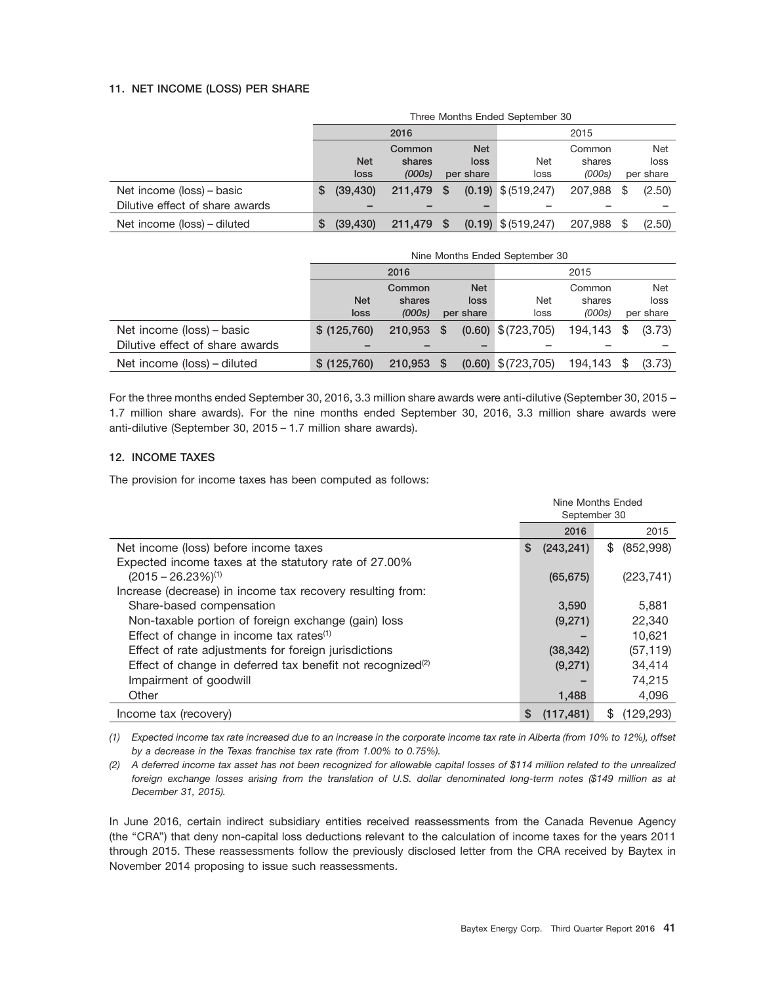#### **11. NET INCOME (LOSS) PER SHARE**

|                                 |      | Three Months Ended September 30 |         |          |            |                       |         |    |           |
|---------------------------------|------|---------------------------------|---------|----------|------------|-----------------------|---------|----|-----------|
|                                 | 2016 |                                 |         | 2015     |            |                       |         |    |           |
|                                 |      |                                 | Common  |          | <b>Net</b> |                       | Common  |    | Net       |
|                                 |      | <b>Net</b>                      | shares  |          | loss       | Net                   | shares  |    | loss      |
|                                 |      | loss                            | (000s)  |          | per share  | loss                  | (000s)  |    | per share |
| Net income (loss) – basic       | S    | (39, 430)                       | 211,479 | \$       |            | $(0.19)$ \$ (519,247) | 207,988 | \$ | (2.50)    |
| Dilutive effect of share awards |      |                                 |         |          |            |                       |         |    |           |
| Net income (loss) – diluted     | S    | (39, 430)                       | 211.479 | <b>S</b> |            | $(0.19)$ \$ (519,247) | 207.988 |    | (2.50)    |

|                                 | Nine Months Ended September 30 |              |    |           |                      |            |      |           |
|---------------------------------|--------------------------------|--------------|----|-----------|----------------------|------------|------|-----------|
|                                 | 2016                           |              |    | 2015      |                      |            |      |           |
|                                 | <b>Net</b><br>Common           |              |    |           | Common               |            | Net  |           |
|                                 | <b>Net</b>                     | shares       |    | loss      | Net                  | shares     |      | loss      |
|                                 | loss                           | (000s)       |    | per share | loss                 | (000s)     |      | per share |
| Net income (loss) – basic       | \$(125,760)                    | $210,953$ \$ |    |           | $(0.60)$ \$(723,705) | 194.143 \$ |      | (3.73)    |
| Dilutive effect of share awards |                                |              |    |           |                      |            |      |           |
| Net income (loss) – diluted     | \$(125,760)                    | 210.953      | -S |           | $(0.60)$ \$(723,705) | 194,143    | - \$ | (3.73)    |

For the three months ended September 30, 2016, 3.3 million share awards were anti-dilutive (September 30, 2015 – 1.7 million share awards). For the nine months ended September 30, 2016, 3.3 million share awards were anti-dilutive (September 30, 2015 – 1.7 million share awards).

#### **12. INCOME TAXES**

The provision for income taxes has been computed as follows:

|                                                                        | Nine Months Ended<br>September 30 |                  |
|------------------------------------------------------------------------|-----------------------------------|------------------|
|                                                                        | 2016                              | 2015             |
| Net income (loss) before income taxes                                  | (243, 241)<br>S                   | (852,998)<br>\$  |
| Expected income taxes at the statutory rate of 27.00%                  |                                   |                  |
| $(2015 - 26.23\%)^{(1)}$                                               | (65, 675)                         | (223, 741)       |
| Increase (decrease) in income tax recovery resulting from:             |                                   |                  |
| Share-based compensation                                               | 3,590                             | 5,881            |
| Non-taxable portion of foreign exchange (gain) loss                    | (9,271)                           | 22,340           |
| Effect of change in income tax rates $(1)$                             |                                   | 10.621           |
| Effect of rate adjustments for foreign jurisdictions                   | (38, 342)                         | (57, 119)        |
| Effect of change in deferred tax benefit not recognized <sup>(2)</sup> | (9,271)                           | 34,414           |
| Impairment of goodwill                                                 |                                   | 74,215           |
| Other                                                                  | 1,488                             | 4,096            |
| Income tax (recovery)                                                  | (117, 481)<br>\$                  | \$<br>(129, 293) |

*(1) Expected income tax rate increased due to an increase in the corporate income tax rate in Alberta (from 10% to 12%), offset by a decrease in the Texas franchise tax rate (from 1.00% to 0.75%).*

*(2) A deferred income tax asset has not been recognized for allowable capital losses of \$114 million related to the unrealized foreign exchange losses arising from the translation of U.S. dollar denominated long-term notes (\$149 million as at December 31, 2015).*

In June 2016, certain indirect subsidiary entities received reassessments from the Canada Revenue Agency (the ''CRA'') that deny non-capital loss deductions relevant to the calculation of income taxes for the years 2011 through 2015. These reassessments follow the previously disclosed letter from the CRA received by Baytex in November 2014 proposing to issue such reassessments.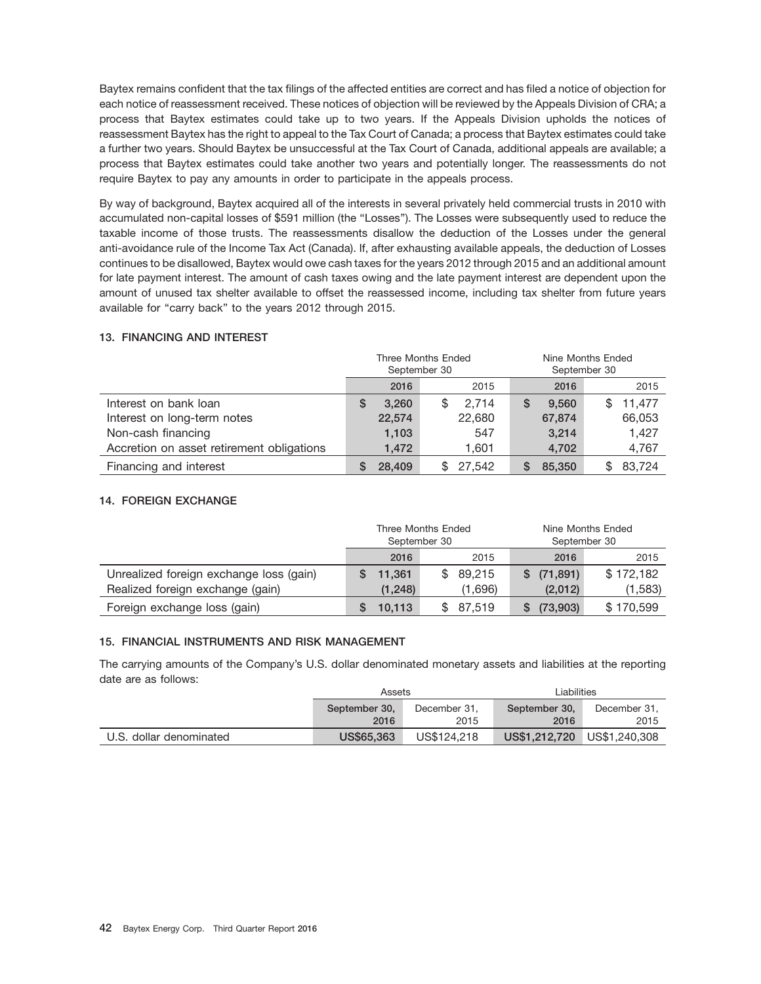Baytex remains confident that the tax filings of the affected entities are correct and has filed a notice of objection for each notice of reassessment received. These notices of objection will be reviewed by the Appeals Division of CRA; a process that Baytex estimates could take up to two years. If the Appeals Division upholds the notices of reassessment Baytex has the right to appeal to the Tax Court of Canada; a process that Baytex estimates could take a further two years. Should Baytex be unsuccessful at the Tax Court of Canada, additional appeals are available; a process that Baytex estimates could take another two years and potentially longer. The reassessments do not require Baytex to pay any amounts in order to participate in the appeals process.

By way of background, Baytex acquired all of the interests in several privately held commercial trusts in 2010 with accumulated non-capital losses of \$591 million (the ''Losses''). The Losses were subsequently used to reduce the taxable income of those trusts. The reassessments disallow the deduction of the Losses under the general anti-avoidance rule of the Income Tax Act (Canada). If, after exhausting available appeals, the deduction of Losses continues to be disallowed, Baytex would owe cash taxes for the years 2012 through 2015 and an additional amount for late payment interest. The amount of cash taxes owing and the late payment interest are dependent upon the amount of unused tax shelter available to offset the reassessed income, including tax shelter from future years available for "carry back" to the years 2012 through 2015.

#### **13. FINANCING AND INTEREST**

|                                           | <b>Three Months Ended</b>  |              |   | Nine Months Ended |              |        |      |        |
|-------------------------------------------|----------------------------|--------------|---|-------------------|--------------|--------|------|--------|
|                                           |                            | September 30 |   |                   | September 30 |        |      |        |
|                                           | 2016<br>2015               |              |   |                   | 2016         |        | 2015 |        |
| Interest on bank loan                     | S                          | 3,260        |   | 2.714             | S            | 9.560  | \$.  | 11,477 |
| Interest on long-term notes               | 22,680<br>22,574<br>67,874 |              |   | 66,053            |              |        |      |        |
| Non-cash financing                        | 3,214<br>547<br>1,103      |              |   | 1,427             |              |        |      |        |
| Accretion on asset retirement obligations | 1,601<br>1.472             |              |   | 4,702             |              | 4,767  |      |        |
| Financing and interest                    |                            | 28,409       | S | 27.542            |              | 85,350 |      | 83,724 |

#### **14. FOREIGN EXCHANGE**

|                                         |         | Three Months Ended<br>September 30 | Nine Months Ended<br>September 30 |           |  |
|-----------------------------------------|---------|------------------------------------|-----------------------------------|-----------|--|
|                                         | 2016    | 2015                               | 2016                              | 2015      |  |
| Unrealized foreign exchange loss (gain) | 11,361  | 89,215                             | (71, 891)                         | \$172,182 |  |
| Realized foreign exchange (gain)        | (1,248) | (1,696)                            | (2,012)                           | (1,583)   |  |
| Foreign exchange loss (gain)            | 10.113  | 87,519                             | (73,903)                          | \$170,599 |  |

#### **15. FINANCIAL INSTRUMENTS AND RISK MANAGEMENT**

The carrying amounts of the Company's U.S. dollar denominated monetary assets and liabilities at the reporting date are as follows:

|                         | Assets                        |             | Liabilities   |               |  |
|-------------------------|-------------------------------|-------------|---------------|---------------|--|
|                         | September 30.<br>December 31. |             | September 30. | December 31.  |  |
|                         | 2016                          | 2015        | 2016          | 2015          |  |
| U.S. dollar denominated | US\$65,363                    | US\$124.218 | US\$1,212,720 | US\$1,240,308 |  |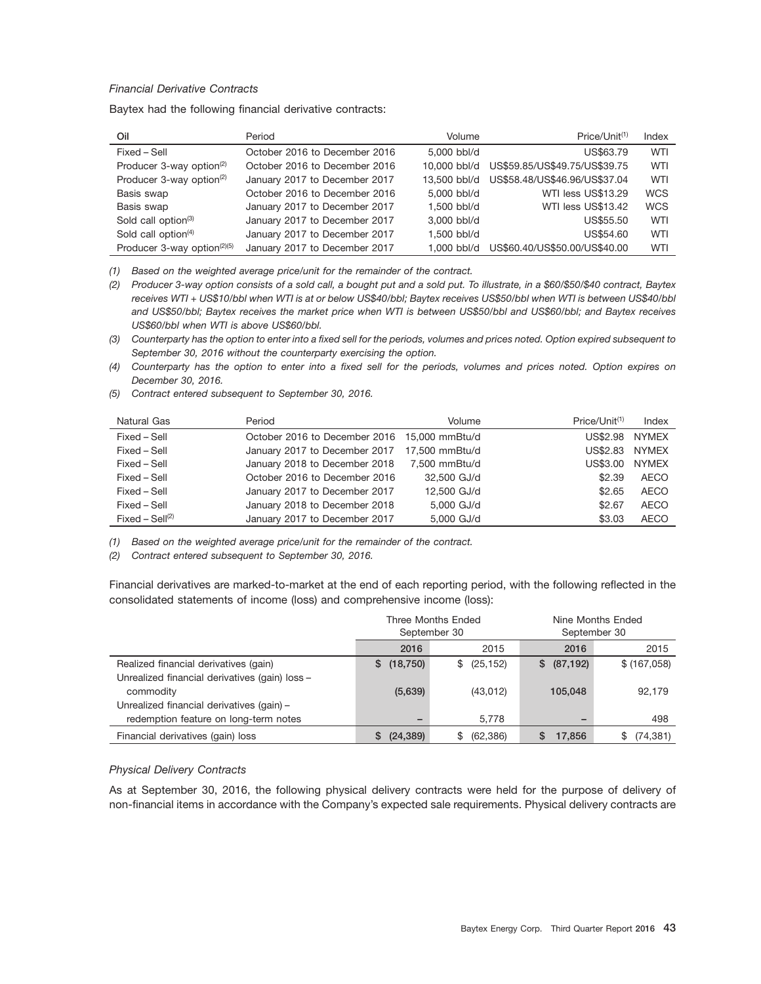#### *Financial Derivative Contracts*

Baytex had the following financial derivative contracts:

| Oil                                                     | Period                        | Volume       | Price/Unit <sup>(1)</sup>     | Index      |
|---------------------------------------------------------|-------------------------------|--------------|-------------------------------|------------|
| Fixed – Sell                                            | October 2016 to December 2016 | 5.000 bbl/d  | US\$63.79                     | WTI        |
| Producer 3-way option <sup>(2)</sup>                    | October 2016 to December 2016 | 10,000 bbl/d | US\$59.85/US\$49.75/US\$39.75 | WTI        |
| Producer 3-way option <sup>(2)</sup>                    | January 2017 to December 2017 | 13.500 bbl/d | US\$58.48/US\$46.96/US\$37.04 | WTI        |
| Basis swap                                              | October 2016 to December 2016 | 5.000 bbl/d  | WTI less US\$13.29            | <b>WCS</b> |
| Basis swap                                              | January 2017 to December 2017 | 1.500 bbl/d  | WTI less US\$13.42            | <b>WCS</b> |
| Sold call option <sup>(3)</sup>                         | January 2017 to December 2017 | 3,000 bbl/d  | US\$55.50                     | WTI        |
| Sold call option <sup>(4)</sup>                         | January 2017 to December 2017 | 1.500 bbl/d  | US\$54.60                     | WTI        |
| Producer $3$ -way option <sup><math>(2)(5)</math></sup> | January 2017 to December 2017 | 1.000 bbl/d  | US\$60.40/US\$50.00/US\$40.00 | <b>WTI</b> |

*(1) Based on the weighted average price/unit for the remainder of the contract.*

*(2) Producer 3-way option consists of a sold call, a bought put and a sold put. To illustrate, in a \$60/\$50/\$40 contract, Baytex receives WTI + US\$10/bbl when WTI is at or below US\$40/bbl; Baytex receives US\$50/bbl when WTI is between US\$40/bbl and US\$50/bbl; Baytex receives the market price when WTI is between US\$50/bbl and US\$60/bbl; and Baytex receives US\$60/bbl when WTI is above US\$60/bbl.*

*(3) Counterparty has the option to enter into a fixed sell for the periods, volumes and prices noted. Option expired subsequent to September 30, 2016 without the counterparty exercising the option.*

- *(4) Counterparty has the option to enter into a fixed sell for the periods, volumes and prices noted. Option expires on December 30, 2016.*
- Natural Gas Period Volume Price/Unit(1) Index Fixed – Sell October 2016 to December 2016 15,000 mmBtu/d US\$2.98 NYMEX Fixed – Sell January 2017 to December 2017 17,500 mmBtu/d US\$2.83 NYMEX Fixed – Sell January 2018 to December 2018 7,500 mmBtu/d US\$3.00 NYMEX Fixed – Sell October 2016 to December 2016 32,500 GJ/d \$2.39 AECO Fixed – Sell **Sell** January 2017 to December 2017 12,500 GJ/d \$2.65 AECO Fixed – Sell **Sell** January 2018 to December 2018 5,000 GJ/d \$2.67 AECO Fixed – Sell<sup>(2)</sup> January 2017 to December 2017 5,000 GJ/d \$3.03 AECO
- *(5) Contract entered subsequent to September 30, 2016.*

*(1) Based on the weighted average price/unit for the remainder of the contract.*

*(2) Contract entered subsequent to September 30, 2016.*

Financial derivatives are marked-to-market at the end of each reporting period, with the following reflected in the consolidated statements of income (loss) and comprehensive income (loss):

|                                                |              | Three Months Ended<br>September 30 | Nine Months Ended<br>September 30 |                |  |
|------------------------------------------------|--------------|------------------------------------|-----------------------------------|----------------|--|
|                                                | 2016         | 2015                               | 2016                              | 2015           |  |
| Realized financial derivatives (gain)          | $$$ (18,750) | (25, 152)<br>\$                    | (87, 192)<br>S.                   | \$(167,058)    |  |
| Unrealized financial derivatives (gain) loss - |              |                                    |                                   |                |  |
| commodity                                      | (5,639)      | (43, 012)                          | 105,048                           | 92,179         |  |
| Unrealized financial derivatives (gain) -      |              |                                    |                                   |                |  |
| redemption feature on long-term notes          | 5,778        |                                    | -                                 | 498            |  |
| Financial derivatives (gain) loss              | (24, 389)    | (62, 386)<br>S                     | 17,856                            | (74, 381)<br>S |  |

#### *Physical Delivery Contracts*

As at September 30, 2016, the following physical delivery contracts were held for the purpose of delivery of non-financial items in accordance with the Company's expected sale requirements. Physical delivery contracts are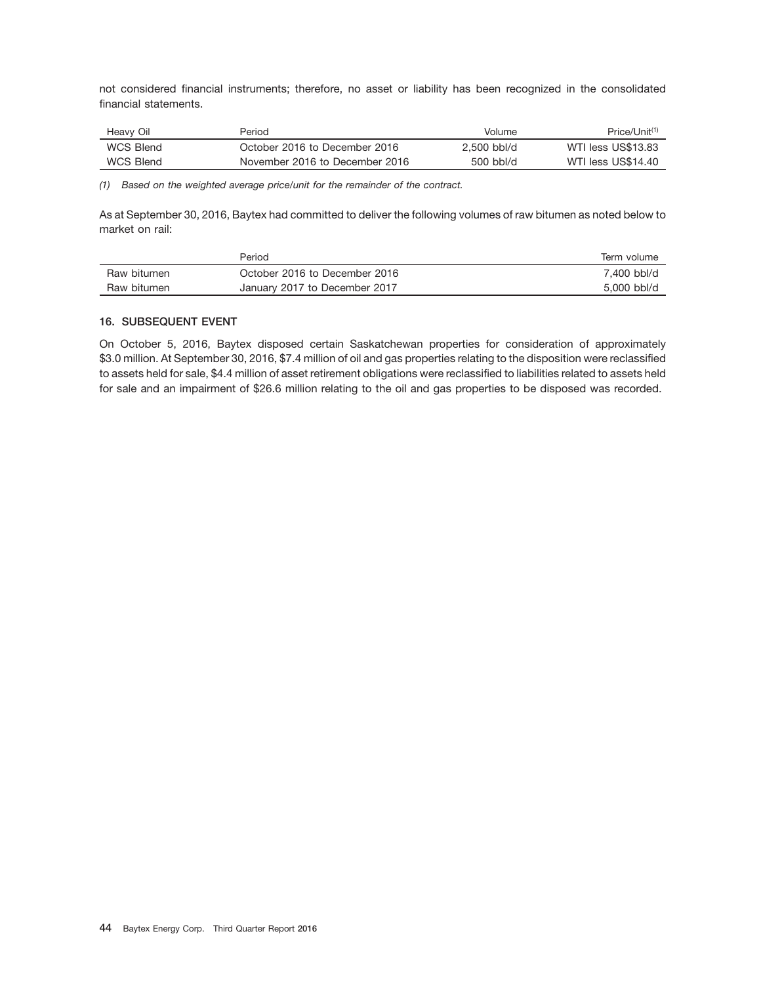not considered financial instruments; therefore, no asset or liability has been recognized in the consolidated financial statements.

| Heavy Oil        | Period                         | Volume      | Price/Unit <sup>(1)</sup> |
|------------------|--------------------------------|-------------|---------------------------|
| <b>WCS Blend</b> | October 2016 to December 2016  | 2.500 bbl/d | WTI less US\$13.83        |
| <b>WCS Blend</b> | November 2016 to December 2016 | $500$ bbl/d | WTI less US\$14.40        |

*(1) Based on the weighted average price/unit for the remainder of the contract.*

As at September 30, 2016, Baytex had committed to deliver the following volumes of raw bitumen as noted below to market on rail:

|             | Period                        | Term volume |
|-------------|-------------------------------|-------------|
| Raw bitumen | October 2016 to December 2016 | 7.400 bbl/d |
| Raw bitumen | January 2017 to December 2017 | 5.000 bbl/d |

#### **16. SUBSEQUENT EVENT**

On October 5, 2016, Baytex disposed certain Saskatchewan properties for consideration of approximately \$3.0 million. At September 30, 2016, \$7.4 million of oil and gas properties relating to the disposition were reclassified to assets held for sale, \$4.4 million of asset retirement obligations were reclassified to liabilities related to assets held for sale and an impairment of \$26.6 million relating to the oil and gas properties to be disposed was recorded.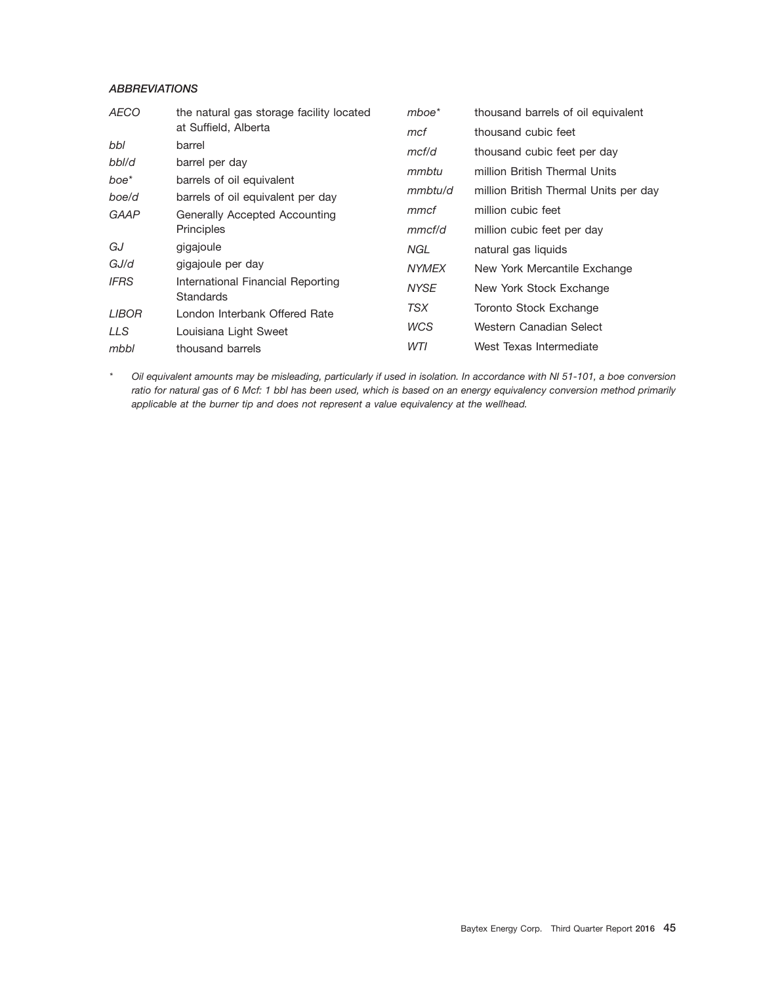## *ABBREVIATIONS*

| <b>AECO</b>  | the natural gas storage facility located              | $m$ boe $*$  | thousand barrels of oil equivalent    |
|--------------|-------------------------------------------------------|--------------|---------------------------------------|
|              | at Suffield, Alberta                                  | mcf          | thousand cubic feet                   |
| bbl          | barrel                                                | mcf/d        | thousand cubic feet per day           |
| bbl/d        | barrel per day                                        | mmbtu        | million British Thermal Units         |
| boe*         | barrels of oil equivalent                             |              |                                       |
| boe/d        | barrels of oil equivalent per day                     | mmbtu/d      | million British Thermal Units per day |
| GAAP         | Generally Accepted Accounting                         | mmcf         | million cubic feet                    |
|              | <b>Principles</b>                                     | mmcf/d       | million cubic feet per day            |
| GJ           | gigajoule                                             | NGL          | natural gas liquids                   |
| GJ/d         | gigajoule per day                                     | <b>NYMEX</b> | New York Mercantile Exchange          |
| <b>IFRS</b>  | International Financial Reporting<br><b>Standards</b> | <b>NYSE</b>  | New York Stock Exchange               |
| <b>LIBOR</b> | London Interbank Offered Rate                         | TSX          | Toronto Stock Exchange                |
| <b>LLS</b>   | Louisiana Light Sweet                                 | <b>WCS</b>   | Western Canadian Select               |
|              |                                                       | WTI          | West Texas Intermediate               |
| mbbl         | thousand barrels                                      |              |                                       |

*\* Oil equivalent amounts may be misleading, particularly if used in isolation. In accordance with NI 51-101, a boe conversion ratio for natural gas of 6 Mcf: 1 bbl has been used, which is based on an energy equivalency conversion method primarily applicable at the burner tip and does not represent a value equivalency at the wellhead.*